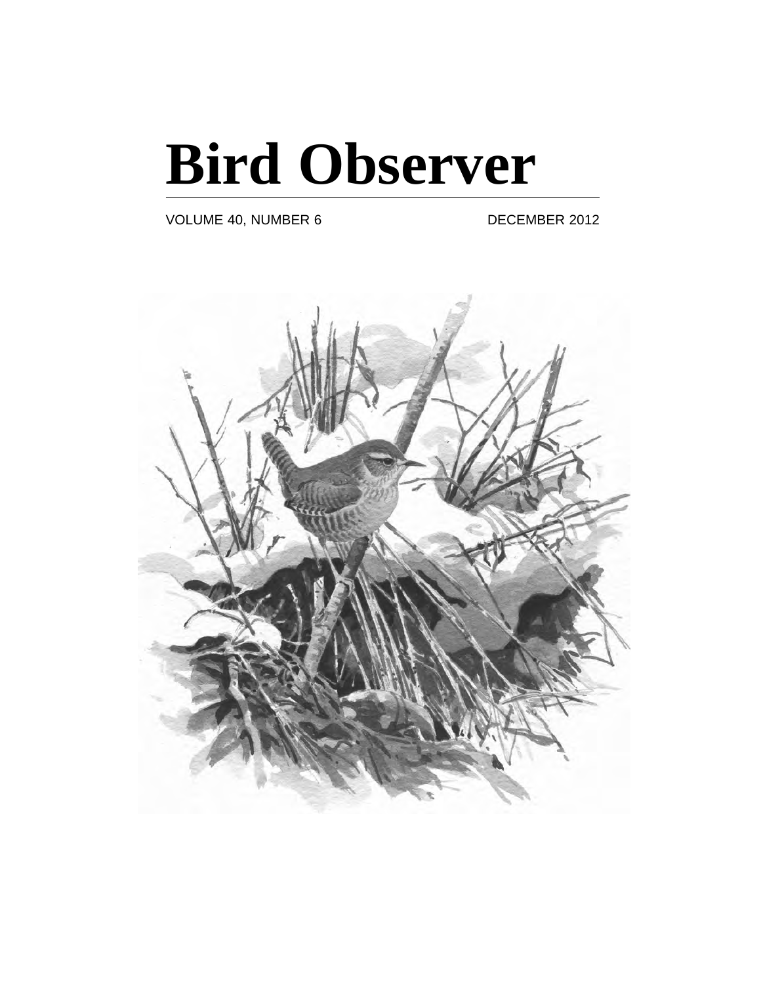# **Bird Observer**

VOLUME 40, NUMBER 6 DECEMBER 2012

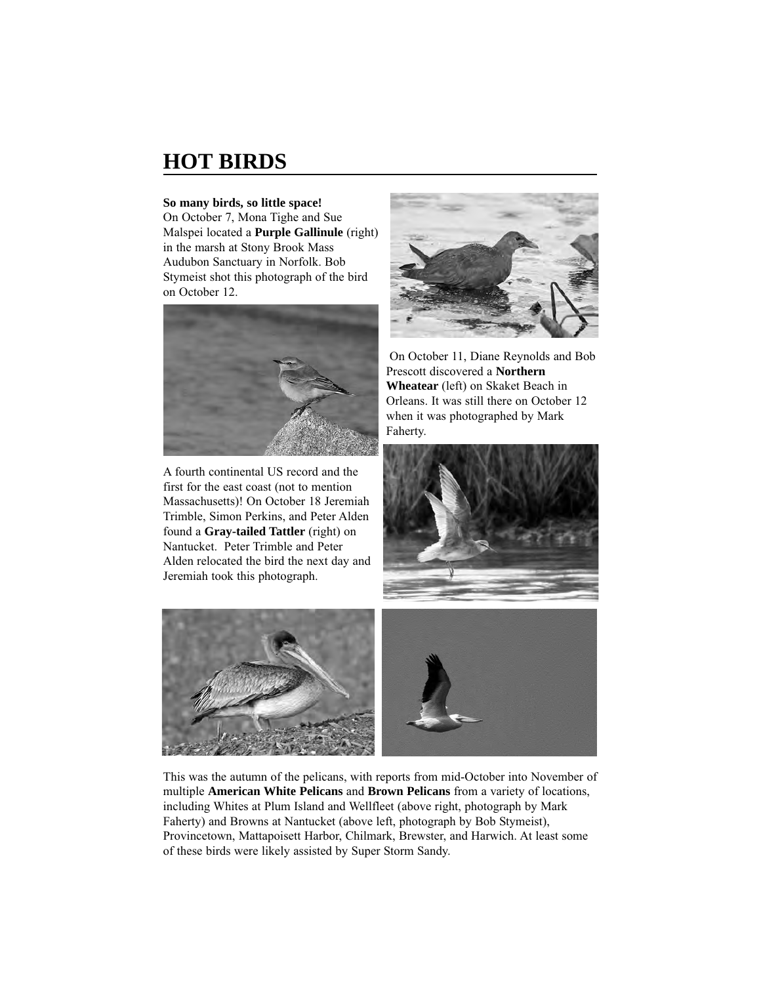### **HOT BIRDS**

**So many birds, so little space!**

On October 7, Mona Tighe and Sue Malspei located a **Purple Gallinule** (right) in the marsh at Stony Brook Mass Audubon Sanctuary in Norfolk. Bob Stymeist shot this photograph of the bird on October 12.



A fourth continental US record and the first for the east coast (not to mention Massachusetts)! On October 18 Jeremiah Trimble, Simon Perkins, and Peter Alden found a **Gray-tailed Tattler** (right) on Nantucket. Peter Trimble and Peter Alden relocated the bird the next day and Jeremiah took this photograph.



On October 11, Diane Reynolds and Bob Prescott discovered a **Northern Wheatear** (left) on Skaket Beach in Orleans. It was still there on October 12 when it was photographed by Mark Faherty.





This was the autumn of the pelicans, with reports from mid-October into November of multiple **American White Pelicans** and **Brown Pelicans** from a variety of locations, including Whites at Plum Island and Wellfleet (above right, photograph by Mark Faherty) and Browns at Nantucket (above left, photograph by Bob Stymeist), Provincetown, Mattapoisett Harbor, Chilmark, Brewster, and Harwich. At least some of these birds were likely assisted by Super Storm Sandy.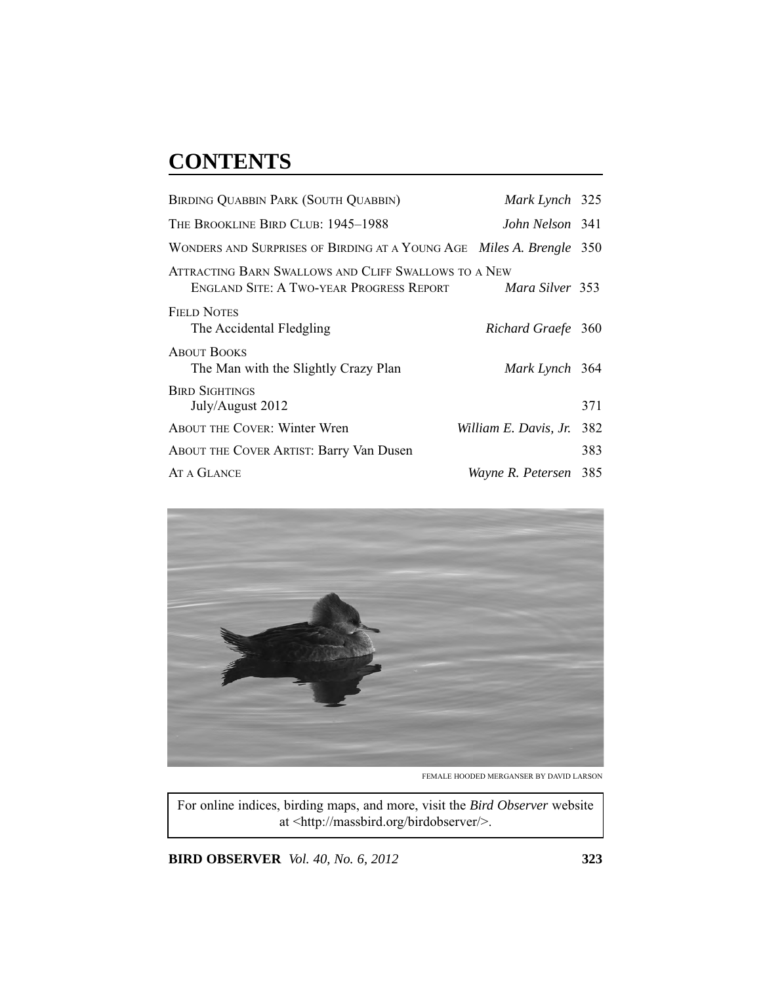### **CONTENTS**

| <b>BIRDING QUABBIN PARK (SOUTH QUABBIN)</b><br>Mark Lynch 325                                    |                       |     |  |  |  |  |
|--------------------------------------------------------------------------------------------------|-----------------------|-----|--|--|--|--|
| THE BROOKLINE BIRD CLUB: 1945-1988                                                               | John Nelson 341       |     |  |  |  |  |
| WONDERS AND SURPRISES OF BIRDING AT A YOUNG AGE Miles A. Brengle 350                             |                       |     |  |  |  |  |
| ATTRACTING BARN SWALLOWS AND CLIFF SWALLOWS TO A NEW<br>ENGLAND SITE: A TWO-YEAR PROGRESS REPORT | Mara Silver 353       |     |  |  |  |  |
| <b>FIELD NOTES</b><br>The Accidental Fledgling                                                   | Richard Graefe 360    |     |  |  |  |  |
| <b>ABOUT BOOKS</b><br>The Man with the Slightly Crazy Plan                                       | Mark Lynch 364        |     |  |  |  |  |
| <b>BIRD SIGHTINGS</b><br>July/August 2012                                                        |                       | 371 |  |  |  |  |
| <b>ABOUT THE COVER: Winter Wren</b>                                                              | William E. Davis, Jr. | 382 |  |  |  |  |
| ABOUT THE COVER ARTIST: Barry Van Dusen                                                          |                       | 383 |  |  |  |  |
| AT A GLANCE                                                                                      | Wayne R. Petersen 385 |     |  |  |  |  |
|                                                                                                  |                       |     |  |  |  |  |



FeMAle HOODeD MeRgANSeR By DAvID lARSON

For online indices, birding maps, and more, visit the *Bird Observer* website at <http://massbird.org/birdobserver/>.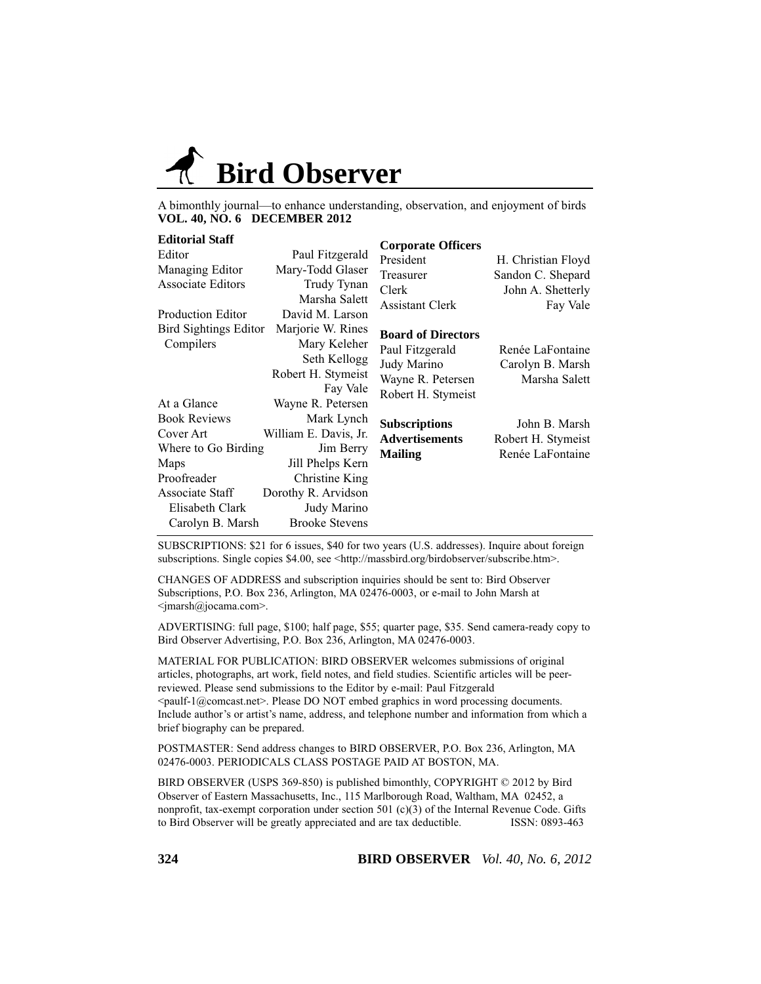

A bimonthly journal—to enhance understanding, observation, and enjoyment of birds **VOL. 40, NO. 6 DECEMBER 2012**

#### **Editorial Staff**

| <b>Editorial Staff</b>   |                       | <b>Corporate Officers</b> |                    |
|--------------------------|-----------------------|---------------------------|--------------------|
| Editor                   | Paul Fitzgerald       | President                 | H. Christian Floyd |
| Managing Editor          | Mary-Todd Glaser      | Treasurer                 | Sandon C. Shepard  |
| <b>Associate Editors</b> | Trudy Tynan           | Clerk                     | John A. Shetterly  |
|                          | Marsha Salett         | <b>Assistant Clerk</b>    | Fay Vale           |
| <b>Production Editor</b> | David M. Larson       |                           |                    |
| Bird Sightings Editor    | Marjorie W. Rines     | <b>Board of Directors</b> |                    |
| Compilers                | Mary Keleher          | Paul Fitzgerald           | Renée LaFontaine   |
|                          | Seth Kellogg          | Judy Marino               | Carolyn B. Marsh   |
|                          | Robert H. Stymeist    | Wayne R. Petersen         | Marsha Salett      |
|                          | Fay Vale              | Robert H. Stymeist        |                    |
| At a Glance              | Wayne R. Petersen     |                           |                    |
| <b>Book Reviews</b>      | Mark Lynch            | <b>Subscriptions</b>      | John B. Marsh      |
| Cover Art                | William E. Davis, Jr. | <b>Advertisements</b>     | Robert H. Stymeist |
| Where to Go Birding      | Jim Berry             | <b>Mailing</b>            | Renée LaFontaine   |
| Maps                     | Jill Phelps Kern      |                           |                    |
| Proofreader              | Christine King        |                           |                    |
| Associate Staff          | Dorothy R. Arvidson   |                           |                    |
| Elisabeth Clark          | Judy Marino           |                           |                    |
| Carolyn B. Marsh         | <b>Brooke Stevens</b> |                           |                    |

SUBSCRIPTIONS: \$21 for 6 issues, \$40 for two years (U.S. addresses). Inquire about foreign subscriptions. Single copies \$4.00, see <http://massbird.org/birdobserver/subscribe.htm>.

CHANGES OF ADDRESS and subscription inquiries should be sent to: Bird Observer Subscriptions, P.O. Box 236, Arlington, MA 02476-0003, or e-mail to John Marsh at  $\leq$ jmarsh $\omega$ jocama.com>.

ADveRTISINg: full page, \$100; half page, \$55; quarter page, \$35. Send camera-ready copy to Bird Observer Advertising, P.O. Box 236, Arlington, MA 02476-0003.

MATeRIAl FOR PUBlICATION: BIRD OBSeRveR welcomes submissions of original articles, photographs, art work, field notes, and field studies. Scientific articles will be peerreviewed. Please send submissions to the Editor by e-mail: Paul Fitzgerald  $\epsilon$  =  $\epsilon$  =  $\epsilon$  =  $\epsilon$  =  $\epsilon$  =  $\epsilon$  =  $\epsilon$  =  $\epsilon$  DO NOT embed graphics in word processing documents. Include author's or artist's name, address, and telephone number and information from which a brief biography can be prepared.

POSTMASTeR: Send address changes to BIRD OBSeRveR, P.O. Box 236, Arlington, MA 02476-0003. PeRIODICAlS ClASS POSTAge PAID AT BOSTON, MA.

BIRD OBSeRveR (USPS 369-850) is published bimonthly, COPyRIgHT © 2012 by Bird Observer of eastern Massachusetts, Inc., 115 Marlborough Road, Waltham, MA 02452, a nonprofit, tax-exempt corporation under section 501 (c)(3) of the Internal Revenue Code. Gifts to Bird Observer will be greatly appreciated and are tax deductible. ISSN: 0893-463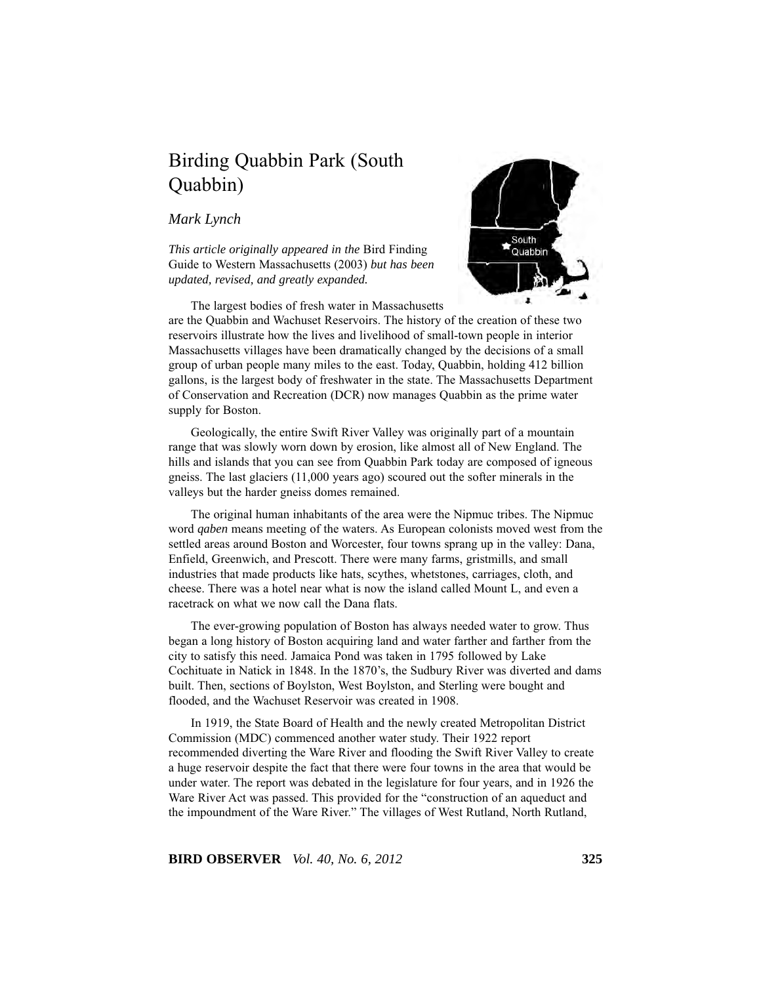### Birding Quabbin Park (South Quabbin)

*Mark Lynch*

*This article originally appeared in the* Bird Finding Guide to Western Massachusetts (2003) *but has been updated, revised, and greatly expanded.* 



The largest bodies of fresh water in Massachusetts

are the Quabbin and Wachuset Reservoirs. The history of the creation of these two reservoirs illustrate how the lives and livelihood of small-town people in interior Massachusetts villages have been dramatically changed by the decisions of a small group of urban people many miles to the east. Today, Quabbin, holding 412 billion gallons, is the largest body of freshwater in the state. The Massachusetts Department of Conservation and Recreation (DCR) now manages Quabbin as the prime water supply for Boston.

geologically, the entire Swift River valley was originally part of a mountain range that was slowly worn down by erosion, like almost all of New England. The hills and islands that you can see from Quabbin Park today are composed of igneous gneiss. The last glaciers (11,000 years ago) scoured out the softer minerals in the valleys but the harder gneiss domes remained.

The original human inhabitants of the area were the Nipmuc tribes. The Nipmuc word *qaben* means meeting of the waters. As european colonists moved west from the settled areas around Boston and Worcester, four towns sprang up in the valley: Dana, Enfield, Greenwich, and Prescott. There were many farms, gristmills, and small industries that made products like hats, scythes, whetstones, carriages, cloth, and cheese. There was a hotel near what is now the island called Mount L, and even a racetrack on what we now call the Dana flats.

The ever-growing population of Boston has always needed water to grow. Thus began a long history of Boston acquiring land and water farther and farther from the city to satisfy this need. Jamaica Pond was taken in 1795 followed by lake Cochituate in Natick in 1848. In the 1870's, the Sudbury River was diverted and dams built. Then, sections of Boylston, West Boylston, and Sterling were bought and flooded, and the Wachuset Reservoir was created in 1908.

In 1919, the State Board of Health and the newly created Metropolitan District Commission (MDC) commenced another water study. Their 1922 report recommended diverting the Ware River and flooding the Swift River valley to create a huge reservoir despite the fact that there were four towns in the area that would be under water. The report was debated in the legislature for four years, and in 1926 the Ware River Act was passed. This provided for the "construction of an aqueduct and the impoundment of the Ware River." The villages of West Rutland, North Rutland,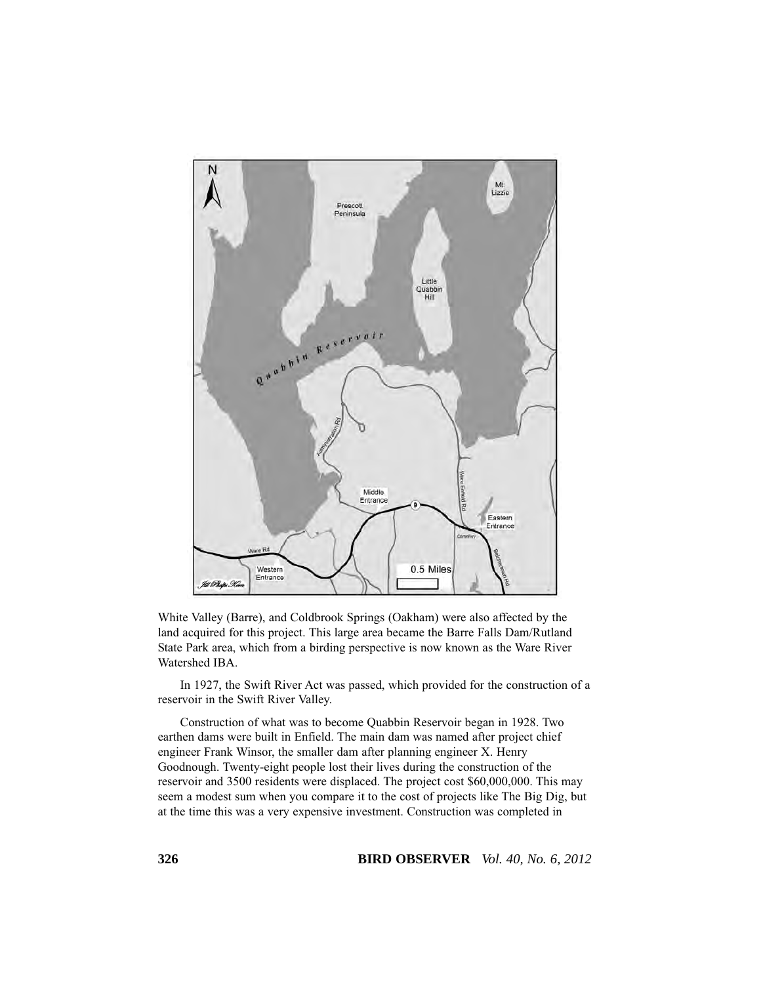

White valley (Barre), and Coldbrook Springs (Oakham) were also affected by the land acquired for this project. This large area became the Barre Falls Dam/Rutland State Park area, which from a birding perspective is now known as the Ware River Watershed IBA.

In 1927, the Swift River Act was passed, which provided for the construction of a reservoir in the Swift River valley.

Construction of what was to become Quabbin Reservoir began in 1928. Two earthen dams were built in Enfield. The main dam was named after project chief engineer Frank Winsor, the smaller dam after planning engineer X. Henry Goodnough. Twenty-eight people lost their lives during the construction of the reservoir and 3500 residents were displaced. The project cost \$60,000,000. This may seem a modest sum when you compare it to the cost of projects like The Big Dig, but at the time this was a very expensive investment. Construction was completed in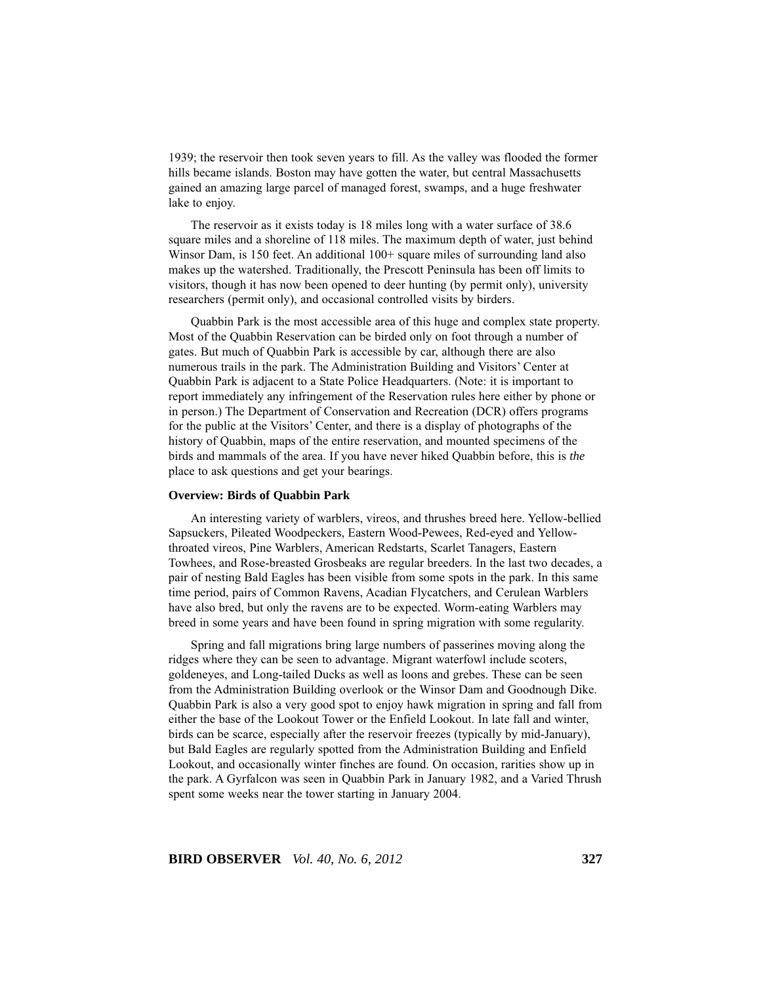1939; the reservoir then took seven years to fill. As the valley was flooded the former hills became islands. Boston may have gotten the water, but central Massachusetts gained an amazing large parcel of managed forest, swamps, and a huge freshwater lake to enjoy.

The reservoir as it exists today is 18 miles long with a water surface of 38.6 square miles and a shoreline of 118 miles. The maximum depth of water, just behind Winsor Dam, is 150 feet. An additional  $100+$  square miles of surrounding land also makes up the watershed. Traditionally, the Prescott Peninsula has been off limits to visitors, though it has now been opened to deer hunting (by permit only), university researchers (permit only), and occasional controlled visits by birders.

Quabbin Park is the most accessible area of this huge and complex state property. Most of the Quabbin Reservation can be birded only on foot through a number of gates. But much of Quabbin Park is accessible by car, although there are also numerous trails in the park. The Administration Building and visitors' Center at Quabbin Park is adjacent to a State Police Headquarters. (Note: it is important to report immediately any infringement of the Reservation rules here either by phone or in person.) The Department of Conservation and Recreation (DCR) offers programs for the public at the visitors' Center, and there is a display of photographs of the history of Quabbin, maps of the entire reservation, and mounted specimens of the birds and mammals of the area. If you have never hiked Quabbin before, this is *the* place to ask questions and get your bearings.

#### **Overview: Birds of Quabbin Park**

An interesting variety of warblers, vireos, and thrushes breed here. yellow-bellied Sapsuckers, Pileated Woodpeckers, Eastern Wood-Pewees, Red-eyed and Yellowthroated vireos, Pine Warblers, American Redstarts, Scarlet Tanagers, Eastern Towhees, and Rose-breasted grosbeaks are regular breeders. In the last two decades, a pair of nesting Bald eagles has been visible from some spots in the park. In this same time period, pairs of Common Ravens, Acadian Flycatchers, and Cerulean Warblers have also bred, but only the ravens are to be expected. Worm-eating Warblers may breed in some years and have been found in spring migration with some regularity.

Spring and fall migrations bring large numbers of passerines moving along the ridges where they can be seen to advantage. Migrant waterfowl include scoters, goldeneyes, and long-tailed Ducks as well as loons and grebes. These can be seen from the Administration Building overlook or the Winsor Dam and goodnough Dike. Quabbin Park is also a very good spot to enjoy hawk migration in spring and fall from either the base of the Lookout Tower or the Enfield Lookout. In late fall and winter, birds can be scarce, especially after the reservoir freezes (typically by mid-January), but Bald eagles are regularly spotted from the Administration Building and enfield Lookout, and occasionally winter finches are found. On occasion, rarities show up in the park. A Gyrfalcon was seen in Quabbin Park in January 1982, and a Varied Thrush spent some weeks near the tower starting in January 2004.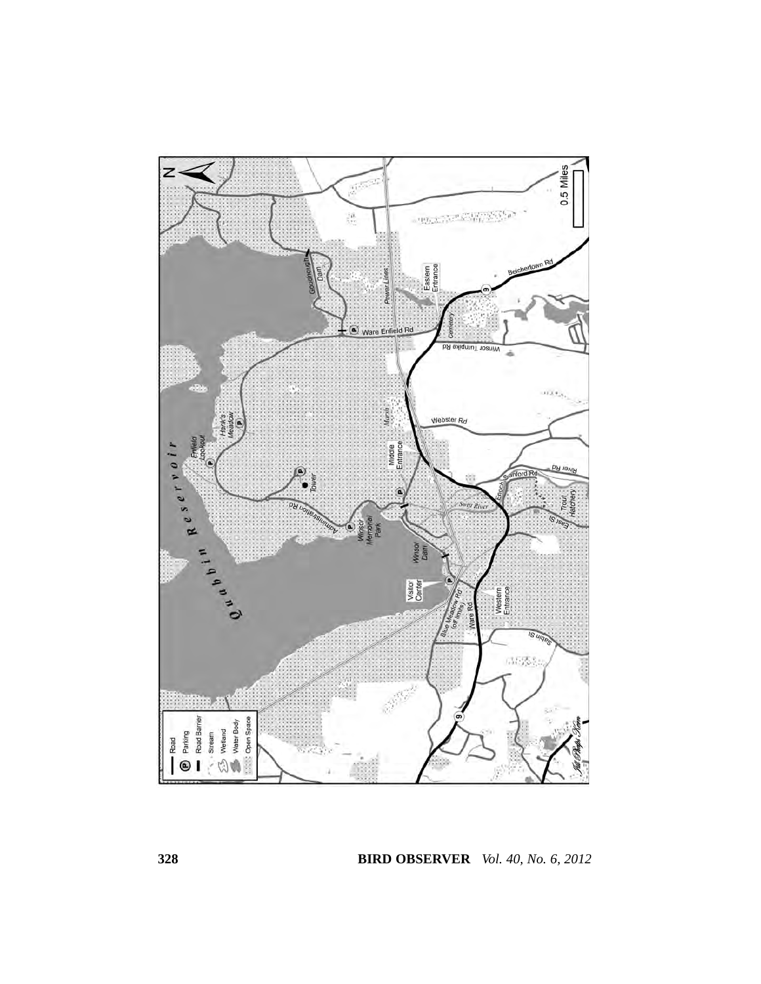

**BIRD OBSERVER** *Vol. 40, No. 6, 2012*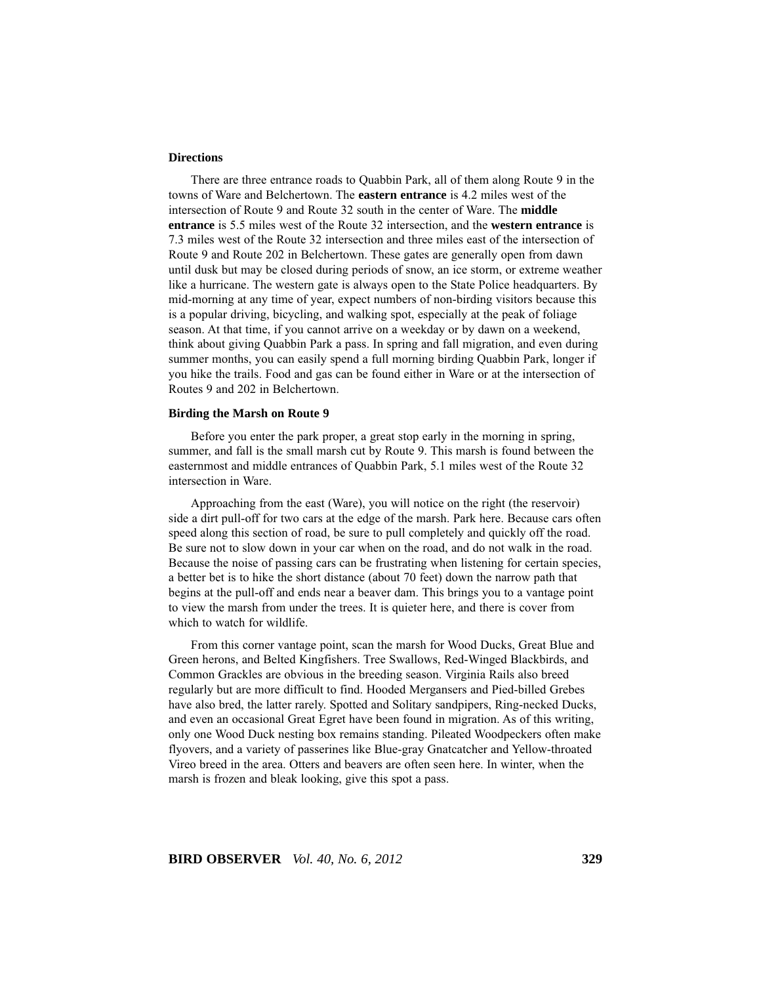#### **Directions**

There are three entrance roads to Quabbin Park, all of them along Route 9 in the towns of Ware and Belchertown. The **eastern entrance** is 4.2 miles west of the intersection of Route 9 and Route 32 south in the center of Ware. The **middle entrance** is 5.5 miles west of the Route 32 intersection, and the **western entrance** is 7.3 miles west of the Route 32 intersection and three miles east of the intersection of Route 9 and Route 202 in Belchertown. These gates are generally open from dawn until dusk but may be closed during periods of snow, an ice storm, or extreme weather like a hurricane. The western gate is always open to the State Police headquarters. By mid-morning at any time of year, expect numbers of non-birding visitors because this is a popular driving, bicycling, and walking spot, especially at the peak of foliage season. At that time, if you cannot arrive on a weekday or by dawn on a weekend, think about giving Quabbin Park a pass. In spring and fall migration, and even during summer months, you can easily spend a full morning birding Quabbin Park, longer if you hike the trails. Food and gas can be found either in Ware or at the intersection of Routes 9 and 202 in Belchertown.

#### **Birding the Marsh on Route 9**

Before you enter the park proper, a great stop early in the morning in spring, summer, and fall is the small marsh cut by Route 9. This marsh is found between the easternmost and middle entrances of Quabbin Park, 5.1 miles west of the Route 32 intersection in Ware.

Approaching from the east (Ware), you will notice on the right (the reservoir) side a dirt pull-off for two cars at the edge of the marsh. Park here. Because cars often speed along this section of road, be sure to pull completely and quickly off the road. Be sure not to slow down in your car when on the road, and do not walk in the road. Because the noise of passing cars can be frustrating when listening for certain species, a better bet is to hike the short distance (about 70 feet) down the narrow path that begins at the pull-off and ends near a beaver dam. This brings you to a vantage point to view the marsh from under the trees. It is quieter here, and there is cover from which to watch for wildlife.

From this corner vantage point, scan the marsh for Wood Ducks, Great Blue and Green herons, and Belted Kingfishers. Tree Swallows, Red-Winged Blackbirds, and Common grackles are obvious in the breeding season. virginia Rails also breed regularly but are more difficult to find. Hooded Mergansers and Pied-billed Grebes have also bred, the latter rarely. Spotted and Solitary sandpipers, Ring-necked Ducks, and even an occasional Great Egret have been found in migration. As of this writing, only one Wood Duck nesting box remains standing. Pileated Woodpeckers often make flyovers, and a variety of passerines like Blue-gray gnatcatcher and yellow-throated vireo breed in the area. Otters and beavers are often seen here. In winter, when the marsh is frozen and bleak looking, give this spot a pass.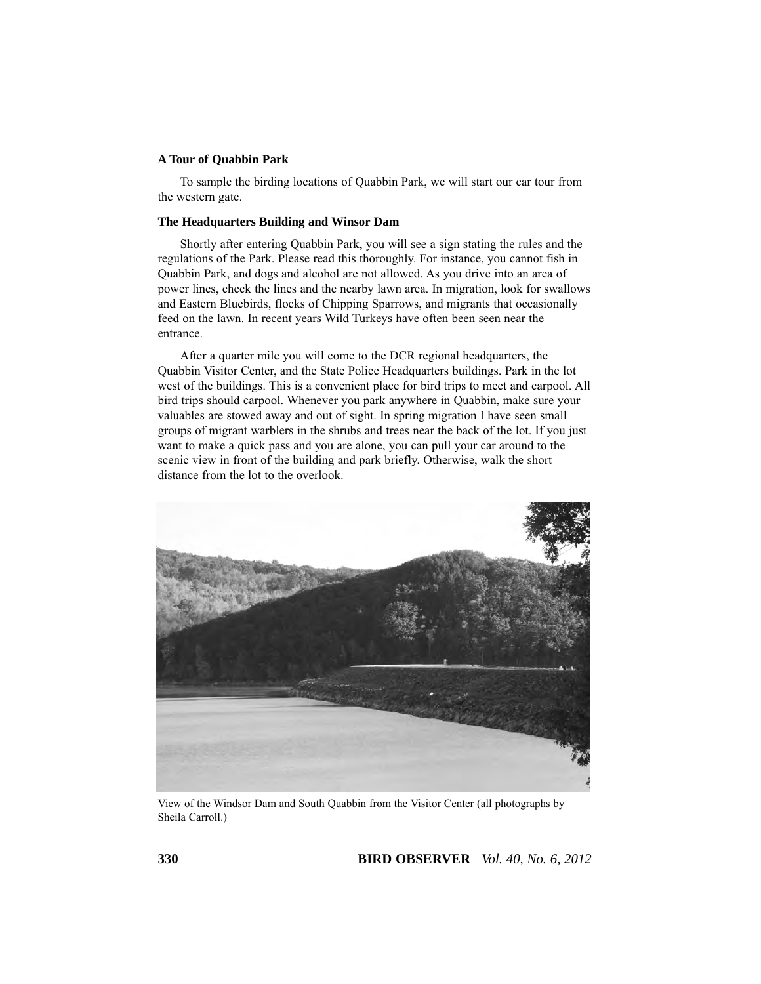#### **A Tour of Quabbin Park**

To sample the birding locations of Quabbin Park, we will start our car tour from the western gate.

#### **The Headquarters Building and Winsor Dam**

Shortly after entering Quabbin Park, you will see a sign stating the rules and the regulations of the Park. Please read this thoroughly. For instance, you cannot fish in Quabbin Park, and dogs and alcohol are not allowed. As you drive into an area of power lines, check the lines and the nearby lawn area. In migration, look for swallows and Eastern Bluebirds, flocks of Chipping Sparrows, and migrants that occasionally feed on the lawn. In recent years Wild Turkeys have often been seen near the entrance.

After a quarter mile you will come to the DCR regional headquarters, the Quabbin visitor Center, and the State Police Headquarters buildings. Park in the lot west of the buildings. This is a convenient place for bird trips to meet and carpool. All bird trips should carpool. Whenever you park anywhere in Quabbin, make sure your valuables are stowed away and out of sight. In spring migration I have seen small groups of migrant warblers in the shrubs and trees near the back of the lot. If you just want to make a quick pass and you are alone, you can pull your car around to the scenic view in front of the building and park briefly. Otherwise, walk the short distance from the lot to the overlook.



view of the Windsor Dam and South Quabbin from the visitor Center (all photographs by Sheila Carroll.)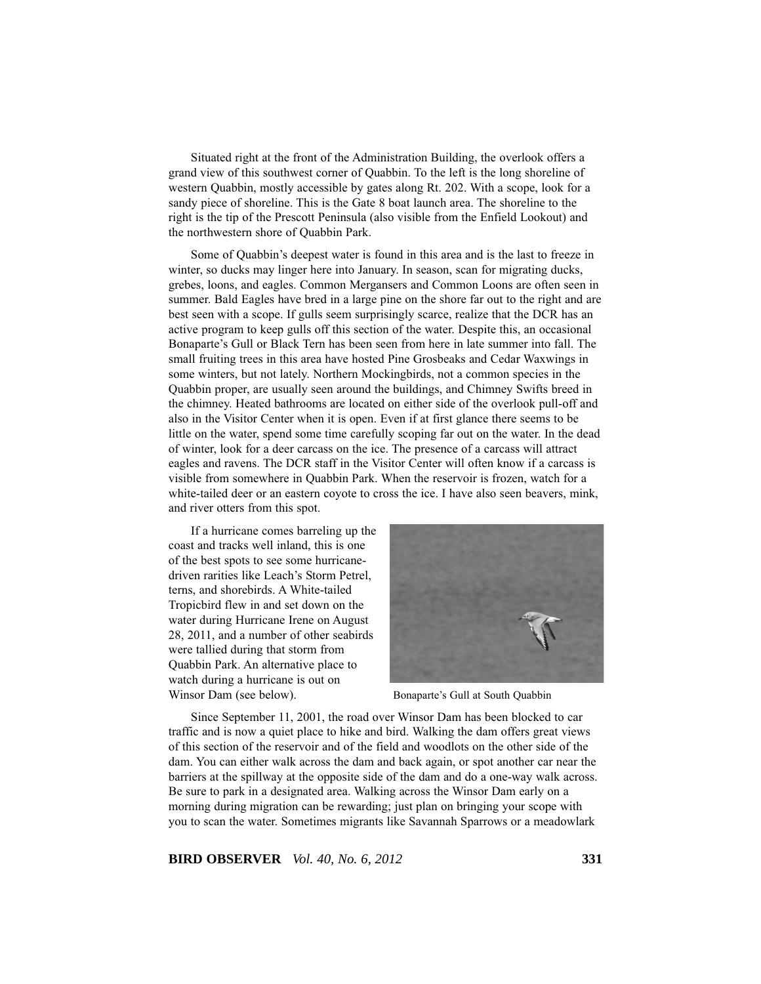Situated right at the front of the Administration Building, the overlook offers a grand view of this southwest corner of Quabbin. To the left is the long shoreline of western Quabbin, mostly accessible by gates along Rt. 202. With a scope, look for a sandy piece of shoreline. This is the Gate 8 boat launch area. The shoreline to the right is the tip of the Prescott Peninsula (also visible from the Enfield Lookout) and the northwestern shore of Quabbin Park.

Some of Quabbin's deepest water is found in this area and is the last to freeze in winter, so ducks may linger here into January. In season, scan for migrating ducks, grebes, loons, and eagles. Common Mergansers and Common loons are often seen in summer. Bald Eagles have bred in a large pine on the shore far out to the right and are best seen with a scope. If gulls seem surprisingly scarce, realize that the DCR has an active program to keep gulls off this section of the water. Despite this, an occasional Bonaparte's gull or Black Tern has been seen from here in late summer into fall. The small fruiting trees in this area have hosted Pine Grosbeaks and Cedar Waxwings in some winters, but not lately. Northern Mockingbirds, not a common species in the Quabbin proper, are usually seen around the buildings, and Chimney Swifts breed in the chimney. Heated bathrooms are located on either side of the overlook pull-off and also in the Visitor Center when it is open. Even if at first glance there seems to be little on the water, spend some time carefully scoping far out on the water. In the dead of winter, look for a deer carcass on the ice. The presence of a carcass will attract eagles and ravens. The DCR staff in the visitor Center will often know if a carcass is visible from somewhere in Quabbin Park. When the reservoir is frozen, watch for a white-tailed deer or an eastern coyote to cross the ice. I have also seen beavers, mink, and river otters from this spot.

If a hurricane comes barreling up the coast and tracks well inland, this is one of the best spots to see some hurricanedriven rarities like leach's Storm Petrel, terns, and shorebirds. A White-tailed Tropicbird flew in and set down on the water during Hurricane Irene on August 28, 2011, and a number of other seabirds were tallied during that storm from Quabbin Park. An alternative place to watch during a hurricane is out on Winsor Dam (see below).



Bonaparte's Gull at South Quabbin

Since September 11, 2001, the road over Winsor Dam has been blocked to car traffic and is now a quiet place to hike and bird. Walking the dam offers great views of this section of the reservoir and of the field and woodlots on the other side of the dam. You can either walk across the dam and back again, or spot another car near the barriers at the spillway at the opposite side of the dam and do a one-way walk across. Be sure to park in a designated area. Walking across the Winsor Dam early on a morning during migration can be rewarding; just plan on bringing your scope with you to scan the water. Sometimes migrants like Savannah Sparrows or a meadowlark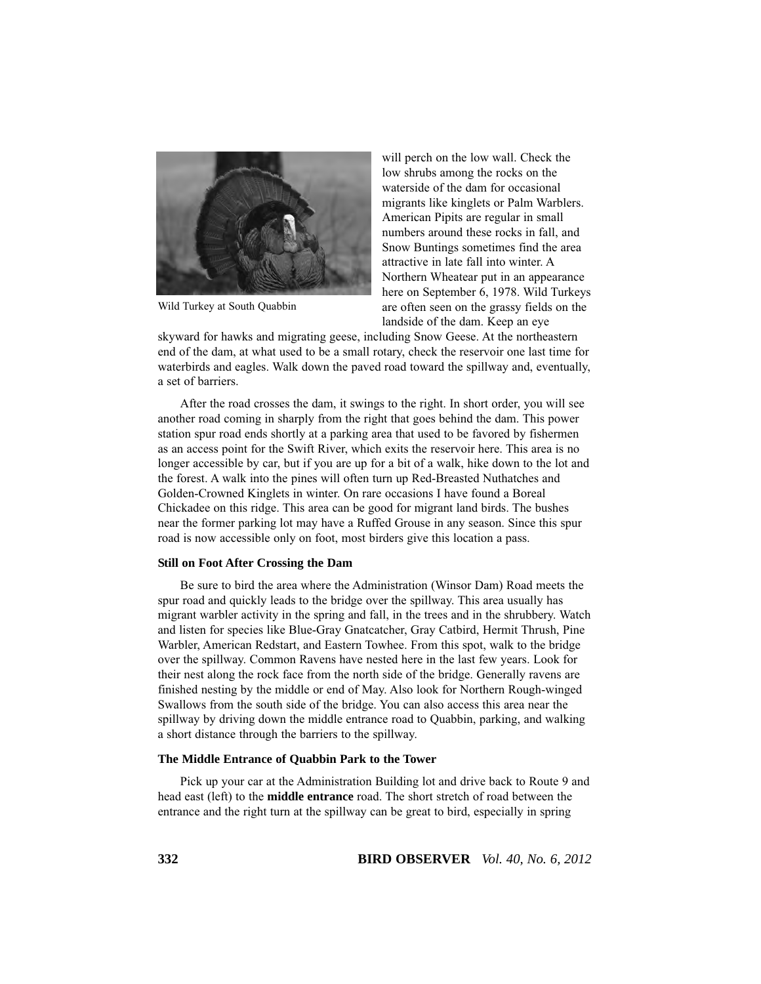

Wild Turkey at South Quabbin

will perch on the low wall. Check the low shrubs among the rocks on the waterside of the dam for occasional migrants like kinglets or Palm Warblers. American Pipits are regular in small numbers around these rocks in fall, and Snow Buntings sometimes find the area attractive in late fall into winter. A Northern Wheatear put in an appearance here on September 6, 1978. Wild Turkeys are often seen on the grassy fields on the landside of the dam. keep an eye

skyward for hawks and migrating geese, including Snow geese. At the northeastern end of the dam, at what used to be a small rotary, check the reservoir one last time for waterbirds and eagles. Walk down the paved road toward the spillway and, eventually, a set of barriers.

After the road crosses the dam, it swings to the right. In short order, you will see another road coming in sharply from the right that goes behind the dam. This power station spur road ends shortly at a parking area that used to be favored by fishermen as an access point for the Swift River, which exits the reservoir here. This area is no longer accessible by car, but if you are up for a bit of a walk, hike down to the lot and the forest. A walk into the pines will often turn up Red-Breasted Nuthatches and Golden-Crowned Kinglets in winter. On rare occasions I have found a Boreal Chickadee on this ridge. This area can be good for migrant land birds. The bushes near the former parking lot may have a Ruffed grouse in any season. Since this spur road is now accessible only on foot, most birders give this location a pass.

#### **Still on Foot After Crossing the Dam**

Be sure to bird the area where the Administration (Winsor Dam) Road meets the spur road and quickly leads to the bridge over the spillway. This area usually has migrant warbler activity in the spring and fall, in the trees and in the shrubbery. Watch and listen for species like Blue-Gray Gnatcatcher, Gray Catbird, Hermit Thrush, Pine Warbler, American Redstart, and Eastern Towhee. From this spot, walk to the bridge over the spillway. Common Ravens have nested here in the last few years. look for their nest along the rock face from the north side of the bridge. generally ravens are finished nesting by the middle or end of May. Also look for Northern Rough-winged Swallows from the south side of the bridge. You can also access this area near the spillway by driving down the middle entrance road to Quabbin, parking, and walking a short distance through the barriers to the spillway.

#### **The Middle Entrance of Quabbin Park to the Tower**

Pick up your car at the Administration Building lot and drive back to Route 9 and head east (left) to the **middle entrance** road. The short stretch of road between the entrance and the right turn at the spillway can be great to bird, especially in spring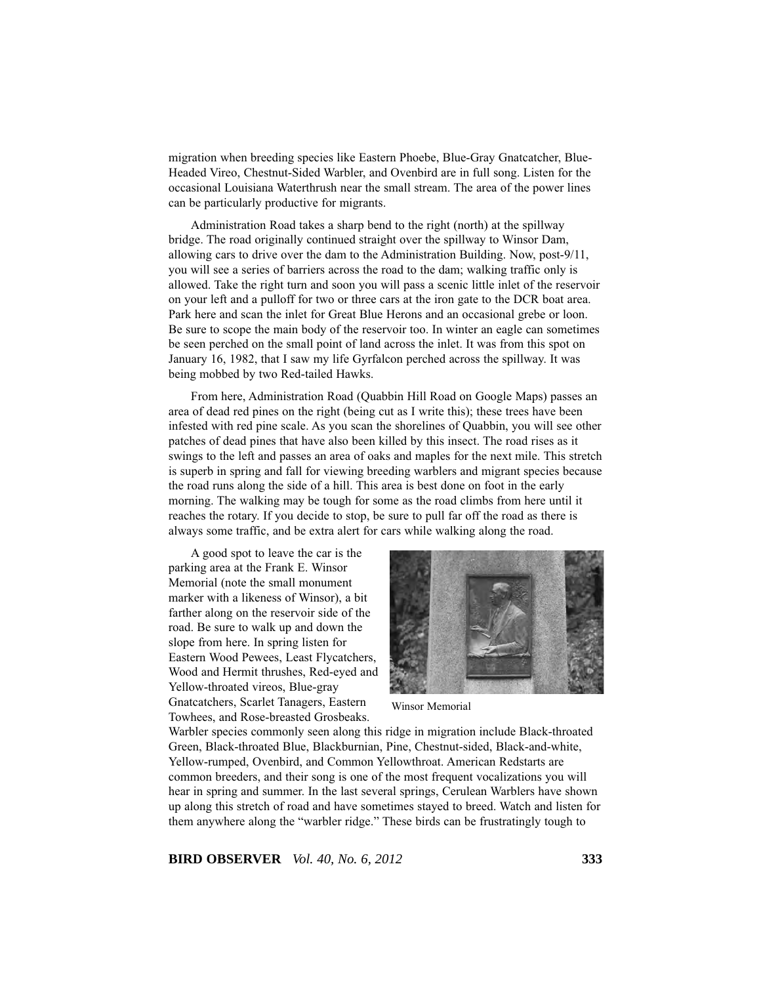migration when breeding species like Eastern Phoebe, Blue-Gray Gnatcatcher, Blue-Headed vireo, Chestnut-Sided Warbler, and Ovenbird are in full song. listen for the occasional louisiana Waterthrush near the small stream. The area of the power lines can be particularly productive for migrants.

Administration Road takes a sharp bend to the right (north) at the spillway bridge. The road originally continued straight over the spillway to Winsor Dam, allowing cars to drive over the dam to the Administration Building. Now, post-9/11, you will see a series of barriers across the road to the dam; walking traffic only is allowed. Take the right turn and soon you will pass a scenic little inlet of the reservoir on your left and a pulloff for two or three cars at the iron gate to the DCR boat area. Park here and scan the inlet for Great Blue Herons and an occasional grebe or loon. Be sure to scope the main body of the reservoir too. In winter an eagle can sometimes be seen perched on the small point of land across the inlet. It was from this spot on January 16, 1982, that I saw my life gyrfalcon perched across the spillway. It was being mobbed by two Red-tailed Hawks.

From here, Administration Road (Quabbin Hill Road on google Maps) passes an area of dead red pines on the right (being cut as I write this); these trees have been infested with red pine scale. As you scan the shorelines of Quabbin, you will see other patches of dead pines that have also been killed by this insect. The road rises as it swings to the left and passes an area of oaks and maples for the next mile. This stretch is superb in spring and fall for viewing breeding warblers and migrant species because the road runs along the side of a hill. This area is best done on foot in the early morning. The walking may be tough for some as the road climbs from here until it reaches the rotary. If you decide to stop, be sure to pull far off the road as there is always some traffic, and be extra alert for cars while walking along the road.

A good spot to leave the car is the parking area at the Frank E. Winsor Memorial (note the small monument marker with a likeness of Winsor), a bit farther along on the reservoir side of the road. Be sure to walk up and down the slope from here. In spring listen for Eastern Wood Pewees, Least Flycatchers, Wood and Hermit thrushes, Red-eyed and Yellow-throated vireos, Blue-gray Gnatcatchers, Scarlet Tanagers, Eastern Towhees, and Rose-breasted Grosbeaks.



Winsor Memorial

Warbler species commonly seen along this ridge in migration include Black-throated Green, Black-throated Blue, Blackburnian, Pine, Chestnut-sided, Black-and-white, Yellow-rumped, Ovenbird, and Common Yellowthroat. American Redstarts are common breeders, and their song is one of the most frequent vocalizations you will hear in spring and summer. In the last several springs, Cerulean Warblers have shown up along this stretch of road and have sometimes stayed to breed. Watch and listen for them anywhere along the "warbler ridge." These birds can be frustratingly tough to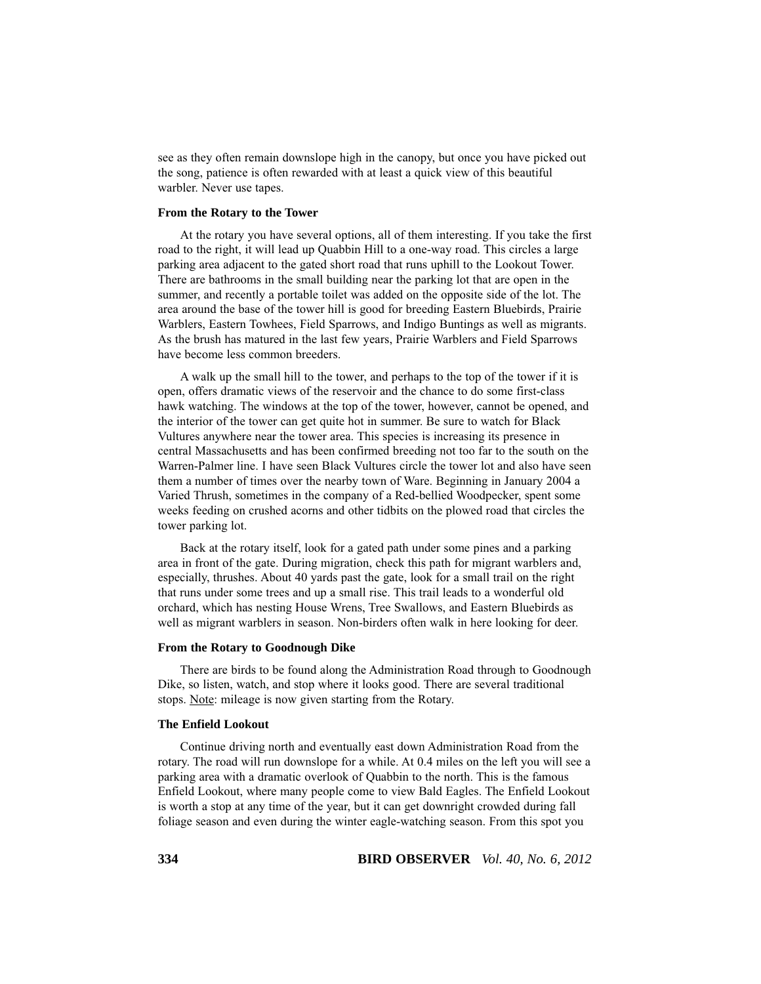see as they often remain downslope high in the canopy, but once you have picked out the song, patience is often rewarded with at least a quick view of this beautiful warbler. Never use tapes.

#### **From the Rotary to the Tower**

At the rotary you have several options, all of them interesting. If you take the first road to the right, it will lead up Quabbin Hill to a one-way road. This circles a large parking area adjacent to the gated short road that runs uphill to the lookout Tower. There are bathrooms in the small building near the parking lot that are open in the summer, and recently a portable toilet was added on the opposite side of the lot. The area around the base of the tower hill is good for breeding Eastern Bluebirds, Prairie Warblers, Eastern Towhees, Field Sparrows, and Indigo Buntings as well as migrants. As the brush has matured in the last few years, Prairie Warblers and Field Sparrows have become less common breeders.

A walk up the small hill to the tower, and perhaps to the top of the tower if it is open, offers dramatic views of the reservoir and the chance to do some first-class hawk watching. The windows at the top of the tower, however, cannot be opened, and the interior of the tower can get quite hot in summer. Be sure to watch for Black vultures anywhere near the tower area. This species is increasing its presence in central Massachusetts and has been confirmed breeding not too far to the south on the Warren-Palmer line. I have seen Black vultures circle the tower lot and also have seen them a number of times over the nearby town of Ware. Beginning in January 2004 a varied Thrush, sometimes in the company of a Red-bellied Woodpecker, spent some weeks feeding on crushed acorns and other tidbits on the plowed road that circles the tower parking lot.

Back at the rotary itself, look for a gated path under some pines and a parking area in front of the gate. During migration, check this path for migrant warblers and, especially, thrushes. About 40 yards past the gate, look for a small trail on the right that runs under some trees and up a small rise. This trail leads to a wonderful old orchard, which has nesting House Wrens, Tree Swallows, and Eastern Bluebirds as well as migrant warblers in season. Non-birders often walk in here looking for deer.

#### **From the Rotary to Goodnough Dike**

There are birds to be found along the Administration Road through to Goodnough Dike, so listen, watch, and stop where it looks good. There are several traditional stops. Note: mileage is now given starting from the Rotary.

#### **The Enfield Lookout**

Continue driving north and eventually east down Administration Road from the rotary. The road will run downslope for a while. At 0.4 miles on the left you will see a parking area with a dramatic overlook of Quabbin to the north. This is the famous Enfield Lookout, where many people come to view Bald Eagles. The Enfield Lookout is worth a stop at any time of the year, but it can get downright crowded during fall foliage season and even during the winter eagle-watching season. From this spot you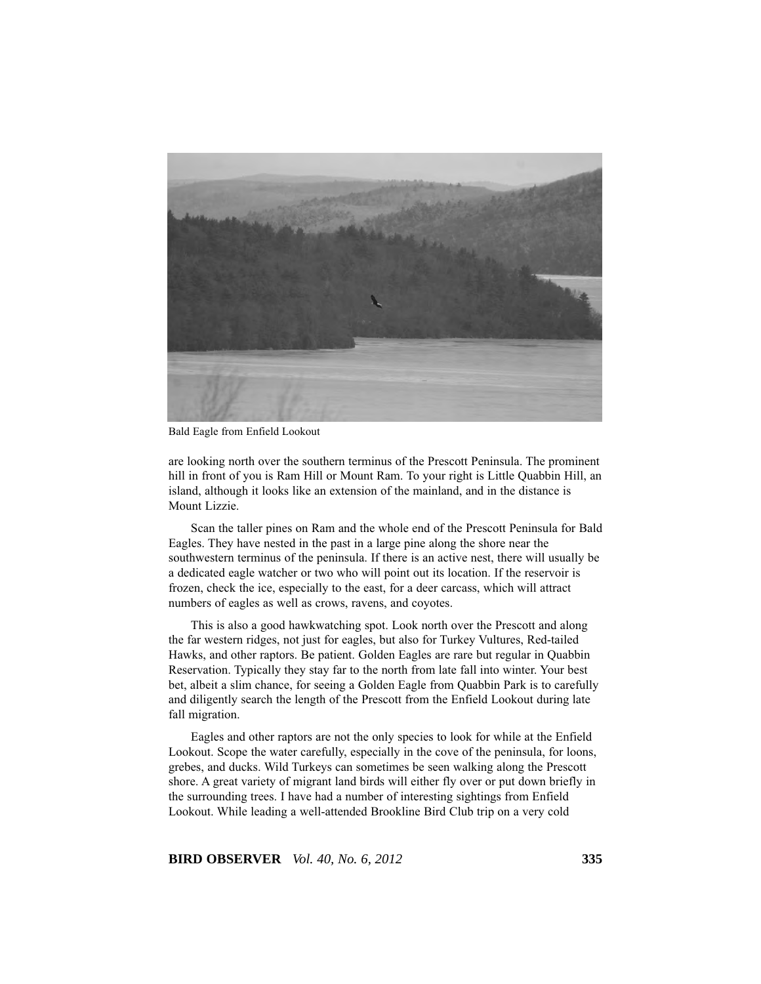

Bald Eagle from Enfield Lookout

are looking north over the southern terminus of the Prescott Peninsula. The prominent hill in front of you is Ram Hill or Mount Ram. To your right is Little Quabbin Hill, an island, although it looks like an extension of the mainland, and in the distance is Mount Lizzie.

Scan the taller pines on Ram and the whole end of the Prescott Peninsula for Bald Eagles. They have nested in the past in a large pine along the shore near the southwestern terminus of the peninsula. If there is an active nest, there will usually be a dedicated eagle watcher or two who will point out its location. If the reservoir is frozen, check the ice, especially to the east, for a deer carcass, which will attract numbers of eagles as well as crows, ravens, and coyotes.

This is also a good hawkwatching spot. Look north over the Prescott and along the far western ridges, not just for eagles, but also for Turkey vultures, Red-tailed Hawks, and other raptors. Be patient. Golden Eagles are rare but regular in Quabbin Reservation. Typically they stay far to the north from late fall into winter. your best bet, albeit a slim chance, for seeing a Golden Eagle from Quabbin Park is to carefully and diligently search the length of the Prescott from the enfield lookout during late fall migration.

Eagles and other raptors are not the only species to look for while at the Enfield Lookout. Scope the water carefully, especially in the cove of the peninsula, for loons, grebes, and ducks. Wild Turkeys can sometimes be seen walking along the Prescott shore. A great variety of migrant land birds will either fly over or put down briefly in the surrounding trees. I have had a number of interesting sightings from enfield Lookout. While leading a well-attended Brookline Bird Club trip on a very cold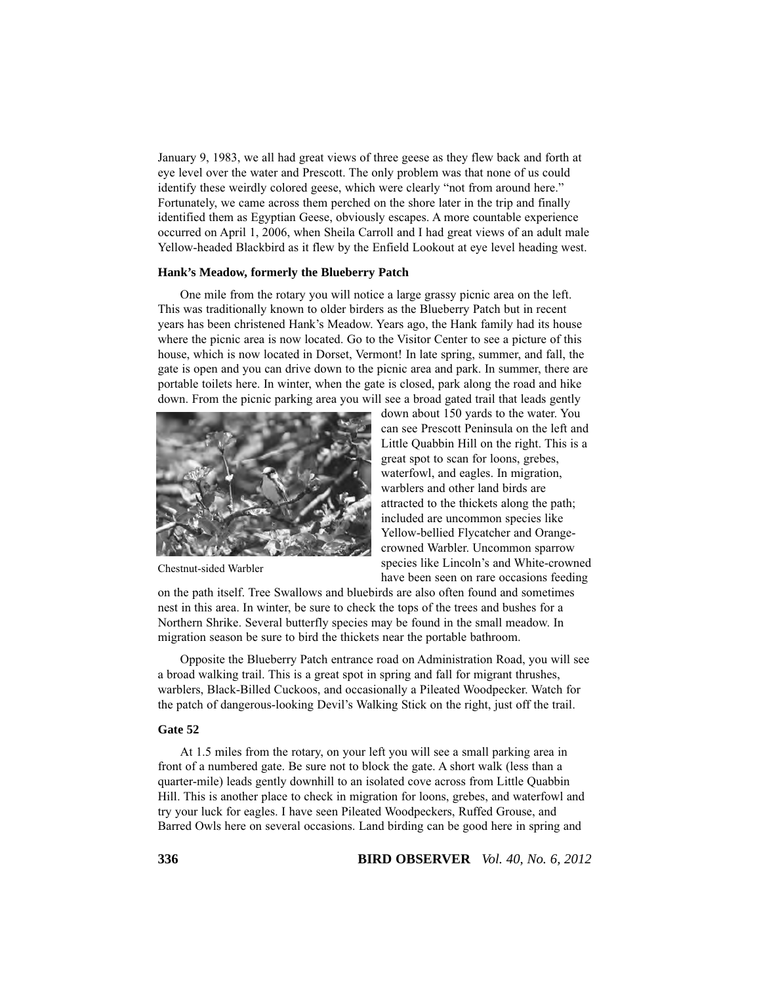January 9, 1983, we all had great views of three geese as they flew back and forth at eye level over the water and Prescott. The only problem was that none of us could identify these weirdly colored geese, which were clearly "not from around here." Fortunately, we came across them perched on the shore later in the trip and finally identified them as Egyptian Geese, obviously escapes. A more countable experience occurred on April 1, 2006, when Sheila Carroll and I had great views of an adult male Yellow-headed Blackbird as it flew by the Enfield Lookout at eye level heading west.

#### **Hank's Meadow, formerly the Blueberry Patch**

One mile from the rotary you will notice a large grassy picnic area on the left. This was traditionally known to older birders as the Blueberry Patch but in recent years has been christened Hank's Meadow. years ago, the Hank family had its house where the picnic area is now located. Go to the Visitor Center to see a picture of this house, which is now located in Dorset, vermont! In late spring, summer, and fall, the gate is open and you can drive down to the picnic area and park. In summer, there are portable toilets here. In winter, when the gate is closed, park along the road and hike down. From the picnic parking area you will see a broad gated trail that leads gently



Chestnut-sided Warbler

down about 150 yards to the water. You can see Prescott Peninsula on the left and Little Quabbin Hill on the right. This is a great spot to scan for loons, grebes, waterfowl, and eagles. In migration, warblers and other land birds are attracted to the thickets along the path; included are uncommon species like Yellow-bellied Flycatcher and Orangecrowned Warbler. Uncommon sparrow species like lincoln's and White-crowned have been seen on rare occasions feeding

on the path itself. Tree Swallows and bluebirds are also often found and sometimes nest in this area. In winter, be sure to check the tops of the trees and bushes for a Northern Shrike. Several butterfly species may be found in the small meadow. In migration season be sure to bird the thickets near the portable bathroom.

Opposite the Blueberry Patch entrance road on Administration Road, you will see a broad walking trail. This is a great spot in spring and fall for migrant thrushes, warblers, Black-Billed Cuckoos, and occasionally a Pileated Woodpecker. Watch for the patch of dangerous-looking Devil's Walking Stick on the right, just off the trail.

#### **Gate 52**

At 1.5 miles from the rotary, on your left you will see a small parking area in front of a numbered gate. Be sure not to block the gate. A short walk (less than a quarter-mile) leads gently downhill to an isolated cove across from little Quabbin Hill. This is another place to check in migration for loons, grebes, and waterfowl and try your luck for eagles. I have seen Pileated Woodpeckers, Ruffed Grouse, and Barred Owls here on several occasions. land birding can be good here in spring and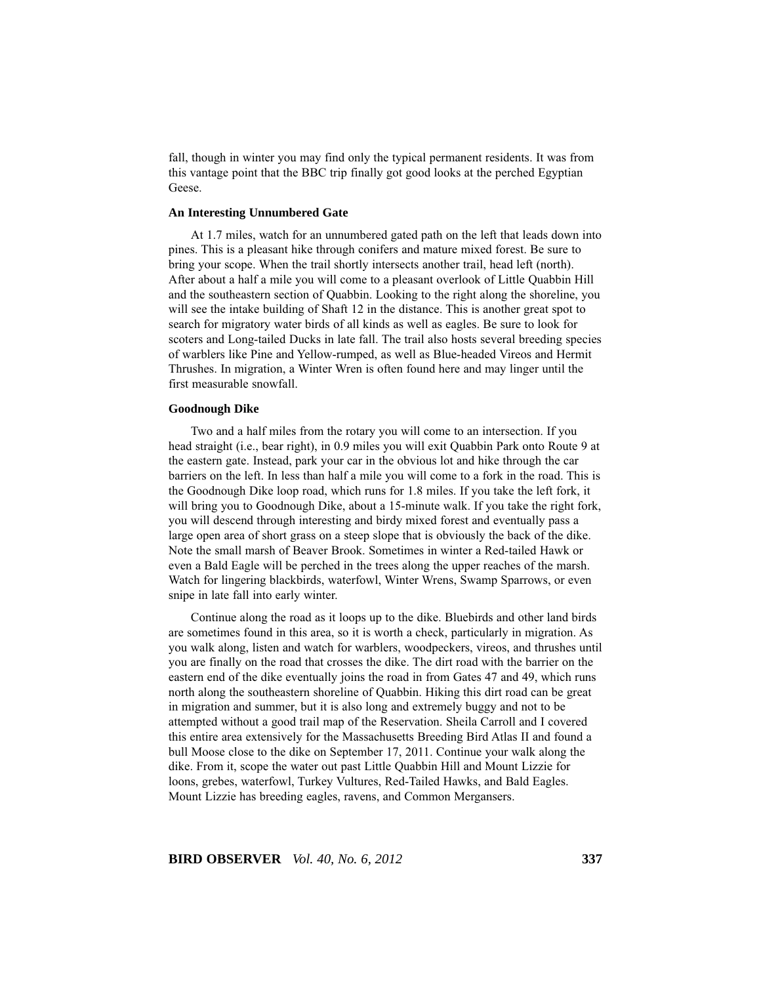fall, though in winter you may find only the typical permanent residents. It was from this vantage point that the BBC trip finally got good looks at the perched Egyptian Geese.

#### **An Interesting Unnumbered Gate**

At 1.7 miles, watch for an unnumbered gated path on the left that leads down into pines. This is a pleasant hike through conifers and mature mixed forest. Be sure to bring your scope. When the trail shortly intersects another trail, head left (north). After about a half a mile you will come to a pleasant overlook of little Quabbin Hill and the southeastern section of Quabbin. looking to the right along the shoreline, you will see the intake building of Shaft 12 in the distance. This is another great spot to search for migratory water birds of all kinds as well as eagles. Be sure to look for scoters and long-tailed Ducks in late fall. The trail also hosts several breeding species of warblers like Pine and yellow-rumped, as well as Blue-headed vireos and Hermit Thrushes. In migration, a Winter Wren is often found here and may linger until the first measurable snowfall.

#### **Goodnough Dike**

Two and a half miles from the rotary you will come to an intersection. If you head straight (i.e., bear right), in 0.9 miles you will exit Quabbin Park onto Route 9 at the eastern gate. Instead, park your car in the obvious lot and hike through the car barriers on the left. In less than half a mile you will come to a fork in the road. This is the goodnough Dike loop road, which runs for 1.8 miles. If you take the left fork, it will bring you to Goodnough Dike, about a 15-minute walk. If you take the right fork, you will descend through interesting and birdy mixed forest and eventually pass a large open area of short grass on a steep slope that is obviously the back of the dike. Note the small marsh of Beaver Brook. Sometimes in winter a Red-tailed Hawk or even a Bald Eagle will be perched in the trees along the upper reaches of the marsh. Watch for lingering blackbirds, waterfowl, Winter Wrens, Swamp Sparrows, or even snipe in late fall into early winter.

Continue along the road as it loops up to the dike. Bluebirds and other land birds are sometimes found in this area, so it is worth a check, particularly in migration. As you walk along, listen and watch for warblers, woodpeckers, vireos, and thrushes until you are finally on the road that crosses the dike. The dirt road with the barrier on the eastern end of the dike eventually joins the road in from Gates 47 and 49, which runs north along the southeastern shoreline of Quabbin. Hiking this dirt road can be great in migration and summer, but it is also long and extremely buggy and not to be attempted without a good trail map of the Reservation. Sheila Carroll and I covered this entire area extensively for the Massachusetts Breeding Bird Atlas II and found a bull Moose close to the dike on September 17, 2011. Continue your walk along the dike. From it, scope the water out past little Quabbin Hill and Mount lizzie for loons, grebes, waterfowl, Turkey Vultures, Red-Tailed Hawks, and Bald Eagles. Mount lizzie has breeding eagles, ravens, and Common Mergansers.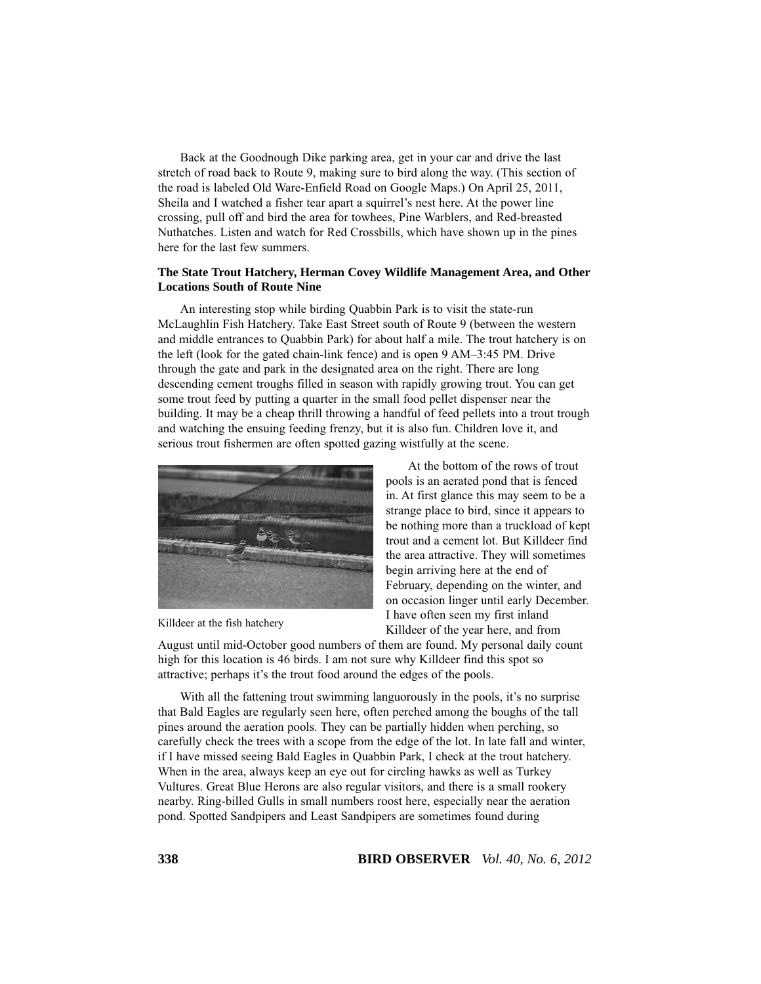Back at the Goodnough Dike parking area, get in your car and drive the last stretch of road back to Route 9, making sure to bird along the way. (This section of the road is labeled Old Ware-Enfield Road on Google Maps.) On April 25, 2011, Sheila and I watched a fisher tear apart a squirrel's nest here. At the power line crossing, pull off and bird the area for towhees, Pine Warblers, and Red-breasted Nuthatches. listen and watch for Red Crossbills, which have shown up in the pines here for the last few summers.

#### **The State Trout Hatchery, Herman Covey Wildlife Management Area, and Other Locations South of Route Nine**

An interesting stop while birding Quabbin Park is to visit the state-run McLaughlin Fish Hatchery. Take East Street south of Route 9 (between the western and middle entrances to Quabbin Park) for about half a mile. The trout hatchery is on the left (look for the gated chain-link fence) and is open 9 AM–3:45 PM. Drive through the gate and park in the designated area on the right. There are long descending cement troughs filled in season with rapidly growing trout. you can get some trout feed by putting a quarter in the small food pellet dispenser near the building. It may be a cheap thrill throwing a handful of feed pellets into a trout trough and watching the ensuing feeding frenzy, but it is also fun. Children love it, and serious trout fishermen are often spotted gazing wistfully at the scene.



killdeer at the fish hatchery

At the bottom of the rows of trout pools is an aerated pond that is fenced in. At first glance this may seem to be a strange place to bird, since it appears to be nothing more than a truckload of kept trout and a cement lot. But killdeer find the area attractive. They will sometimes begin arriving here at the end of February, depending on the winter, and on occasion linger until early December. I have often seen my first inland killdeer of the year here, and from

August until mid-October good numbers of them are found. My personal daily count high for this location is 46 birds. I am not sure why killdeer find this spot so attractive; perhaps it's the trout food around the edges of the pools.

With all the fattening trout swimming languorously in the pools, it's no surprise that Bald Eagles are regularly seen here, often perched among the boughs of the tall pines around the aeration pools. They can be partially hidden when perching, so carefully check the trees with a scope from the edge of the lot. In late fall and winter, if I have missed seeing Bald Eagles in Quabbin Park, I check at the trout hatchery. When in the area, always keep an eye out for circling hawks as well as Turkey Vultures. Great Blue Herons are also regular visitors, and there is a small rookery nearby. Ring-billed gulls in small numbers roost here, especially near the aeration pond. Spotted Sandpipers and least Sandpipers are sometimes found during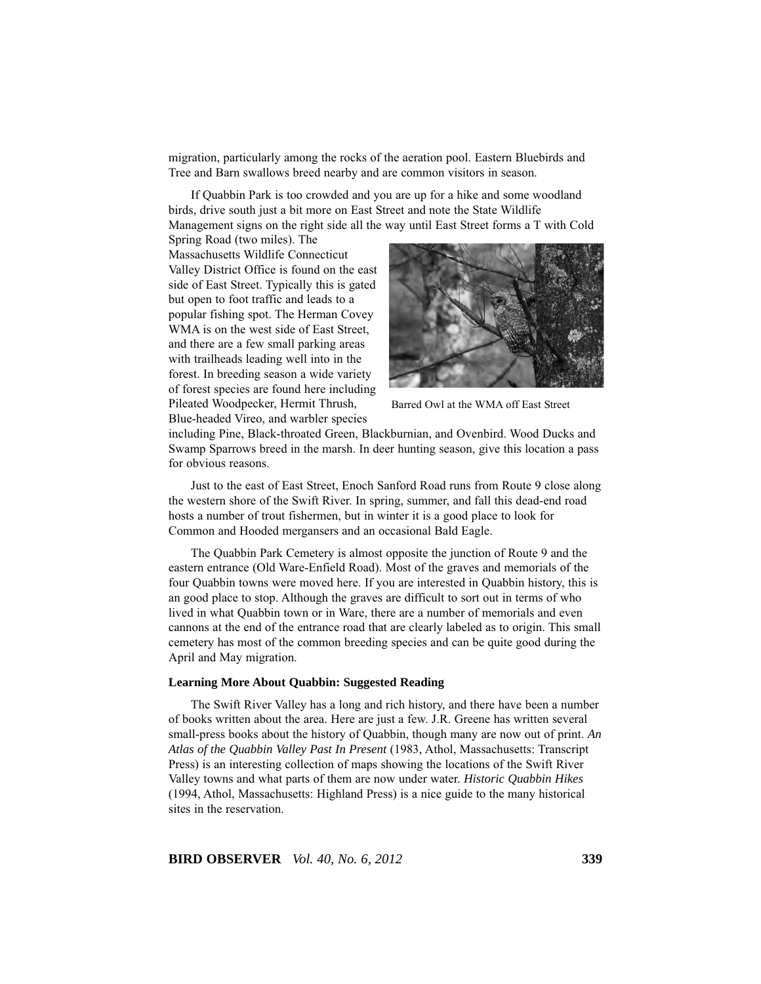migration, particularly among the rocks of the aeration pool. Eastern Bluebirds and Tree and Barn swallows breed nearby and are common visitors in season.

If Quabbin Park is too crowded and you are up for a hike and some woodland birds, drive south just a bit more on East Street and note the State Wildlife Management signs on the right side all the way until East Street forms a T with Cold

Spring Road (two miles). The Massachusetts Wildlife Connecticut valley District Office is found on the east side of East Street. Typically this is gated but open to foot traffic and leads to a popular fishing spot. The Herman Covey WMA is on the west side of East Street, and there are a few small parking areas with trailheads leading well into in the forest. In breeding season a wide variety of forest species are found here including Pileated Woodpecker, Hermit Thrush, Blue-headed vireo, and warbler species



Barred Owl at the WMA off East Street

including Pine, Black-throated green, Blackburnian, and Ovenbird. Wood Ducks and Swamp Sparrows breed in the marsh. In deer hunting season, give this location a pass for obvious reasons.

Just to the east of East Street, Enoch Sanford Road runs from Route 9 close along the western shore of the Swift River. In spring, summer, and fall this dead-end road hosts a number of trout fishermen, but in winter it is a good place to look for Common and Hooded mergansers and an occasional Bald Eagle.

The Quabbin Park Cemetery is almost opposite the junction of Route 9 and the eastern entrance (Old Ware-Enfield Road). Most of the graves and memorials of the four Quabbin towns were moved here. If you are interested in Quabbin history, this is an good place to stop. Although the graves are difficult to sort out in terms of who lived in what Quabbin town or in Ware, there are a number of memorials and even cannons at the end of the entrance road that are clearly labeled as to origin. This small cemetery has most of the common breeding species and can be quite good during the April and May migration.

#### **Learning More About Quabbin: Suggested Reading**

The Swift River valley has a long and rich history, and there have been a number of books written about the area. Here are just a few. J.R. greene has written several small-press books about the history of Quabbin, though many are now out of print. *An Atlas of the Quabbin Valley Past In Present* (1983, Athol, Massachusetts: Transcript Press) is an interesting collection of maps showing the locations of the Swift River valley towns and what parts of them are now under water. *Historic Quabbin Hikes* (1994, Athol, Massachusetts: Highland Press) is a nice guide to the many historical sites in the reservation.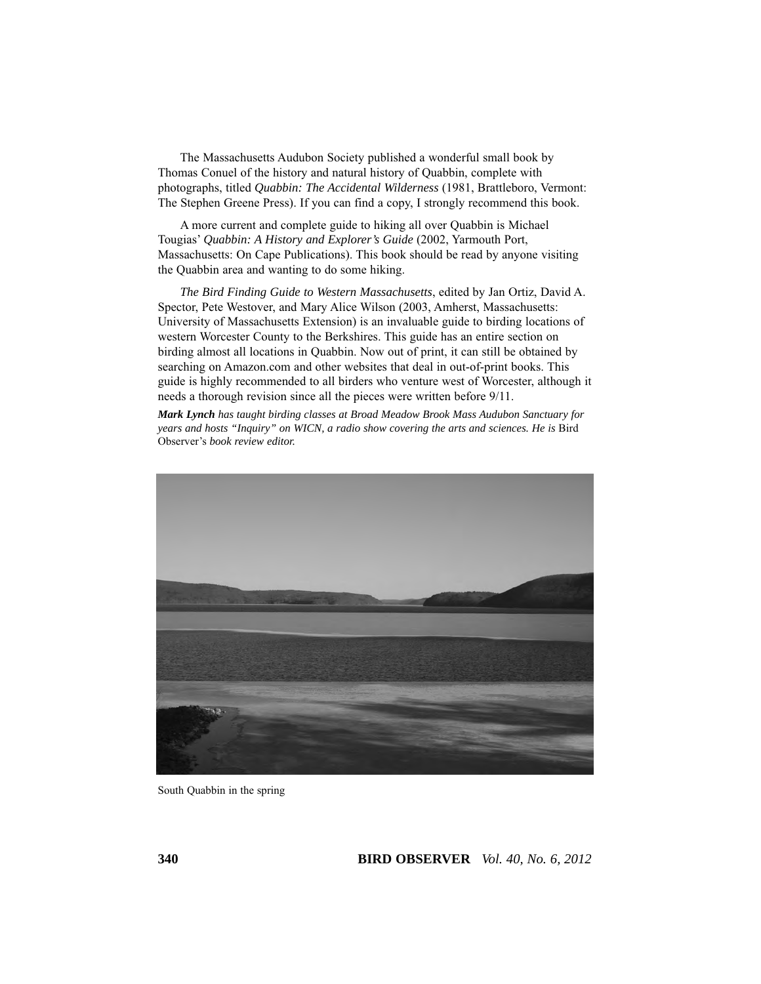The Massachusetts Audubon Society published a wonderful small book by Thomas Conuel of the history and natural history of Quabbin, complete with photographs, titled *Quabbin: The Accidental Wilderness* (1981, Brattleboro, vermont: The Stephen Greene Press). If you can find a copy, I strongly recommend this book.

A more current and complete guide to hiking all over Quabbin is Michael Tougias' *Quabbin: A History and Explorer's Guide* (2002, yarmouth Port, Massachusetts: On Cape Publications). This book should be read by anyone visiting the Quabbin area and wanting to do some hiking.

*The Bird Finding Guide to Western Massachusetts*, edited by Jan Ortiz, David A. Spector, Pete Westover, and Mary Alice Wilson (2003, Amherst, Massachusetts: University of Massachusetts Extension) is an invaluable guide to birding locations of western Worcester County to the Berkshires. This guide has an entire section on birding almost all locations in Quabbin. Now out of print, it can still be obtained by searching on Amazon.com and other websites that deal in out-of-print books. This guide is highly recommended to all birders who venture west of Worcester, although it needs a thorough revision since all the pieces were written before 9/11.

*Mark Lynch has taught birding classes at Broad Meadow Brook Mass Audubon Sanctuary for years and hosts "Inquiry" on WICN, a radio show covering the arts and sciences. He is Bird* Observer's *book review editor.* 



South Quabbin in the spring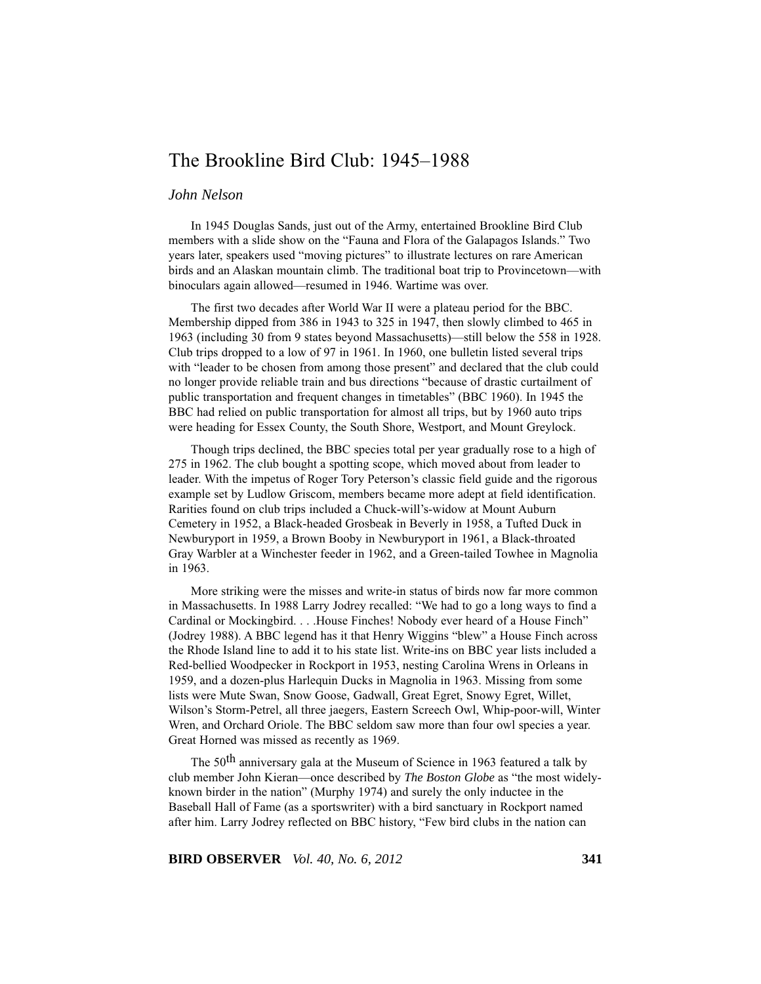### The Brookline Bird Club: 1945–1988

#### *John Nelson*

In 1945 Douglas Sands, just out of the Army, entertained Brookline Bird Club members with a slide show on the "Fauna and Flora of the galapagos Islands." Two years later, speakers used "moving pictures" to illustrate lectures on rare American birds and an Alaskan mountain climb. The traditional boat trip to Provincetown—with binoculars again allowed—resumed in 1946. Wartime was over.

The first two decades after World War II were a plateau period for the BBC. Membership dipped from 386 in 1943 to 325 in 1947, then slowly climbed to 465 in 1963 (including 30 from 9 states beyond Massachusetts)—still below the 558 in 1928. Club trips dropped to a low of 97 in 1961. In 1960, one bulletin listed several trips with "leader to be chosen from among those present" and declared that the club could no longer provide reliable train and bus directions "because of drastic curtailment of public transportation and frequent changes in timetables" (BBC 1960). In 1945 the BBC had relied on public transportation for almost all trips, but by 1960 auto trips were heading for Essex County, the South Shore, Westport, and Mount Greylock.

Though trips declined, the BBC species total per year gradually rose to a high of 275 in 1962. The club bought a spotting scope, which moved about from leader to leader. With the impetus of Roger Tory Peterson's classic field guide and the rigorous example set by Ludlow Griscom, members became more adept at field identification. Rarities found on club trips included a Chuck-will's-widow at Mount Auburn Cemetery in 1952, a Black-headed grosbeak in Beverly in 1958, a Tufted Duck in Newburyport in 1959, a Brown Booby in Newburyport in 1961, a Black-throated Gray Warbler at a Winchester feeder in 1962, and a Green-tailed Towhee in Magnolia in 1963.

More striking were the misses and write-in status of birds now far more common in Massachusetts. In 1988 larry Jodrey recalled: "We had to go a long ways to find a Cardinal or Mockingbird. . . .House Finches! Nobody ever heard of a House Finch" (Jodrey 1988). A BBC legend has it that Henry Wiggins "blew" a House Finch across the Rhode Island line to add it to his state list. Write-ins on BBC year lists included a Red-bellied Woodpecker in Rockport in 1953, nesting Carolina Wrens in Orleans in 1959, and a dozen-plus Harlequin Ducks in Magnolia in 1963. Missing from some lists were Mute Swan, Snow goose, gadwall, great egret, Snowy egret, Willet, Wilson's Storm-Petrel, all three jaegers, Eastern Screech Owl, Whip-poor-will, Winter Wren, and Orchard Oriole. The BBC seldom saw more than four owl species a year. Great Horned was missed as recently as 1969.

The 50<sup>th</sup> anniversary gala at the Museum of Science in 1963 featured a talk by club member John kieran—once described by *The Boston Globe* as "the most widelyknown birder in the nation" (Murphy 1974) and surely the only inductee in the Baseball Hall of Fame (as a sportswriter) with a bird sanctuary in Rockport named after him. larry Jodrey reflected on BBC history, "Few bird clubs in the nation can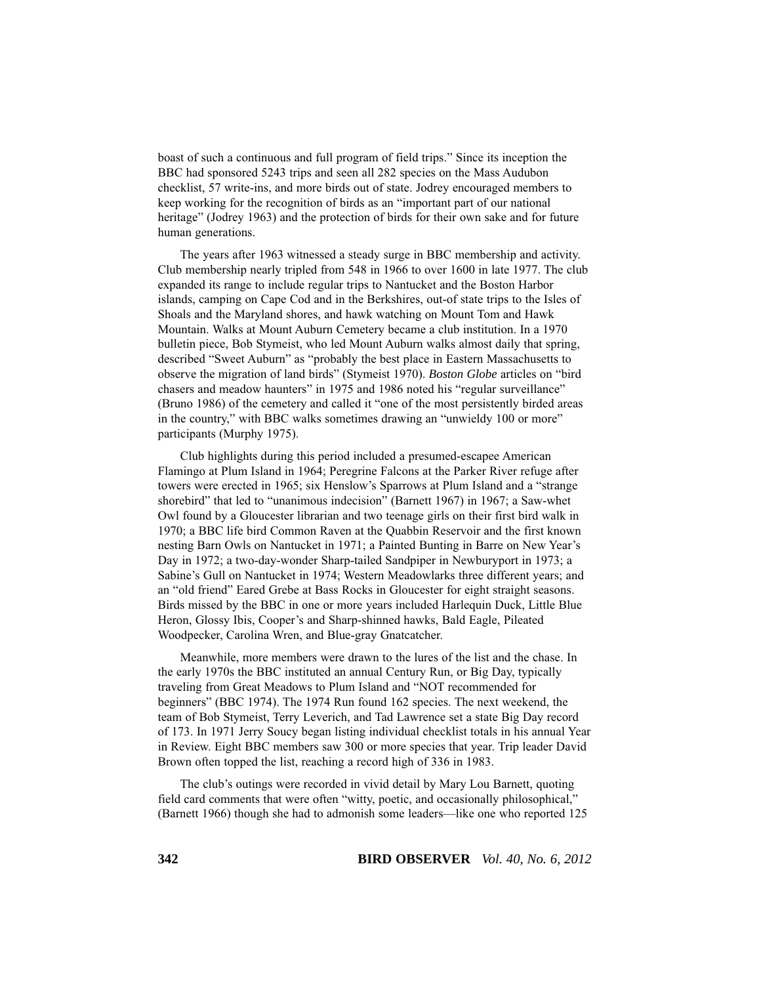boast of such a continuous and full program of field trips." Since its inception the BBC had sponsored 5243 trips and seen all 282 species on the Mass Audubon checklist, 57 write-ins, and more birds out of state. Jodrey encouraged members to keep working for the recognition of birds as an "important part of our national heritage" (Jodrey 1963) and the protection of birds for their own sake and for future human generations.

The years after 1963 witnessed a steady surge in BBC membership and activity. Club membership nearly tripled from 548 in 1966 to over 1600 in late 1977. The club expanded its range to include regular trips to Nantucket and the Boston Harbor islands, camping on Cape Cod and in the Berkshires, out-of state trips to the Isles of Shoals and the Maryland shores, and hawk watching on Mount Tom and Hawk Mountain. Walks at Mount Auburn Cemetery became a club institution. In a 1970 bulletin piece, Bob Stymeist, who led Mount Auburn walks almost daily that spring, described "Sweet Auburn" as "probably the best place in Eastern Massachusetts to observe the migration of land birds" (Stymeist 1970). *Boston Globe* articles on "bird chasers and meadow haunters" in 1975 and 1986 noted his "regular surveillance" (Bruno 1986) of the cemetery and called it "one of the most persistently birded areas in the country," with BBC walks sometimes drawing an "unwieldy 100 or more" participants (Murphy 1975).

Club highlights during this period included a presumed-escapee American Flamingo at Plum Island in 1964; Peregrine Falcons at the Parker River refuge after towers were erected in 1965; six Henslow's Sparrows at Plum Island and a "strange shorebird" that led to "unanimous indecision" (Barnett 1967) in 1967; a Saw-whet Owl found by a Gloucester librarian and two teenage girls on their first bird walk in 1970; a BBC life bird Common Raven at the Quabbin Reservoir and the first known nesting Barn Owls on Nantucket in 1971; a Painted Bunting in Barre on New year's Day in 1972; a two-day-wonder Sharp-tailed Sandpiper in Newburyport in 1973; a Sabine's gull on Nantucket in 1974; Western Meadowlarks three different years; and an "old friend" Eared Grebe at Bass Rocks in Gloucester for eight straight seasons. Birds missed by the BBC in one or more years included Harlequin Duck, little Blue Heron, Glossy Ibis, Cooper's and Sharp-shinned hawks, Bald Eagle, Pileated Woodpecker, Carolina Wren, and Blue-gray Gnatcatcher.

Meanwhile, more members were drawn to the lures of the list and the chase. In the early 1970s the BBC instituted an annual Century Run, or Big Day, typically traveling from great Meadows to Plum Island and "NOT recommended for beginners" (BBC 1974). The 1974 Run found 162 species. The next weekend, the team of Bob Stymeist, Terry leverich, and Tad lawrence set a state Big Day record of 173. In 1971 Jerry Soucy began listing individual checklist totals in his annual year in Review. Eight BBC members saw 300 or more species that year. Trip leader David Brown often topped the list, reaching a record high of 336 in 1983.

The club's outings were recorded in vivid detail by Mary lou Barnett, quoting field card comments that were often "witty, poetic, and occasionally philosophical," (Barnett 1966) though she had to admonish some leaders—like one who reported 125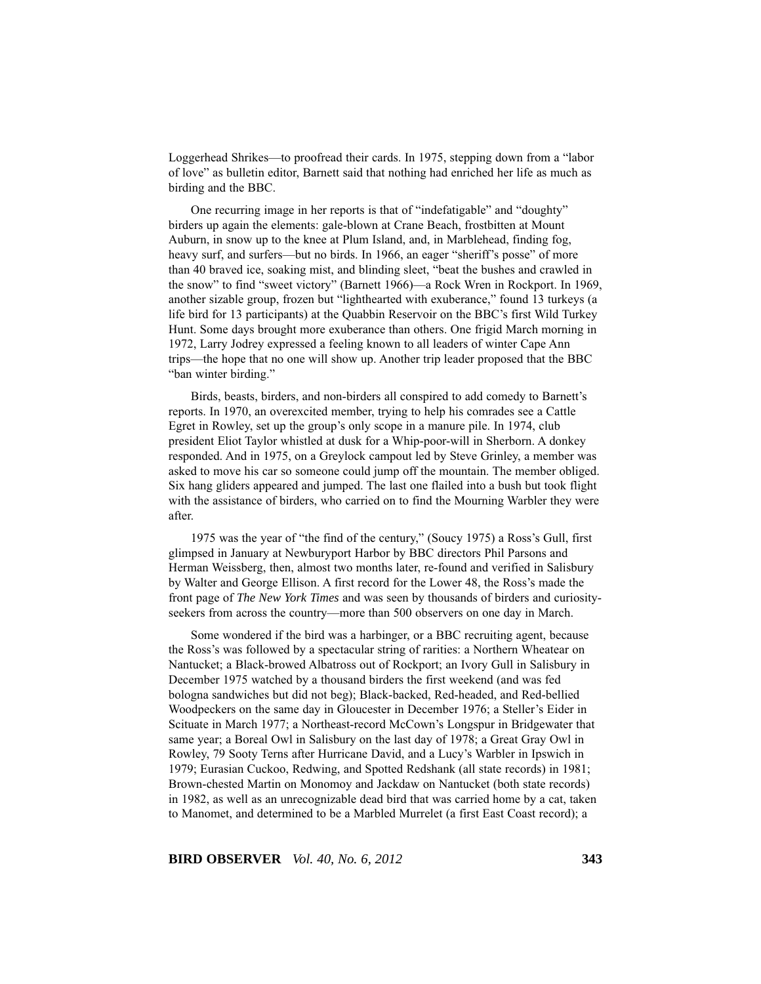loggerhead Shrikes—to proofread their cards. In 1975, stepping down from a "labor of love" as bulletin editor, Barnett said that nothing had enriched her life as much as birding and the BBC.

One recurring image in her reports is that of "indefatigable" and "doughty" birders up again the elements: gale-blown at Crane Beach, frostbitten at Mount Auburn, in snow up to the knee at Plum Island, and, in Marblehead, finding fog, heavy surf, and surfers—but no birds. In 1966, an eager "sheriff's posse" of more than 40 braved ice, soaking mist, and blinding sleet, "beat the bushes and crawled in the snow" to find "sweet victory" (Barnett 1966)—a Rock Wren in Rockport. In 1969, another sizable group, frozen but "lighthearted with exuberance," found 13 turkeys (a life bird for 13 participants) at the Quabbin Reservoir on the BBC's first Wild Turkey Hunt. Some days brought more exuberance than others. One frigid March morning in 1972, larry Jodrey expressed a feeling known to all leaders of winter Cape Ann trips—the hope that no one will show up. Another trip leader proposed that the BBC "ban winter birding."

Birds, beasts, birders, and non-birders all conspired to add comedy to Barnett's reports. In 1970, an overexcited member, trying to help his comrades see a Cattle Egret in Rowley, set up the group's only scope in a manure pile. In 1974, club president eliot Taylor whistled at dusk for a Whip-poor-will in Sherborn. A donkey responded. And in 1975, on a Greylock campout led by Steve Grinley, a member was asked to move his car so someone could jump off the mountain. The member obliged. Six hang gliders appeared and jumped. The last one flailed into a bush but took flight with the assistance of birders, who carried on to find the Mourning Warbler they were after.

1975 was the year of "the find of the century," (Soucy 1975) a Ross's Gull, first glimpsed in January at Newburyport Harbor by BBC directors Phil Parsons and Herman Weissberg, then, almost two months later, re-found and verified in Salisbury by Walter and george ellison. A first record for the lower 48, the Ross's made the front page of *The New York Times* and was seen by thousands of birders and curiosityseekers from across the country—more than 500 observers on one day in March.

Some wondered if the bird was a harbinger, or a BBC recruiting agent, because the Ross's was followed by a spectacular string of rarities: a Northern Wheatear on Nantucket; a Black-browed Albatross out of Rockport; an Ivory gull in Salisbury in December 1975 watched by a thousand birders the first weekend (and was fed bologna sandwiches but did not beg); Black-backed, Red-headed, and Red-bellied Woodpeckers on the same day in Gloucester in December 1976; a Steller's Eider in Scituate in March 1977; a Northeast-record McCown's longspur in Bridgewater that same year; a Boreal Owl in Salisbury on the last day of 1978; a Great Gray Owl in Rowley, 79 Sooty Terns after Hurricane David, and a lucy's Warbler in Ipswich in 1979; eurasian Cuckoo, Redwing, and Spotted Redshank (all state records) in 1981; Brown-chested Martin on Monomoy and Jackdaw on Nantucket (both state records) in 1982, as well as an unrecognizable dead bird that was carried home by a cat, taken to Manomet, and determined to be a Marbled Murrelet (a first East Coast record); a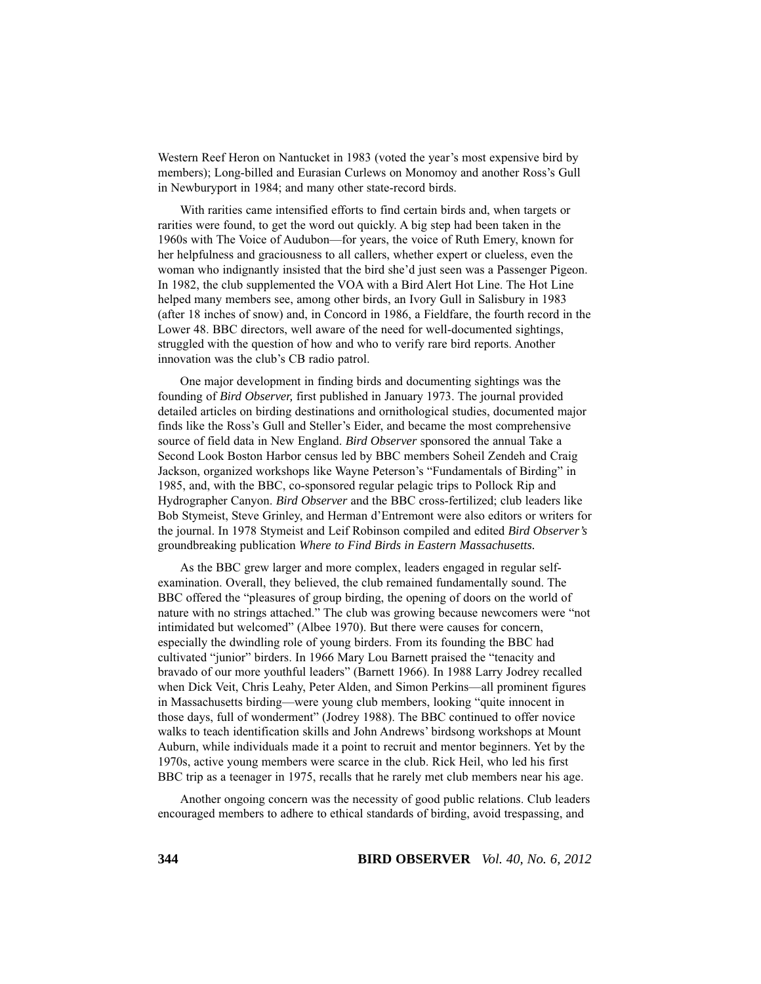Western Reef Heron on Nantucket in 1983 (voted the year's most expensive bird by members); Long-billed and Eurasian Curlews on Monomoy and another Ross's Gull in Newburyport in 1984; and many other state-record birds.

With rarities came intensified efforts to find certain birds and, when targets or rarities were found, to get the word out quickly. A big step had been taken in the 1960s with The Voice of Audubon—for years, the voice of Ruth Emery, known for her helpfulness and graciousness to all callers, whether expert or clueless, even the woman who indignantly insisted that the bird she'd just seen was a Passenger Pigeon. In 1982, the club supplemented the vOA with a Bird Alert Hot line. The Hot line helped many members see, among other birds, an Ivory Gull in Salisbury in 1983 (after 18 inches of snow) and, in Concord in 1986, a Fieldfare, the fourth record in the Lower 48. BBC directors, well aware of the need for well-documented sightings, struggled with the question of how and who to verify rare bird reports. Another innovation was the club's CB radio patrol.

One major development in finding birds and documenting sightings was the founding of *Bird Observer,* first published in January 1973. The journal provided detailed articles on birding destinations and ornithological studies, documented major finds like the Ross's Gull and Steller's Eider, and became the most comprehensive source of field data in New England. *Bird Observer* sponsored the annual Take a Second look Boston Harbor census led by BBC members Soheil Zendeh and Craig Jackson, organized workshops like Wayne Peterson's "Fundamentals of Birding" in 1985, and, with the BBC, co-sponsored regular pelagic trips to Pollock Rip and Hydrographer Canyon. *Bird Observer* and the BBC cross-fertilized; club leaders like Bob Stymeist, Steve grinley, and Herman d'entremont were also editors or writers for the journal. In 1978 Stymeist and leif Robinson compiled and edited *Bird Observer's* groundbreaking publication *Where to Find Birds in Eastern Massachusetts.*

As the BBC grew larger and more complex, leaders engaged in regular selfexamination. Overall, they believed, the club remained fundamentally sound. The BBC offered the "pleasures of group birding, the opening of doors on the world of nature with no strings attached." The club was growing because newcomers were "not intimidated but welcomed" (Albee 1970). But there were causes for concern, especially the dwindling role of young birders. From its founding the BBC had cultivated "junior" birders. In 1966 Mary lou Barnett praised the "tenacity and bravado of our more youthful leaders" (Barnett 1966). In 1988 larry Jodrey recalled when Dick veit, Chris leahy, Peter Alden, and Simon Perkins—all prominent figures in Massachusetts birding—were young club members, looking "quite innocent in those days, full of wonderment" (Jodrey 1988). The BBC continued to offer novice walks to teach identification skills and John Andrews' birdsong workshops at Mount Auburn, while individuals made it a point to recruit and mentor beginners. yet by the 1970s, active young members were scarce in the club. Rick Heil, who led his first BBC trip as a teenager in 1975, recalls that he rarely met club members near his age.

Another ongoing concern was the necessity of good public relations. Club leaders encouraged members to adhere to ethical standards of birding, avoid trespassing, and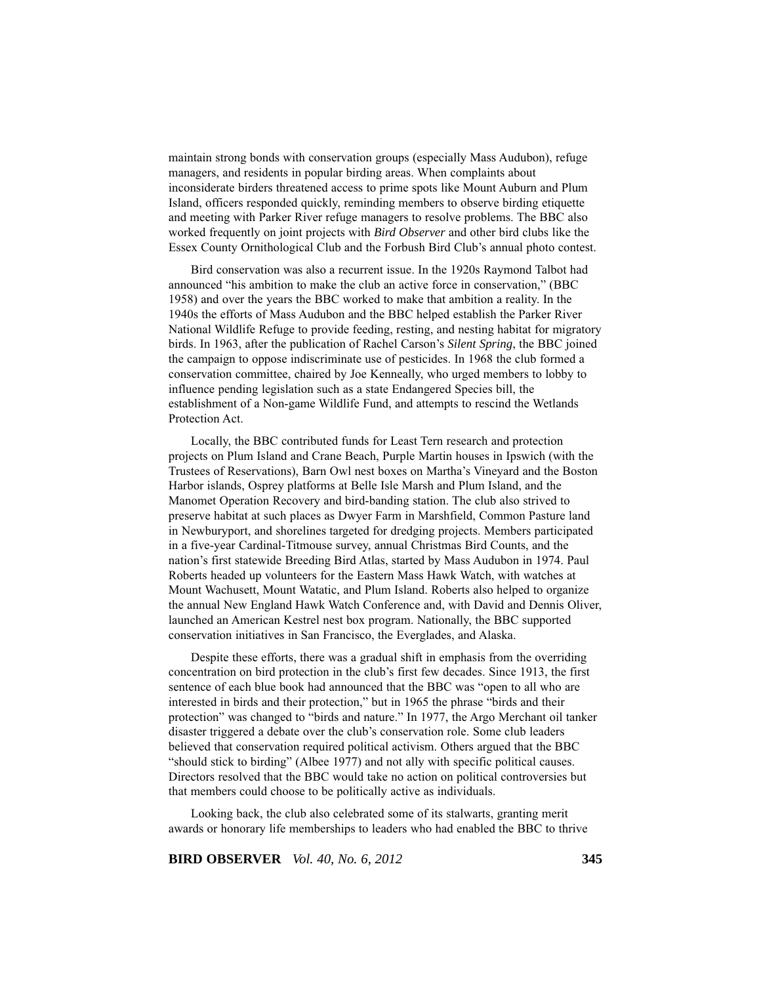maintain strong bonds with conservation groups (especially Mass Audubon), refuge managers, and residents in popular birding areas. When complaints about inconsiderate birders threatened access to prime spots like Mount Auburn and Plum Island, officers responded quickly, reminding members to observe birding etiquette and meeting with Parker River refuge managers to resolve problems. The BBC also worked frequently on joint projects with *Bird Observer* and other bird clubs like the Essex County Ornithological Club and the Forbush Bird Club's annual photo contest.

Bird conservation was also a recurrent issue. In the 1920s Raymond Talbot had announced "his ambition to make the club an active force in conservation," (BBC 1958) and over the years the BBC worked to make that ambition a reality. In the 1940s the efforts of Mass Audubon and the BBC helped establish the Parker River National Wildlife Refuge to provide feeding, resting, and nesting habitat for migratory birds. In 1963, after the publication of Rachel Carson's *Silent Spring*, the BBC joined the campaign to oppose indiscriminate use of pesticides. In 1968 the club formed a conservation committee, chaired by Joe kenneally, who urged members to lobby to influence pending legislation such as a state Endangered Species bill, the establishment of a Non-game Wildlife Fund, and attempts to rescind the Wetlands Protection Act.

Locally, the BBC contributed funds for Least Tern research and protection projects on Plum Island and Crane Beach, Purple Martin houses in Ipswich (with the Trustees of Reservations), Barn Owl nest boxes on Martha's vineyard and the Boston Harbor islands, Osprey platforms at Belle Isle Marsh and Plum Island, and the Manomet Operation Recovery and bird-banding station. The club also strived to preserve habitat at such places as Dwyer Farm in Marshfield, Common Pasture land in Newburyport, and shorelines targeted for dredging projects. Members participated in a five-year Cardinal-Titmouse survey, annual Christmas Bird Counts, and the nation's first statewide Breeding Bird Atlas, started by Mass Audubon in 1974. Paul Roberts headed up volunteers for the Eastern Mass Hawk Watch, with watches at Mount Wachusett, Mount Watatic, and Plum Island. Roberts also helped to organize the annual New england Hawk Watch Conference and, with David and Dennis Oliver, launched an American kestrel nest box program. Nationally, the BBC supported conservation initiatives in San Francisco, the Everglades, and Alaska.

Despite these efforts, there was a gradual shift in emphasis from the overriding concentration on bird protection in the club's first few decades. Since 1913, the first sentence of each blue book had announced that the BBC was "open to all who are interested in birds and their protection," but in 1965 the phrase "birds and their protection" was changed to "birds and nature." In 1977, the Argo Merchant oil tanker disaster triggered a debate over the club's conservation role. Some club leaders believed that conservation required political activism. Others argued that the BBC "should stick to birding" (Albee 1977) and not ally with specific political causes. Directors resolved that the BBC would take no action on political controversies but that members could choose to be politically active as individuals.

Looking back, the club also celebrated some of its stalwarts, granting merit awards or honorary life memberships to leaders who had enabled the BBC to thrive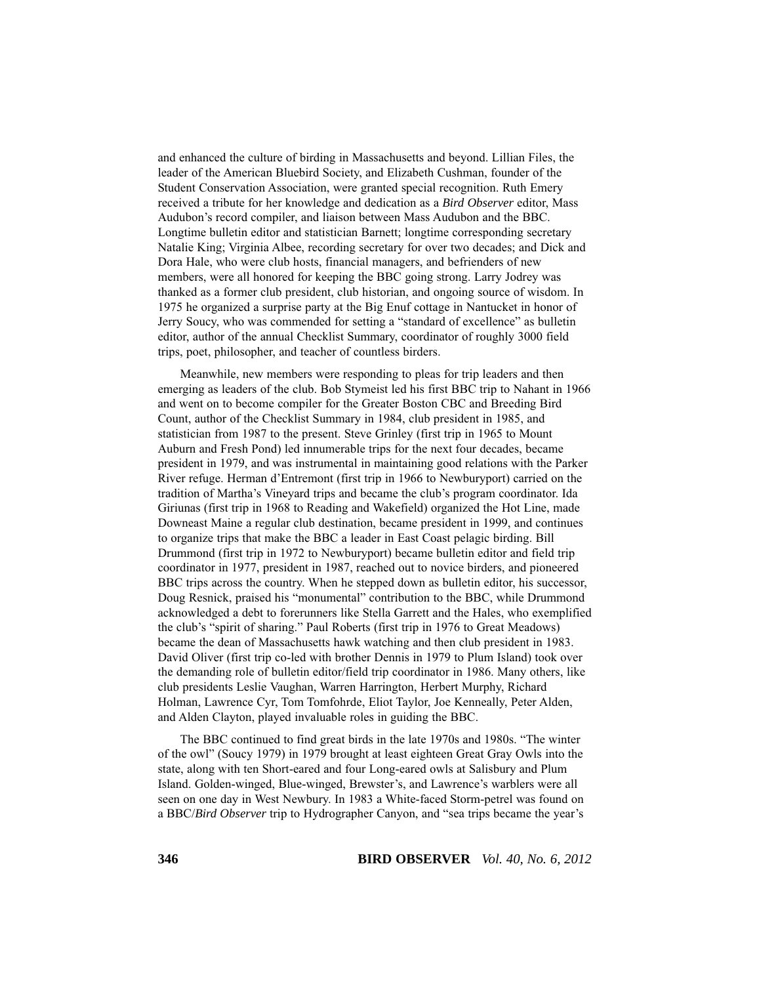and enhanced the culture of birding in Massachusetts and beyond. lillian Files, the leader of the American Bluebird Society, and elizabeth Cushman, founder of the Student Conservation Association, were granted special recognition. Ruth Emery received a tribute for her knowledge and dedication as a *Bird Observer* editor, Mass Audubon's record compiler, and liaison between Mass Audubon and the BBC. Longtime bulletin editor and statistician Barnett; longtime corresponding secretary Natalie king; virginia Albee, recording secretary for over two decades; and Dick and Dora Hale, who were club hosts, financial managers, and befrienders of new members, were all honored for keeping the BBC going strong. larry Jodrey was thanked as a former club president, club historian, and ongoing source of wisdom. In 1975 he organized a surprise party at the Big Enuf cottage in Nantucket in honor of Jerry Soucy, who was commended for setting a "standard of excellence" as bulletin editor, author of the annual Checklist Summary, coordinator of roughly 3000 field trips, poet, philosopher, and teacher of countless birders.

Meanwhile, new members were responding to pleas for trip leaders and then emerging as leaders of the club. Bob Stymeist led his first BBC trip to Nahant in 1966 and went on to become compiler for the greater Boston CBC and Breeding Bird Count, author of the Checklist Summary in 1984, club president in 1985, and statistician from 1987 to the present. Steve Grinley (first trip in 1965 to Mount Auburn and Fresh Pond) led innumerable trips for the next four decades, became president in 1979, and was instrumental in maintaining good relations with the Parker River refuge. Herman d'Entremont (first trip in 1966 to Newburyport) carried on the tradition of Martha's vineyard trips and became the club's program coordinator. Ida Giriunas (first trip in 1968 to Reading and Wakefield) organized the Hot Line, made Downeast Maine a regular club destination, became president in 1999, and continues to organize trips that make the BBC a leader in East Coast pelagic birding. Bill Drummond (first trip in 1972 to Newburyport) became bulletin editor and field trip coordinator in 1977, president in 1987, reached out to novice birders, and pioneered BBC trips across the country. When he stepped down as bulletin editor, his successor, Doug Resnick, praised his "monumental" contribution to the BBC, while Drummond acknowledged a debt to forerunners like Stella garrett and the Hales, who exemplified the club's "spirit of sharing." Paul Roberts (first trip in 1976 to Great Meadows) became the dean of Massachusetts hawk watching and then club president in 1983. David Oliver (first trip co-led with brother Dennis in 1979 to Plum Island) took over the demanding role of bulletin editor/field trip coordinator in 1986. Many others, like club presidents leslie vaughan, Warren Harrington, Herbert Murphy, Richard Holman, Lawrence Cyr, Tom Tomfohrde, Eliot Taylor, Joe Kenneally, Peter Alden, and Alden Clayton, played invaluable roles in guiding the BBC.

The BBC continued to find great birds in the late 1970s and 1980s. "The winter of the owl" (Soucy 1979) in 1979 brought at least eighteen great gray Owls into the state, along with ten Short-eared and four long-eared owls at Salisbury and Plum Island. golden-winged, Blue-winged, Brewster's, and lawrence's warblers were all seen on one day in West Newbury. In 1983 a White-faced Storm-petrel was found on a BBC/*Bird Observer* trip to Hydrographer Canyon, and "sea trips became the year's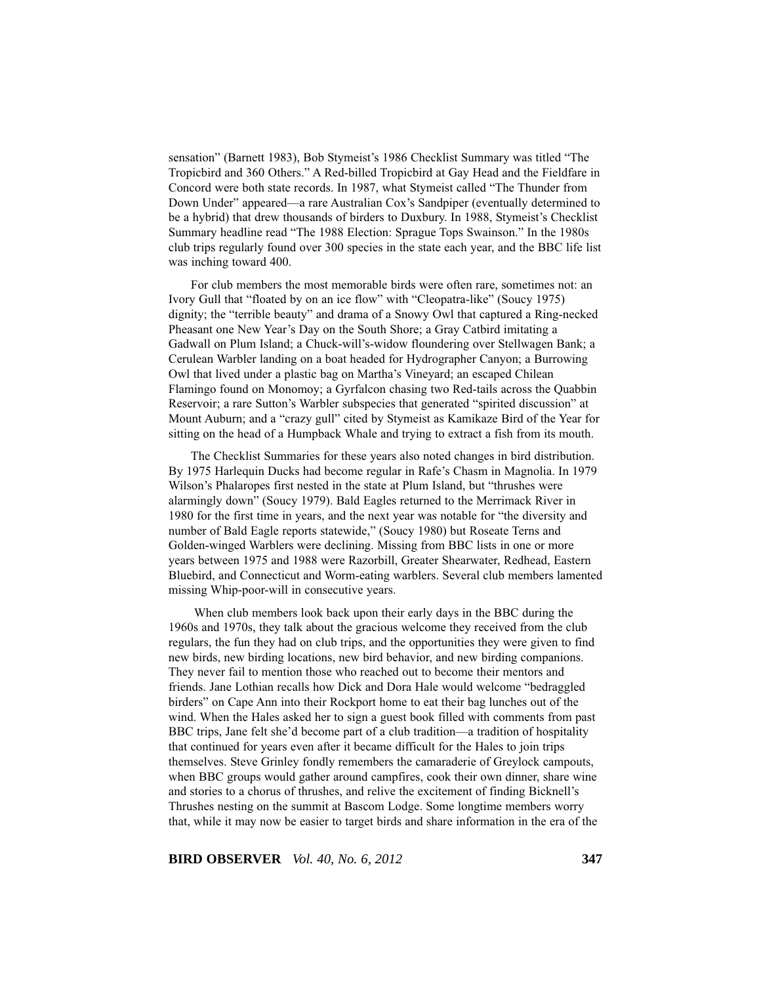sensation" (Barnett 1983), Bob Stymeist's 1986 Checklist Summary was titled "The Tropicbird and 360 Others." A Red-billed Tropicbird at gay Head and the Fieldfare in Concord were both state records. In 1987, what Stymeist called "The Thunder from Down Under" appeared —a rare Australian Cox's Sandpiper (eventually determined to be a hybrid) that drew thousands of birders to Duxbury. In 1988, Stymeist's Checklist Summary headline read "The 1988 election: Sprague Tops Swainson." In the 1980s club trips regularly found over 300 species in the state each year, and the BBC life list was inching toward 400.

For club members the most memorable birds were often rare, sometimes not: an Ivory gull that "floated by on an ice flow" with "Cleopatra-like" (Soucy 1975) dignity; the "terrible beauty" and drama of a Snowy Owl that captured a Ring-necked Pheasant one New Year's Day on the South Shore; a Gray Catbird imitating a gadwall on Plum Island; a Chuck-will's-widow floundering over Stellwagen Bank; a Cerulean Warbler landing on a boat headed for Hydrographer Canyon; a Burrowing Owl that lived under a plastic bag on Martha's vineyard; an escaped Chilean Flamingo found on Monomoy; a Gyrfalcon chasing two Red-tails across the Quabbin Reservoir; a rare Sutton's Warbler subspecies that generated "spirited discussion" at Mount Auburn; and a "crazy gull" cited by Stymeist as kamikaze Bird of the year for sitting on the head of a Humpback Whale and trying to extract a fish from its mouth.

The Checklist Summaries for these years also noted changes in bird distribution. By 1975 Harlequin Ducks had become regular in Rafe's Chasm in Magnolia. In 1979 Wilson's Phalaropes first nested in the state at Plum Island, but "thrushes were alarmingly down" (Soucy 1979). Bald Eagles returned to the Merrimack River in 1980 for the first time in years, and the next year was notable for "the diversity and number of Bald Eagle reports statewide," (Soucy 1980) but Roseate Terns and Golden-winged Warblers were declining. Missing from BBC lists in one or more years between 1975 and 1988 were Razorbill, Greater Shearwater, Redhead, Eastern Bluebird, and Connecticut and Worm-eating warblers. Several club members lamented missing Whip-poor-will in consecutive years.

When club members look back upon their early days in the BBC during the 1960s and 1970s, they talk about the gracious welcome they received from the club regulars, the fun they had on club trips, and the opportunities they were given to find new birds, new birding locations, new bird behavior, and new birding companions. They never fail to mention those who reached out to become their mentors and friends. Jane lothian recalls how Dick and Dora Hale would welcome "bedraggled birders" on Cape Ann into their Rockport home to eat their bag lunches out of the wind. When the Hales asked her to sign a guest book filled with comments from past BBC trips, Jane felt she'd become part of a club tradition—a tradition of hospitality that continued for years even after it became difficult for the Hales to join trips themselves. Steve Grinley fondly remembers the camaraderie of Greylock campouts, when BBC groups would gather around campfires, cook their own dinner, share wine and stories to a chorus of thrushes, and relive the excitement of finding Bicknell's Thrushes nesting on the summit at Bascom lodge. Some longtime members worry that, while it may now be easier to target birds and share information in the era of the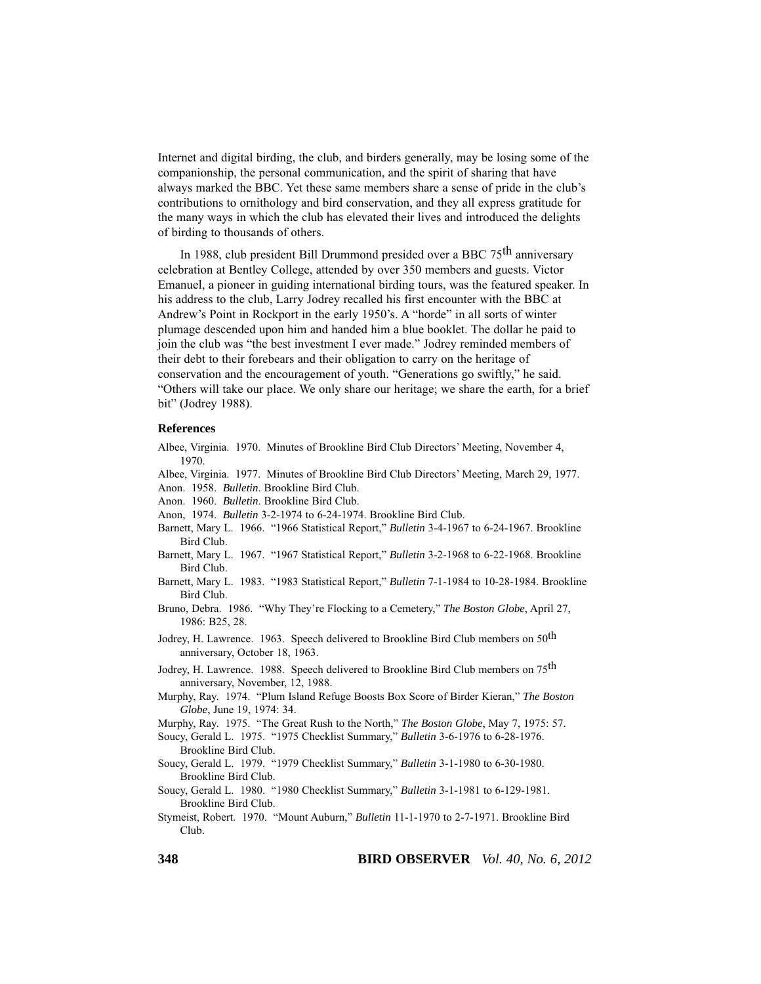Internet and digital birding, the club, and birders generally, may be losing some of the companionship, the personal communication, and the spirit of sharing that have always marked the BBC. yet these same members share a sense of pride in the club's contributions to ornithology and bird conservation, and they all express gratitude for the many ways in which the club has elevated their lives and introduced the delights of birding to thousands of others.

In 1988, club president Bill Drummond presided over a BBC  $75<sup>th</sup>$  anniversary celebration at Bentley College, attended by over 350 members and guests. victor Emanuel, a pioneer in guiding international birding tours, was the featured speaker. In his address to the club, larry Jodrey recalled his first encounter with the BBC at Andrew's Point in Rockport in the early 1950's. A "horde" in all sorts of winter plumage descended upon him and handed him a blue booklet. The dollar he paid to join the club was "the best investment I ever made." Jodrey reminded members of their debt to their forebears and their obligation to carry on the heritage of conservation and the encouragement of youth. "Generations go swiftly," he said. "Others will take our place. We only share our heritage; we share the earth, for a brief bit" (Jodrey 1988).

#### **References**

- Albee, virginia. 1970. Minutes of Brookline Bird Club Directors' Meeting, November 4, 1970.
- Albee, virginia. 1977. Minutes of Brookline Bird Club Directors' Meeting, March 29, 1977. Anon. 1958. *Bulletin*. Brookline Bird Club.
- Anon. 1960. *Bulletin*. Brookline Bird Club.
- Anon, 1974. *Bulletin* 3-2-1974 to 6-24-1974. Brookline Bird Club.
- Barnett, Mary l. 1966. "1966 Statistical Report," *Bulletin* 3-4-1967 to 6-24-1967. Brookline Bird Club.
- Barnett, Mary l. 1967. "1967 Statistical Report," *Bulletin* 3-2-1968 to 6-22-1968. Brookline Bird Club.
- Barnett, Mary l. 1983. "1983 Statistical Report," *Bulletin* 7-1-1984 to 10-28-1984. Brookline Bird Club.
- Bruno, Debra. 1986. "Why They're Flocking to a Cemetery," *The Boston Globe*, April 27, 1986: B25, 28.
- Jodrey, H. Lawrence. 1963. Speech delivered to Brookline Bird Club members on 50<sup>th</sup> anniversary, October 18, 1963.
- Jodrey, H. lawrence. 1988. Speech delivered to Brookline Bird Club members on 75th anniversary, November, 12, 1988.
- Murphy, Ray. 1974. "Plum Island Refuge Boosts Box Score of Birder kieran," *The Boston Globe*, June 19, 1974: 34.
- Murphy, Ray. 1975. "The great Rush to the North," *The Boston Globe*, May 7, 1975: 57.
- Soucy, gerald l. 1975. "1975 Checklist Summary," *Bulletin* 3-6-1976 to 6-28-1976. Brookline Bird Club.
- Soucy, gerald l. 1979. "1979 Checklist Summary," *Bulletin* 3-1-1980 to 6-30-1980. Brookline Bird Club.
- Soucy, gerald l. 1980. "1980 Checklist Summary," *Bulletin* 3-1-1981 to 6-129-1981. Brookline Bird Club.
- Stymeist, Robert. 1970. "Mount Auburn," *Bulletin* 11-1-1970 to 2-7-1971. Brookline Bird Club.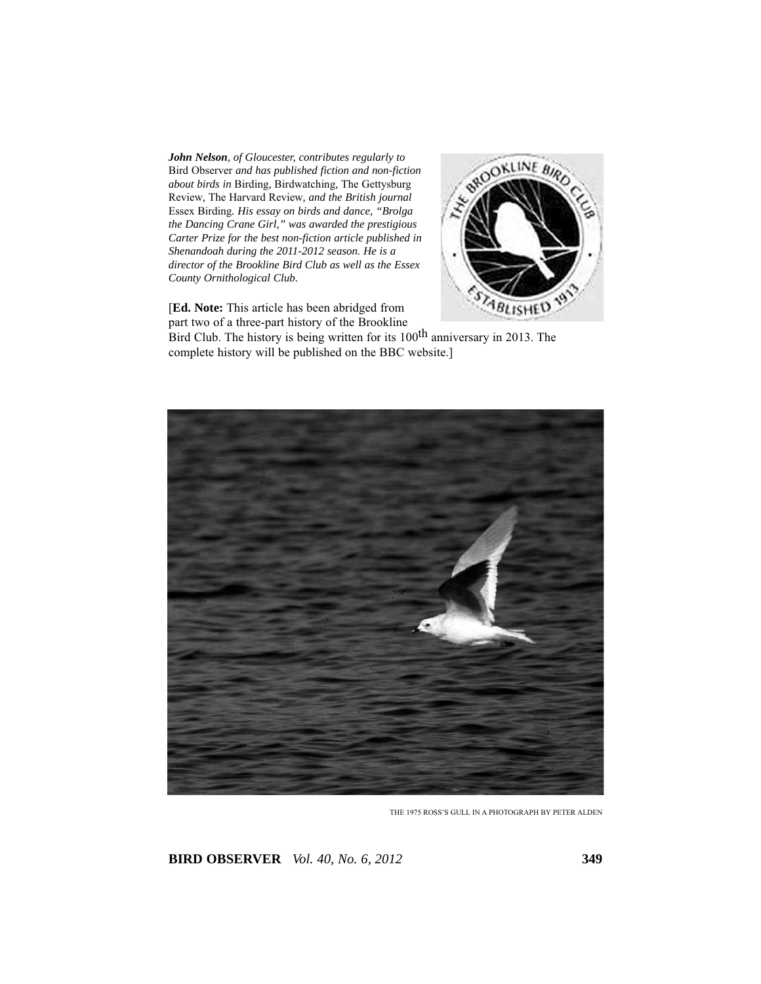*John Nelson, of Gloucester, contributes regularly to* Bird Observer *and has published fiction and non-fiction about birds in* Birding*,* Birdwatching*,* The gettysburg Review*,* The Harvard Review*, and the British journal* Essex Birding. His essay on birds and dance, "Brolga *the Dancing Crane Girl," was awarded the prestigious Carter Prize for the best non-fiction article published in Shenandoah during the 2011-2012 season. He is a director of the Brookline Bird Club as well as the Essex County Ornithological Club.* 



[**Ed. Note:** This article has been abridged from part two of a three-part history of the Brookline

Bird Club. The history is being written for its 100<sup>th</sup> anniversary in 2013. The complete history will be published on the BBC website.]



THe 1975 ROSS'S gUll IN A PHOTOgRAPH By PeTeR AlDeN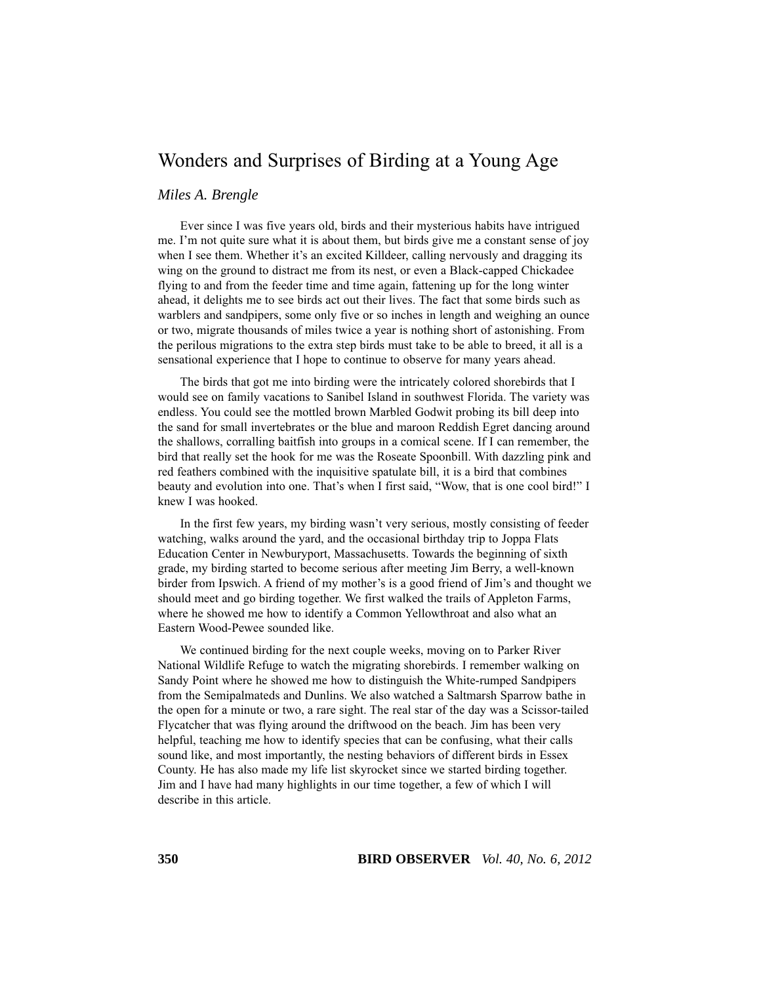### Wonders and Surprises of Birding at a Young Age

#### *Miles A. Brengle*

Ever since I was five years old, birds and their mysterious habits have intrigued me. I'm not quite sure what it is about them, but birds give me a constant sense of joy when I see them. Whether it's an excited Killdeer, calling nervously and dragging its wing on the ground to distract me from its nest, or even a Black-capped Chickadee flying to and from the feeder time and time again, fattening up for the long winter ahead, it delights me to see birds act out their lives. The fact that some birds such as warblers and sandpipers, some only five or so inches in length and weighing an ounce or two, migrate thousands of miles twice a year is nothing short of astonishing. From the perilous migrations to the extra step birds must take to be able to breed, it all is a sensational experience that I hope to continue to observe for many years ahead.

The birds that got me into birding were the intricately colored shorebirds that I would see on family vacations to Sanibel Island in southwest Florida. The variety was endless. you could see the mottled brown Marbled godwit probing its bill deep into the sand for small invertebrates or the blue and maroon Reddish egret dancing around the shallows, corralling baitfish into groups in a comical scene. If I can remember, the bird that really set the hook for me was the Roseate Spoonbill. With dazzling pink and red feathers combined with the inquisitive spatulate bill, it is a bird that combines beauty and evolution into one. That's when I first said, "Wow, that is one cool bird!" I knew I was hooked.

In the first few years, my birding wasn't very serious, mostly consisting of feeder watching, walks around the yard, and the occasional birthday trip to Joppa Flats Education Center in Newburyport, Massachusetts. Towards the beginning of sixth grade, my birding started to become serious after meeting Jim Berry, a well-known birder from Ipswich. A friend of my mother's is a good friend of Jim's and thought we should meet and go birding together. We first walked the trails of Appleton Farms, where he showed me how to identify a Common Yellowthroat and also what an Eastern Wood-Pewee sounded like.

We continued birding for the next couple weeks, moving on to Parker River National Wildlife Refuge to watch the migrating shorebirds. I remember walking on Sandy Point where he showed me how to distinguish the White-rumped Sandpipers from the Semipalmateds and Dunlins. We also watched a Saltmarsh Sparrow bathe in the open for a minute or two, a rare sight. The real star of the day was a Scissor-tailed Flycatcher that was flying around the driftwood on the beach. Jim has been very helpful, teaching me how to identify species that can be confusing, what their calls sound like, and most importantly, the nesting behaviors of different birds in Essex County. He has also made my life list skyrocket since we started birding together. Jim and I have had many highlights in our time together, a few of which I will describe in this article.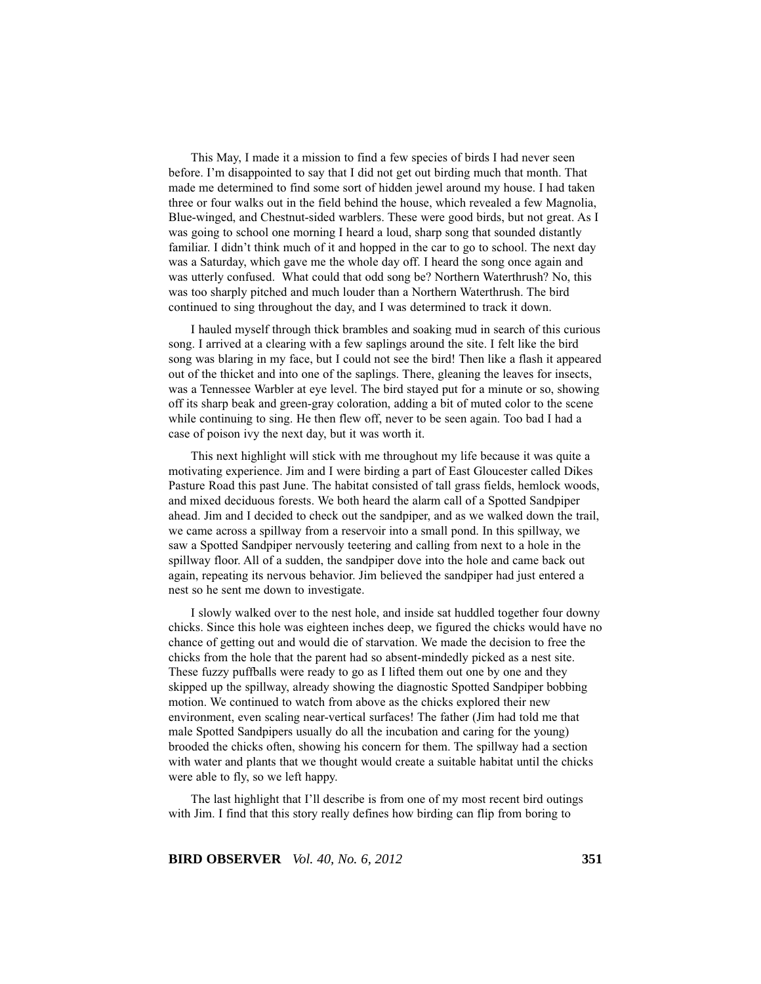This May, I made it a mission to find a few species of birds I had never seen before. I'm disappointed to say that I did not get out birding much that month. That made me determined to find some sort of hidden jewel around my house. I had taken three or four walks out in the field behind the house, which revealed a few Magnolia, Blue-winged, and Chestnut-sided warblers. These were good birds, but not great. As I was going to school one morning I heard a loud, sharp song that sounded distantly familiar. I didn't think much of it and hopped in the car to go to school. The next day was a Saturday, which gave me the whole day off. I heard the song once again and was utterly confused. What could that odd song be? Northern Waterthrush? No, this was too sharply pitched and much louder than a Northern Waterthrush. The bird continued to sing throughout the day, and I was determined to track it down.

I hauled myself through thick brambles and soaking mud in search of this curious song. I arrived at a clearing with a few saplings around the site. I felt like the bird song was blaring in my face, but I could not see the bird! Then like a flash it appeared out of the thicket and into one of the saplings. There, gleaning the leaves for insects, was a Tennessee Warbler at eye level. The bird stayed put for a minute or so, showing off its sharp beak and green-gray coloration, adding a bit of muted color to the scene while continuing to sing. He then flew off, never to be seen again. Too bad I had a case of poison ivy the next day, but it was worth it.

This next highlight will stick with me throughout my life because it was quite a motivating experience. Jim and I were birding a part of East Gloucester called Dikes Pasture Road this past June. The habitat consisted of tall grass fields, hemlock woods, and mixed deciduous forests. We both heard the alarm call of a Spotted Sandpiper ahead. Jim and I decided to check out the sandpiper, and as we walked down the trail, we came across a spillway from a reservoir into a small pond. In this spillway, we saw a Spotted Sandpiper nervously teetering and calling from next to a hole in the spillway floor. All of a sudden, the sandpiper dove into the hole and came back out again, repeating its nervous behavior. Jim believed the sandpiper had just entered a nest so he sent me down to investigate.

I slowly walked over to the nest hole, and inside sat huddled together four downy chicks. Since this hole was eighteen inches deep, we figured the chicks would have no chance of getting out and would die of starvation. We made the decision to free the chicks from the hole that the parent had so absent-mindedly picked as a nest site. These fuzzy puffballs were ready to go as I lifted them out one by one and they skipped up the spillway, already showing the diagnostic Spotted Sandpiper bobbing motion. We continued to watch from above as the chicks explored their new environment, even scaling near-vertical surfaces! The father (Jim had told me that male Spotted Sandpipers usually do all the incubation and caring for the young) brooded the chicks often, showing his concern for them. The spillway had a section with water and plants that we thought would create a suitable habitat until the chicks were able to fly, so we left happy.

The last highlight that I'll describe is from one of my most recent bird outings with Jim. I find that this story really defines how birding can flip from boring to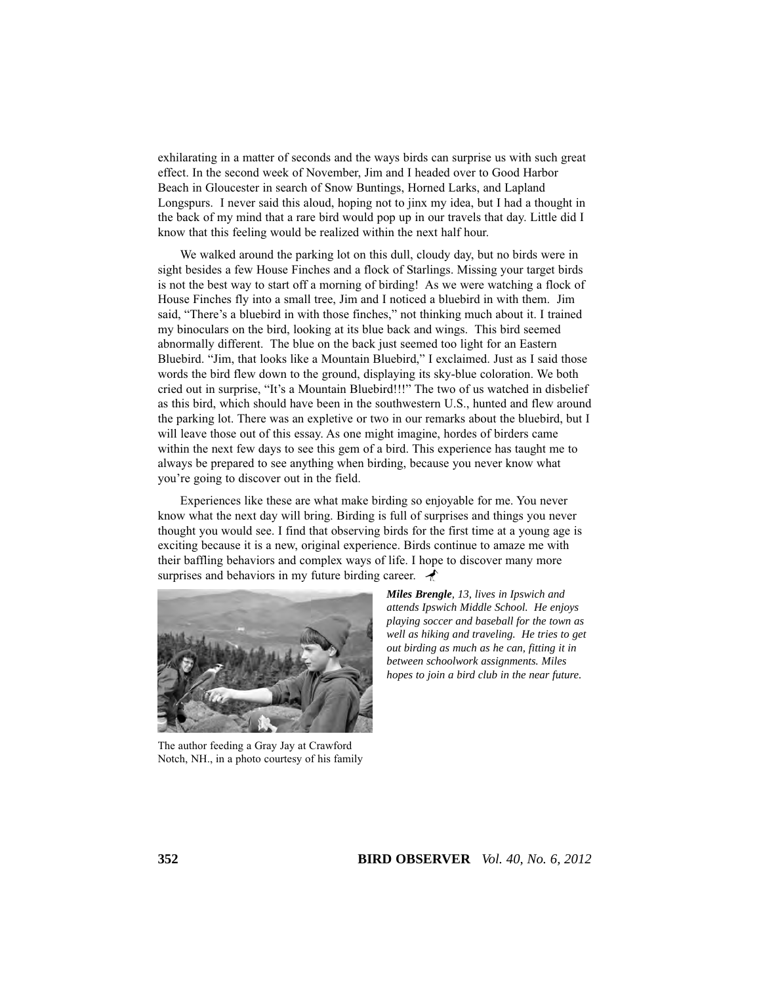exhilarating in a matter of seconds and the ways birds can surprise us with such great effect. In the second week of November, Jim and I headed over to good Harbor Beach in Gloucester in search of Snow Buntings, Horned Larks, and Lapland Longspurs. I never said this aloud, hoping not to jinx my idea, but I had a thought in the back of my mind that a rare bird would pop up in our travels that day. Little did I know that this feeling would be realized within the next half hour.

We walked around the parking lot on this dull, cloudy day, but no birds were in sight besides a few House Finches and a flock of Starlings. Missing your target birds is not the best way to start off a morning of birding! As we were watching a flock of House Finches fly into a small tree, Jim and I noticed a bluebird in with them. Jim said, "There's a bluebird in with those finches," not thinking much about it. I trained my binoculars on the bird, looking at its blue back and wings. This bird seemed abnormally different. The blue on the back just seemed too light for an Eastern Bluebird. "Jim, that looks like a Mountain Bluebird," I exclaimed. Just as I said those words the bird flew down to the ground, displaying its sky-blue coloration. We both cried out in surprise, "It's a Mountain Bluebird!!!" The two of us watched in disbelief as this bird, which should have been in the southwestern U.S., hunted and flew around the parking lot. There was an expletive or two in our remarks about the bluebird, but I will leave those out of this essay. As one might imagine, hordes of birders came within the next few days to see this gem of a bird. This experience has taught me to always be prepared to see anything when birding, because you never know what you're going to discover out in the field.

Experiences like these are what make birding so enjoyable for me. You never know what the next day will bring. Birding is full of surprises and things you never thought you would see. I find that observing birds for the first time at a young age is exciting because it is a new, original experience. Birds continue to amaze me with their baffling behaviors and complex ways of life. I hope to discover many more surprises and behaviors in my future birding career.  $\uparrow$ 



The author feeding a Gray Jay at Crawford Notch, NH., in a photo courtesy of his family

*Miles Brengle, 13, lives in Ipswich and attends Ipswich Middle School. He enjoys playing soccer and baseball for the town as well as hiking and traveling. He tries to get out birding as much as he can, fitting it in between schoolwork assignments. Miles hopes to join a bird club in the near future.*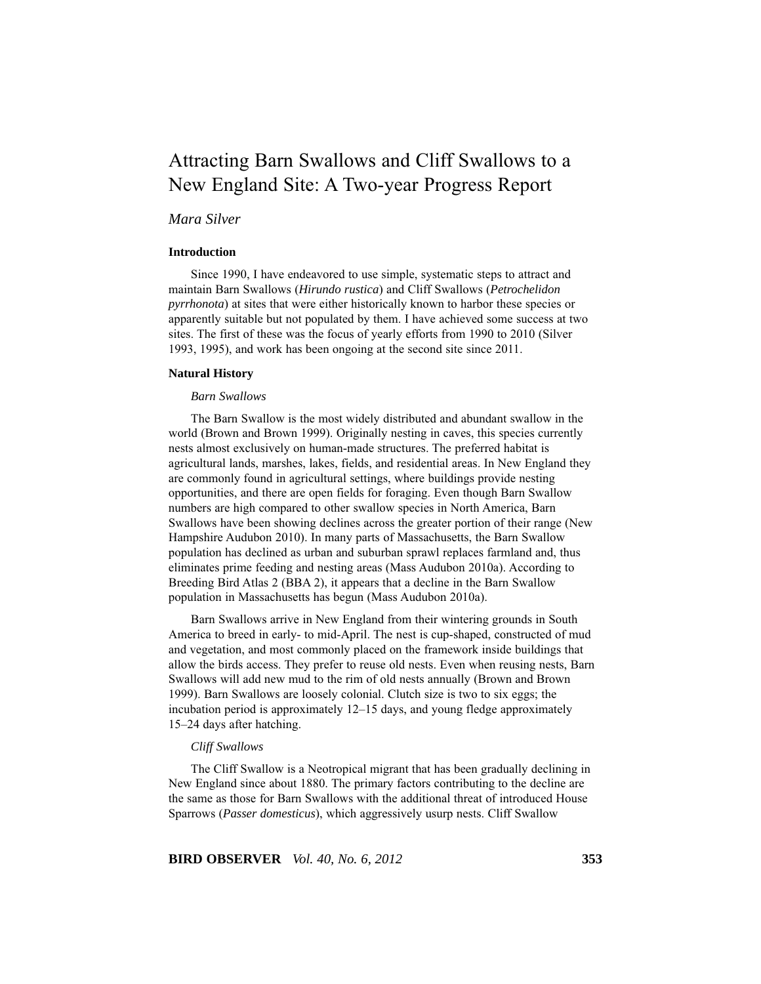### Attracting Barn Swallows and Cliff Swallows to a New England Site: A Two-year Progress Report

#### *Mara Silver*

#### **Introduction**

Since 1990, I have endeavored to use simple, systematic steps to attract and maintain Barn Swallows (*Hirundo rustica*) and Cliff Swallows (*Petrochelidon pyrrhonota*) at sites that were either historically known to harbor these species or apparently suitable but not populated by them. I have achieved some success at two sites. The first of these was the focus of yearly efforts from 1990 to 2010 (Silver 1993, 1995), and work has been ongoing at the second site since 2011.

#### **Natural History**

#### *Barn Swallows*

The Barn Swallow is the most widely distributed and abundant swallow in the world (Brown and Brown 1999). Originally nesting in caves, this species currently nests almost exclusively on human-made structures. The preferred habitat is agricultural lands, marshes, lakes, fields, and residential areas. In New England they are commonly found in agricultural settings, where buildings provide nesting opportunities, and there are open fields for foraging. Even though Barn Swallow numbers are high compared to other swallow species in North America, Barn Swallows have been showing declines across the greater portion of their range (New Hampshire Audubon 2010). In many parts of Massachusetts, the Barn Swallow population has declined as urban and suburban sprawl replaces farmland and, thus eliminates prime feeding and nesting areas (Mass Audubon 2010a). According to Breeding Bird Atlas 2 (BBA 2), it appears that a decline in the Barn Swallow population in Massachusetts has begun (Mass Audubon 2010a).

Barn Swallows arrive in New england from their wintering grounds in South America to breed in early- to mid-April. The nest is cup-shaped, constructed of mud and vegetation, and most commonly placed on the framework inside buildings that allow the birds access. They prefer to reuse old nests. Even when reusing nests, Barn Swallows will add new mud to the rim of old nests annually (Brown and Brown 1999). Barn Swallows are loosely colonial. Clutch size is two to six eggs; the incubation period is approximately 12–15 days, and young fledge approximately 15–24 days after hatching.

#### *Cliff Swallows*

The Cliff Swallow is a Neotropical migrant that has been gradually declining in New england since about 1880. The primary factors contributing to the decline are the same as those for Barn Swallows with the additional threat of introduced House Sparrows (*Passer domesticus*), which aggressively usurp nests. Cliff Swallow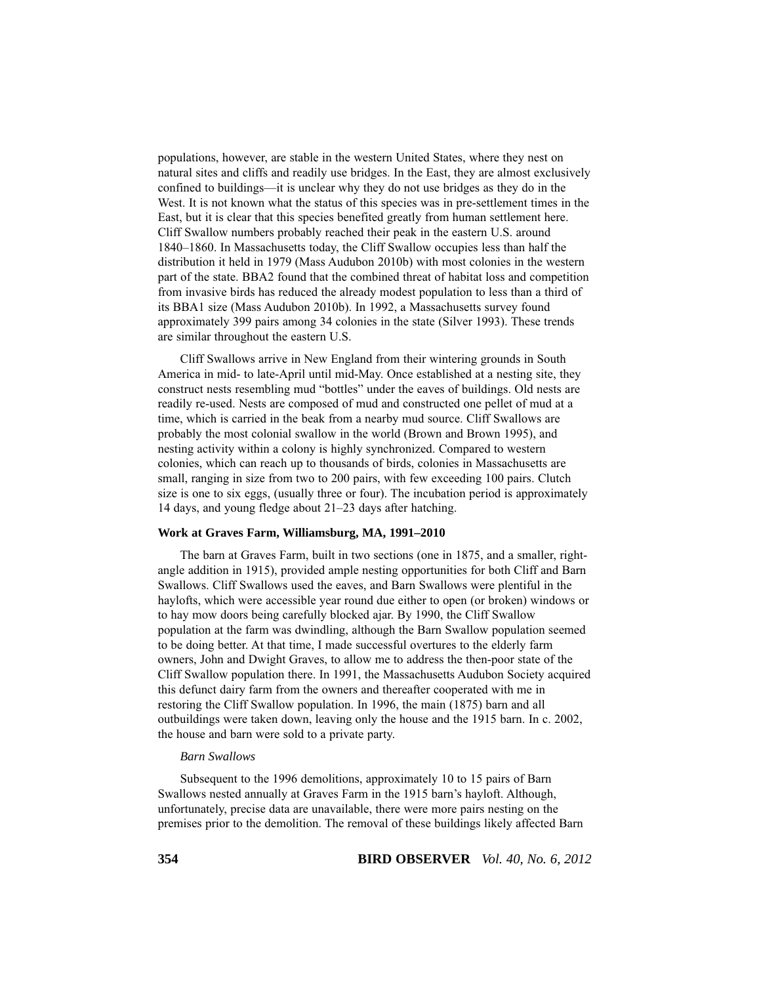populations, however, are stable in the western United States, where they nest on natural sites and cliffs and readily use bridges. In the East, they are almost exclusively confined to buildings—it is unclear why they do not use bridges as they do in the West. It is not known what the status of this species was in pre-settlement times in the East, but it is clear that this species benefited greatly from human settlement here. Cliff Swallow numbers probably reached their peak in the eastern U.S. around 1840–1860. In Massachusetts today, the Cliff Swallow occupies less than half the distribution it held in 1979 (Mass Audubon 2010b) with most colonies in the western part of the state. BBA2 found that the combined threat of habitat loss and competition from invasive birds has reduced the already modest population to less than a third of its BBA1 size (Mass Audubon 2010b). In 1992, a Massachusetts survey found approximately 399 pairs among 34 colonies in the state (Silver 1993). These trends are similar throughout the eastern U.S.

Cliff Swallows arrive in New england from their wintering grounds in South America in mid- to late-April until mid-May. Once established at a nesting site, they construct nests resembling mud "bottles" under the eaves of buildings. Old nests are readily re-used. Nests are composed of mud and constructed one pellet of mud at a time, which is carried in the beak from a nearby mud source. Cliff Swallows are probably the most colonial swallow in the world (Brown and Brown 1995), and nesting activity within a colony is highly synchronized. Compared to western colonies, which can reach up to thousands of birds, colonies in Massachusetts are small, ranging in size from two to 200 pairs, with few exceeding 100 pairs. Clutch size is one to six eggs, (usually three or four). The incubation period is approximately 14 days, and young fledge about 21–23 days after hatching.

#### **Work at Graves Farm, Williamsburg, MA, 1991–2010**

The barn at Graves Farm, built in two sections (one in 1875, and a smaller, rightangle addition in 1915), provided ample nesting opportunities for both Cliff and Barn Swallows. Cliff Swallows used the eaves, and Barn Swallows were plentiful in the haylofts, which were accessible year round due either to open (or broken) windows or to hay mow doors being carefully blocked ajar. By 1990, the Cliff Swallow population at the farm was dwindling, although the Barn Swallow population seemed to be doing better. At that time, I made successful overtures to the elderly farm owners, John and Dwight graves, to allow me to address the then-poor state of the Cliff Swallow population there. In 1991, the Massachusetts Audubon Society acquired this defunct dairy farm from the owners and thereafter cooperated with me in restoring the Cliff Swallow population. In 1996, the main (1875) barn and all outbuildings were taken down, leaving only the house and the 1915 barn. In c. 2002, the house and barn were sold to a private party.

#### *Barn Swallows*

Subsequent to the 1996 demolitions, approximately 10 to 15 pairs of Barn Swallows nested annually at Graves Farm in the 1915 barn's hayloft. Although, unfortunately, precise data are unavailable, there were more pairs nesting on the premises prior to the demolition. The removal of these buildings likely affected Barn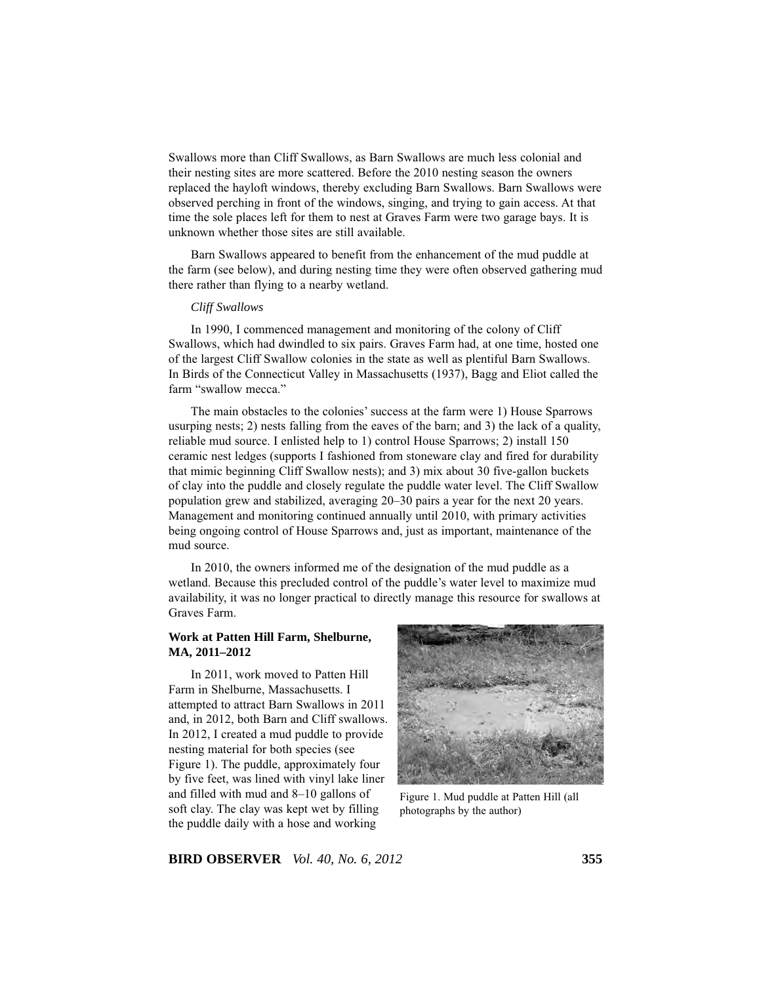Swallows more than Cliff Swallows, as Barn Swallows are much less colonial and their nesting sites are more scattered. Before the 2010 nesting season the owners replaced the hayloft windows, thereby excluding Barn Swallows. Barn Swallows were observed perching in front of the windows, singing, and trying to gain access. At that time the sole places left for them to nest at Graves Farm were two garage bays. It is unknown whether those sites are still available.

Barn Swallows appeared to benefit from the enhancement of the mud puddle at the farm (see below), and during nesting time they were often observed gathering mud there rather than flying to a nearby wetland.

#### *Cliff Swallows*

In 1990, I commenced management and monitoring of the colony of Cliff Swallows, which had dwindled to six pairs. Graves Farm had, at one time, hosted one of the largest Cliff Swallow colonies in the state as well as plentiful Barn Swallows. In Birds of the Connecticut valley in Massachusetts (1937), Bagg and eliot called the farm "swallow mecca."

The main obstacles to the colonies' success at the farm were 1) House Sparrows usurping nests; 2) nests falling from the eaves of the barn; and 3) the lack of a quality, reliable mud source. I enlisted help to 1) control House Sparrows; 2) install 150 ceramic nest ledges (supports I fashioned from stoneware clay and fired for durability that mimic beginning Cliff Swallow nests); and 3) mix about 30 five-gallon buckets of clay into the puddle and closely regulate the puddle water level. The Cliff Swallow population grew and stabilized, averaging 20–30 pairs a year for the next 20 years. Management and monitoring continued annually until 2010, with primary activities being ongoing control of House Sparrows and, just as important, maintenance of the mud source.

In 2010, the owners informed me of the designation of the mud puddle as a wetland. Because this precluded control of the puddle's water level to maximize mud availability, it was no longer practical to directly manage this resource for swallows at Graves Farm.

#### **Work at Patten Hill Farm, Shelburne, MA, 2011–2012**

In 2011, work moved to Patten Hill Farm in Shelburne, Massachusetts. I attempted to attract Barn Swallows in 2011 and, in 2012, both Barn and Cliff swallows. In 2012, I created a mud puddle to provide nesting material for both species (see Figure 1). The puddle, approximately four by five feet, was lined with vinyl lake liner and filled with mud and 8–10 gallons of soft clay. The clay was kept wet by filling the puddle daily with a hose and working



Figure 1. Mud puddle at Patten Hill (all photographs by the author)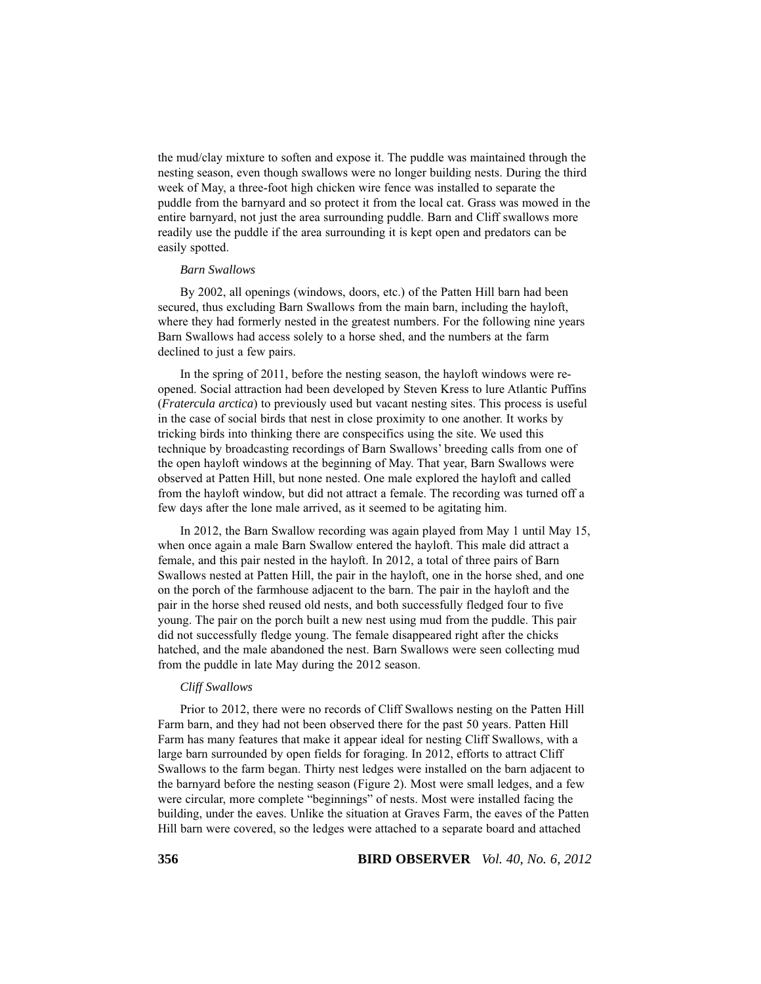the mud/clay mixture to soften and expose it. The puddle was maintained through the nesting season, even though swallows were no longer building nests. During the third week of May, a three-foot high chicken wire fence was installed to separate the puddle from the barnyard and so protect it from the local cat. grass was mowed in the entire barnyard, not just the area surrounding puddle. Barn and Cliff swallows more readily use the puddle if the area surrounding it is kept open and predators can be easily spotted.

#### *Barn Swallows*

By 2002, all openings (windows, doors, etc.) of the Patten Hill barn had been secured, thus excluding Barn Swallows from the main barn, including the hayloft, where they had formerly nested in the greatest numbers. For the following nine years Barn Swallows had access solely to a horse shed, and the numbers at the farm declined to just a few pairs.

In the spring of 2011, before the nesting season, the hayloft windows were reopened. Social attraction had been developed by Steven kress to lure Atlantic Puffins (*Fratercula arctica*) to previously used but vacant nesting sites. This process is useful in the case of social birds that nest in close proximity to one another. It works by tricking birds into thinking there are conspecifics using the site. We used this technique by broadcasting recordings of Barn Swallows' breeding calls from one of the open hayloft windows at the beginning of May. That year, Barn Swallows were observed at Patten Hill, but none nested. One male explored the hayloft and called from the hayloft window, but did not attract a female. The recording was turned off a few days after the lone male arrived, as it seemed to be agitating him.

In 2012, the Barn Swallow recording was again played from May 1 until May 15, when once again a male Barn Swallow entered the hayloft. This male did attract a female, and this pair nested in the hayloft. In 2012, a total of three pairs of Barn Swallows nested at Patten Hill, the pair in the hayloft, one in the horse shed, and one on the porch of the farmhouse adjacent to the barn. The pair in the hayloft and the pair in the horse shed reused old nests, and both successfully fledged four to five young. The pair on the porch built a new nest using mud from the puddle. This pair did not successfully fledge young. The female disappeared right after the chicks hatched, and the male abandoned the nest. Barn Swallows were seen collecting mud from the puddle in late May during the 2012 season.

#### *Cliff Swallows*

Prior to 2012, there were no records of Cliff Swallows nesting on the Patten Hill Farm barn, and they had not been observed there for the past 50 years. Patten Hill Farm has many features that make it appear ideal for nesting Cliff Swallows, with a large barn surrounded by open fields for foraging. In 2012, efforts to attract Cliff Swallows to the farm began. Thirty nest ledges were installed on the barn adjacent to the barnyard before the nesting season (Figure 2). Most were small ledges, and a few were circular, more complete "beginnings" of nests. Most were installed facing the building, under the eaves. Unlike the situation at Graves Farm, the eaves of the Patten Hill barn were covered, so the ledges were attached to a separate board and attached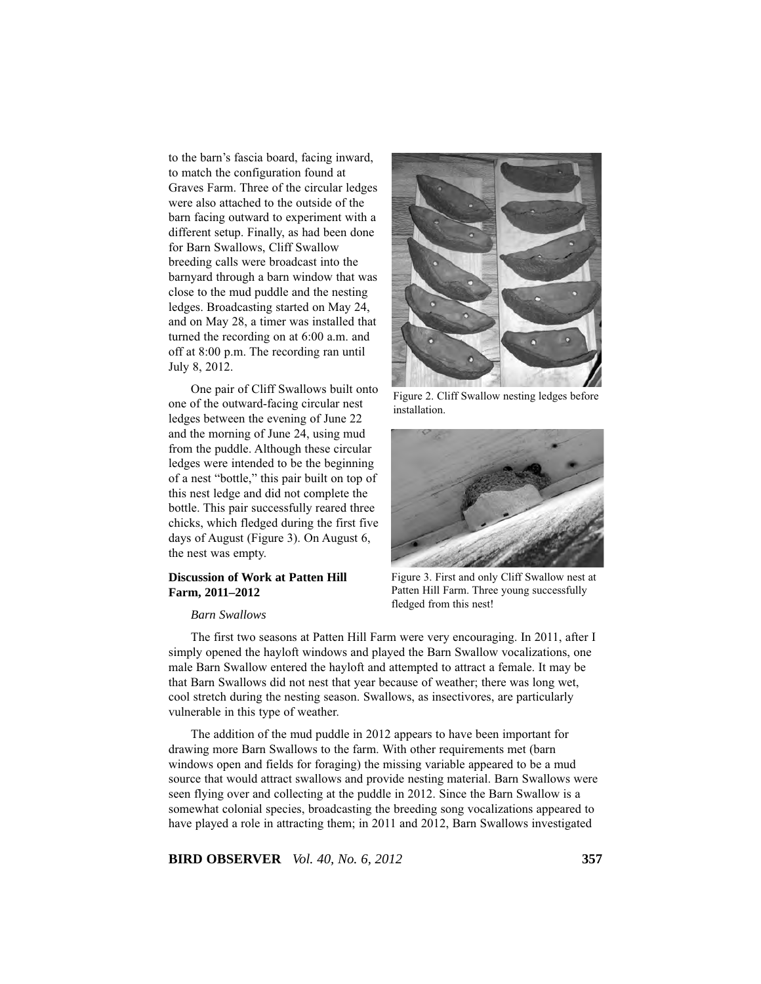to the barn's fascia board, facing inward, to match the configuration found at Graves Farm. Three of the circular ledges were also attached to the outside of the barn facing outward to experiment with a different setup. Finally, as had been done for Barn Swallows, Cliff Swallow breeding calls were broadcast into the barnyard through a barn window that was close to the mud puddle and the nesting ledges. Broadcasting started on May 24, and on May 28, a timer was installed that turned the recording on at 6:00 a.m. and off at 8:00 p.m. The recording ran until July 8, 2012.

One pair of Cliff Swallows built onto one of the outward-facing circular nest ledges between the evening of June 22 and the morning of June 24, using mud from the puddle. Although these circular ledges were intended to be the beginning of a nest "bottle," this pair built on top of this nest ledge and did not complete the bottle. This pair successfully reared three chicks, which fledged during the first five days of August (Figure 3). On August 6, the nest was empty.

#### **Discussion of Work at Patten Hill Farm, 2011–2012**

#### *Barn Swallows*



Figure 2. Cliff Swallow nesting ledges before installation.



Figure 3. First and only Cliff Swallow nest at Patten Hill Farm. Three young successfully fledged from this nest!

The first two seasons at Patten Hill Farm were very encouraging. In 2011, after I simply opened the hayloft windows and played the Barn Swallow vocalizations, one male Barn Swallow entered the hayloft and attempted to attract a female. It may be that Barn Swallows did not nest that year because of weather; there was long wet, cool stretch during the nesting season. Swallows, as insectivores, are particularly vulnerable in this type of weather.

The addition of the mud puddle in 2012 appears to have been important for drawing more Barn Swallows to the farm. With other requirements met (barn windows open and fields for foraging) the missing variable appeared to be a mud source that would attract swallows and provide nesting material. Barn Swallows were seen flying over and collecting at the puddle in 2012. Since the Barn Swallow is a somewhat colonial species, broadcasting the breeding song vocalizations appeared to have played a role in attracting them; in 2011 and 2012, Barn Swallows investigated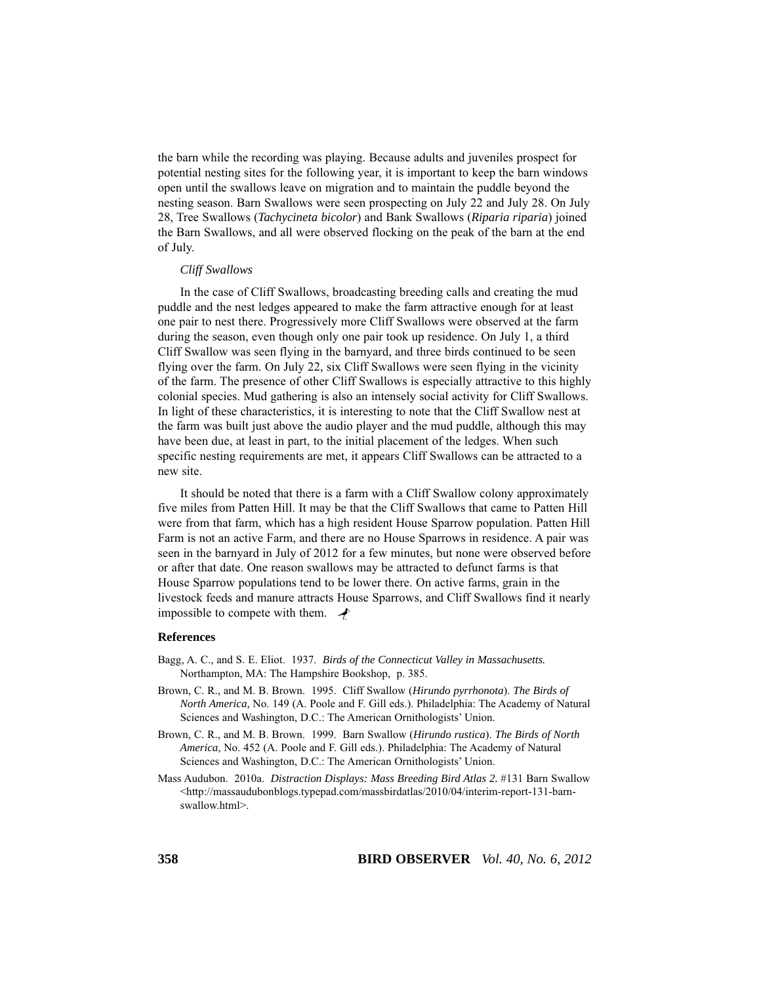the barn while the recording was playing. Because adults and juveniles prospect for potential nesting sites for the following year, it is important to keep the barn windows open until the swallows leave on migration and to maintain the puddle beyond the nesting season. Barn Swallows were seen prospecting on July 22 and July 28. On July 28, Tree Swallows (*Tachycineta bicolor*) and Bank Swallows (*Riparia riparia*) joined the Barn Swallows, and all were observed flocking on the peak of the barn at the end of July.

#### *Cliff Swallows*

In the case of Cliff Swallows, broadcasting breeding calls and creating the mud puddle and the nest ledges appeared to make the farm attractive enough for at least one pair to nest there. Progressively more Cliff Swallows were observed at the farm during the season, even though only one pair took up residence. On July 1, a third Cliff Swallow was seen flying in the barnyard, and three birds continued to be seen flying over the farm. On July 22, six Cliff Swallows were seen flying in the vicinity of the farm. The presence of other Cliff Swallows is especially attractive to this highly colonial species. Mud gathering is also an intensely social activity for Cliff Swallows. In light of these characteristics, it is interesting to note that the Cliff Swallow nest at the farm was built just above the audio player and the mud puddle, although this may have been due, at least in part, to the initial placement of the ledges. When such specific nesting requirements are met, it appears Cliff Swallows can be attracted to a new site.

It should be noted that there is a farm with a Cliff Swallow colony approximately five miles from Patten Hill. It may be that the Cliff Swallows that came to Patten Hill were from that farm, which has a high resident House Sparrow population. Patten Hill Farm is not an active Farm, and there are no House Sparrows in residence. A pair was seen in the barnyard in July of 2012 for a few minutes, but none were observed before or after that date. One reason swallows may be attracted to defunct farms is that House Sparrow populations tend to be lower there. On active farms, grain in the livestock feeds and manure attracts House Sparrows, and Cliff Swallows find it nearly impossible to compete with them.  $\uparrow$ 

#### **References**

- Bagg, A. C., and S. E. Eliot. 1937. *Birds of the Connecticut Valley in Massachusetts.* Northampton, MA: The Hampshire Bookshop, p. 385.
- Brown, C. R., and M. B. Brown. 1995. Cliff Swallow (*Hirundo pyrrhonota*). *The Birds of North America,* No. 149 (A. Poole and F. gill eds.). Philadelphia: The Academy of Natural Sciences and Washington, D.C.: The American Ornithologists' Union.
- Brown, C. R., and M. B. Brown. 1999. Barn Swallow (*Hirundo rustica*). *The Birds of North America*, No. 452 (A. Poole and F. gill eds.). Philadelphia: The Academy of Natural Sciences and Washington, D.C.: The American Ornithologists' Union.
- Mass Audubon. 2010a. *Distraction Displays: Mass Breeding Bird Atlas 2.* #131 Barn Swallow <http://massaudubonblogs.typepad.com/massbirdatlas/2010/04/interim-report-131-barnswallow.html>.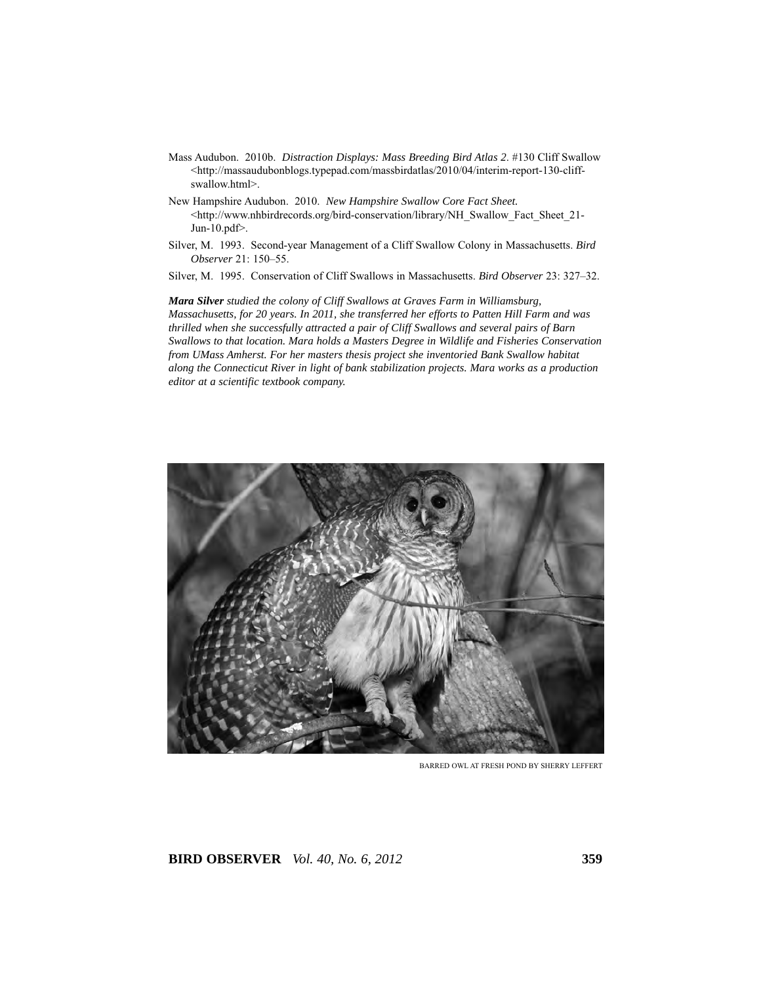- Mass Audubon. 2010b. *Distraction Displays: Mass Breeding Bird Atlas 2*. #130 Cliff Swallow <http://massaudubonblogs.typepad.com/massbirdatlas/2010/04/interim-report-130-cliffswallow.html>.
- New Hampshire Audubon. 2010. *New Hampshire Swallow Core Fact Sheet.* <http://www.nhbirdrecords.org/bird-conservation/library/NH\_Swallow\_Fact\_Sheet\_21- Jun-10.pdf>.
- Silver, M. 1993. Second-year Management of a Cliff Swallow Colony in Massachusetts. *Bird Observer* 21: 150–55.

Silver, M. 1995. Conservation of Cliff Swallows in Massachusetts. *Bird Observer* 23: 327–32.

*Mara Silver studied the colony of Cliff Swallows at Graves Farm in Williamsburg, Massachusetts, for 20 years. In 2011, she transferred her efforts to Patten Hill Farm and was thrilled when she successfully attracted a pair of Cliff Swallows and several pairs of Barn Swallows to that location. Mara holds a Masters Degree in Wildlife and Fisheries Conservation from UMass Amherst. For her masters thesis project she inventoried Bank Swallow habitat along the Connecticut River in light of bank stabilization projects. Mara works as a production editor at a scientific textbook company.*



BARReD OWl AT FReSH POND By SHeRRy leFFeRT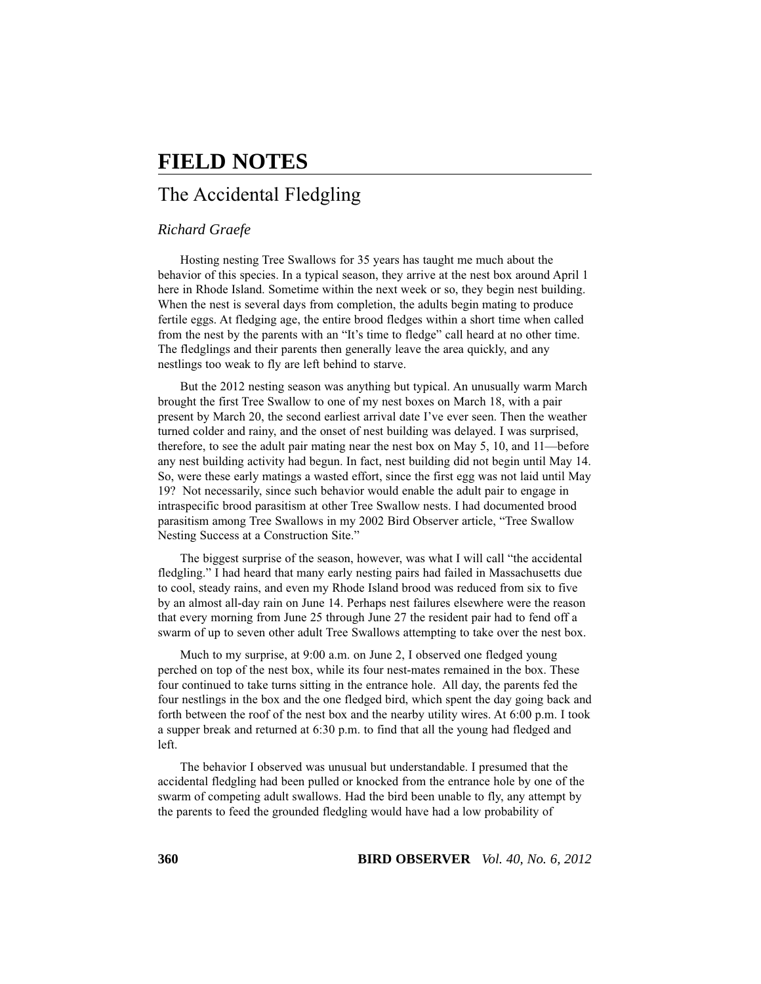### **FIELD NOTES**

### The Accidental Fledgling

#### *Richard Graefe*

Hosting nesting Tree Swallows for 35 years has taught me much about the behavior of this species. In a typical season, they arrive at the nest box around April 1 here in Rhode Island. Sometime within the next week or so, they begin nest building. When the nest is several days from completion, the adults begin mating to produce fertile eggs. At fledging age, the entire brood fledges within a short time when called from the nest by the parents with an "It's time to fledge" call heard at no other time. The fledglings and their parents then generally leave the area quickly, and any nestlings too weak to fly are left behind to starve.

But the 2012 nesting season was anything but typical. An unusually warm March brought the first Tree Swallow to one of my nest boxes on March 18, with a pair present by March 20, the second earliest arrival date I've ever seen. Then the weather turned colder and rainy, and the onset of nest building was delayed. I was surprised, therefore, to see the adult pair mating near the nest box on May 5, 10, and 11—before any nest building activity had begun. In fact, nest building did not begin until May 14. So, were these early matings a wasted effort, since the first egg was not laid until May 19? Not necessarily, since such behavior would enable the adult pair to engage in intraspecific brood parasitism at other Tree Swallow nests. I had documented brood parasitism among Tree Swallows in my 2002 Bird Observer article, "Tree Swallow Nesting Success at a Construction Site."

The biggest surprise of the season, however, was what I will call "the accidental fledgling." I had heard that many early nesting pairs had failed in Massachusetts due to cool, steady rains, and even my Rhode Island brood was reduced from six to five by an almost all-day rain on June 14. Perhaps nest failures elsewhere were the reason that every morning from June 25 through June 27 the resident pair had to fend off a swarm of up to seven other adult Tree Swallows attempting to take over the nest box.

Much to my surprise, at 9:00 a.m. on June 2, I observed one fledged young perched on top of the nest box, while its four nest-mates remained in the box. These four continued to take turns sitting in the entrance hole. All day, the parents fed the four nestlings in the box and the one fledged bird, which spent the day going back and forth between the roof of the nest box and the nearby utility wires. At 6:00 p.m. I took a supper break and returned at 6:30 p.m. to find that all the young had fledged and left.

The behavior I observed was unusual but understandable. I presumed that the accidental fledgling had been pulled or knocked from the entrance hole by one of the swarm of competing adult swallows. Had the bird been unable to fly, any attempt by the parents to feed the grounded fledgling would have had a low probability of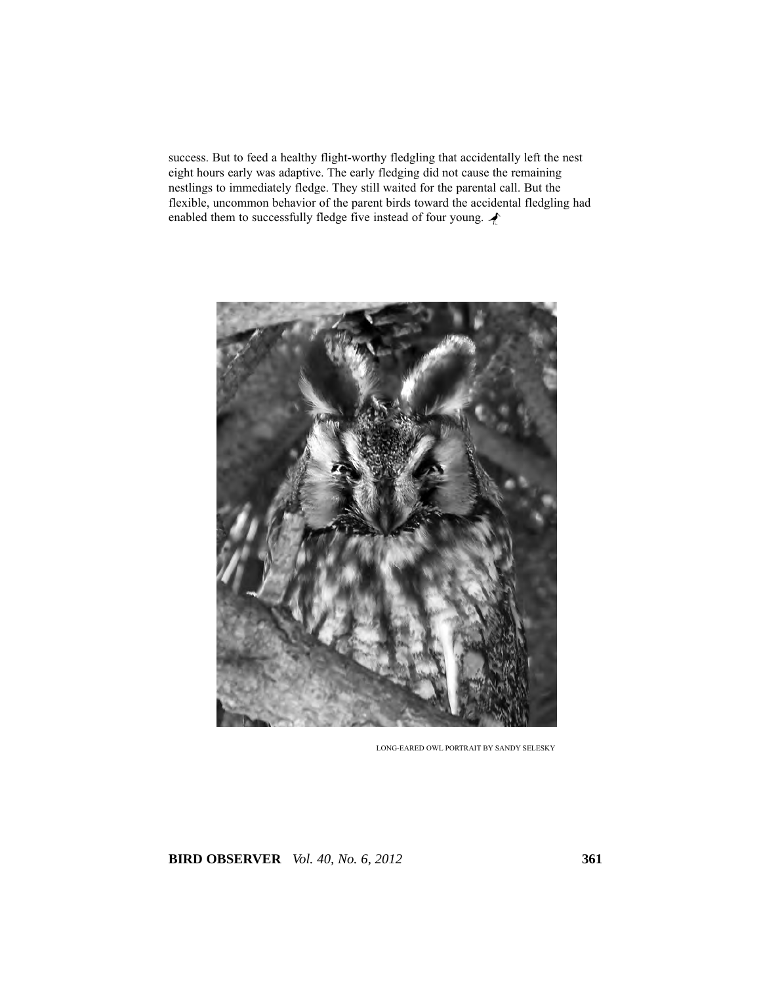success. But to feed a healthy flight-worthy fledgling that accidentally left the nest eight hours early was adaptive. The early fledging did not cause the remaining nestlings to immediately fledge. They still waited for the parental call. But the flexible, uncommon behavior of the parent birds toward the accidental fledgling had enabled them to successfully fledge five instead of four young.



lONg-eAReD OWl PORTRAIT By SANDy SeleSky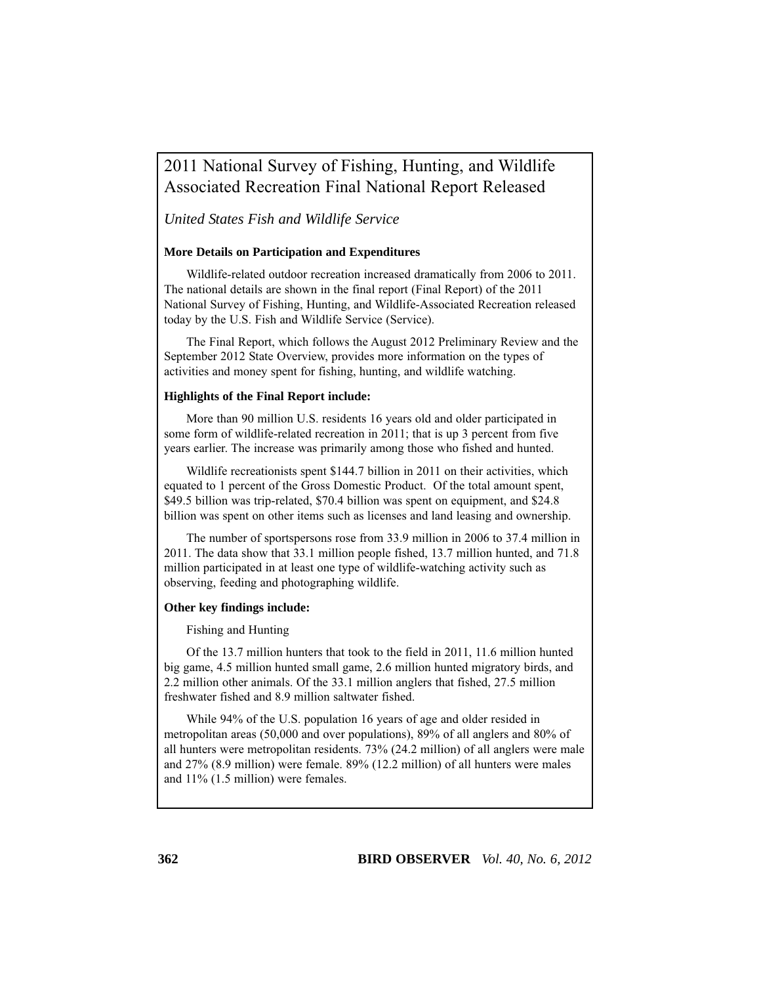### 2011 National Survey of Fishing, Hunting, and Wildlife Associated Recreation Final National Report Released

*United States Fish and Wildlife Service*

#### **More Details on Participation and Expenditures**

Wildlife-related outdoor recreation increased dramatically from 2006 to 2011. The national details are shown in the final report (Final Report) of the 2011 National Survey of Fishing, Hunting, and Wildlife-Associated Recreation released today by the U.S. Fish and Wildlife Service (Service).

The Final Report, which follows the August 2012 Preliminary Review and the September 2012 State Overview, provides more information on the types of activities and money spent for fishing, hunting, and wildlife watching.

#### **Highlights of the Final Report include:**

More than 90 million U.S. residents 16 years old and older participated in some form of wildlife-related recreation in 2011; that is up 3 percent from five years earlier. The increase was primarily among those who fished and hunted.

Wildlife recreationists spent \$144.7 billion in 2011 on their activities, which equated to 1 percent of the Gross Domestic Product. Of the total amount spent, \$49.5 billion was trip-related, \$70.4 billion was spent on equipment, and \$24.8 billion was spent on other items such as licenses and land leasing and ownership.

The number of sportspersons rose from 33.9 million in 2006 to 37.4 million in 2011. The data show that 33.1 million people fished, 13.7 million hunted, and 71.8 million participated in at least one type of wildlife-watching activity such as observing, feeding and photographing wildlife.

#### **Other key findings include:**

Fishing and Hunting

Of the 13.7 million hunters that took to the field in 2011, 11.6 million hunted big game, 4.5 million hunted small game, 2.6 million hunted migratory birds, and 2.2 million other animals. Of the 33.1 million anglers that fished, 27.5 million freshwater fished and 8.9 million saltwater fished.

While 94% of the U.S. population 16 years of age and older resided in metropolitan areas (50,000 and over populations), 89% of all anglers and 80% of all hunters were metropolitan residents. 73% (24.2 million) of all anglers were male and 27% (8.9 million) were female. 89% (12.2 million) of all hunters were males and 11% (1.5 million) were females.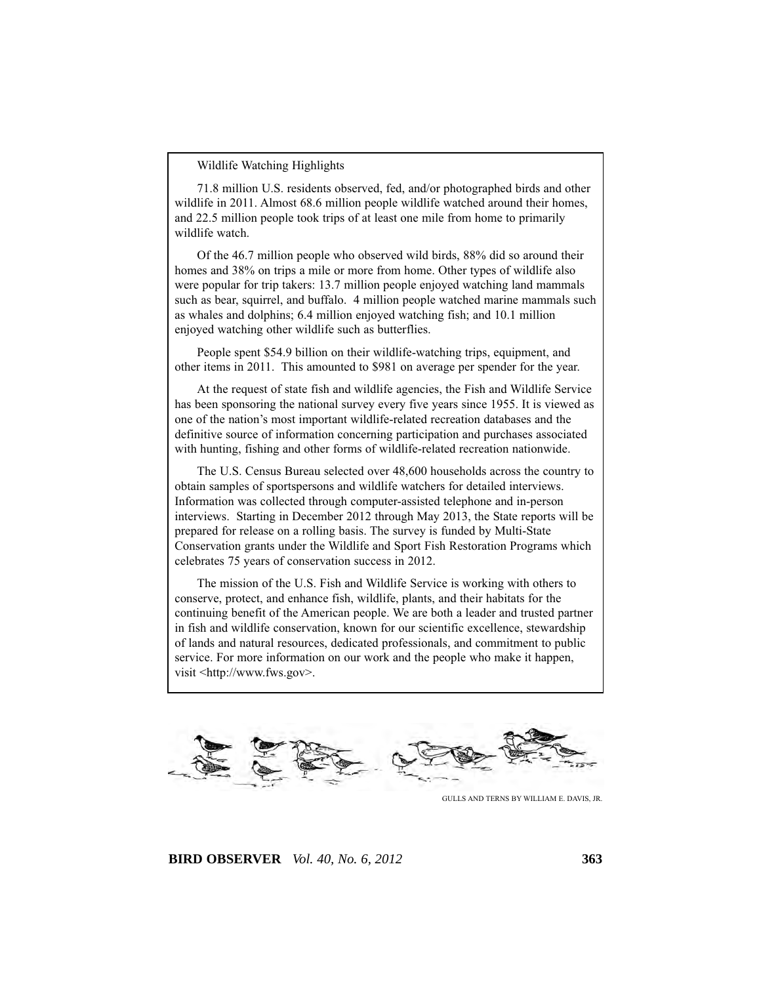#### Wildlife Watching Highlights

71.8 million U.S. residents observed, fed, and/or photographed birds and other wildlife in 2011. Almost 68.6 million people wildlife watched around their homes, and 22.5 million people took trips of at least one mile from home to primarily wildlife watch.

Of the 46.7 million people who observed wild birds, 88% did so around their homes and 38% on trips a mile or more from home. Other types of wildlife also were popular for trip takers: 13.7 million people enjoyed watching land mammals such as bear, squirrel, and buffalo. 4 million people watched marine mammals such as whales and dolphins; 6.4 million enjoyed watching fish; and 10.1 million enjoyed watching other wildlife such as butterflies.

People spent \$54.9 billion on their wildlife-watching trips, equipment, and other items in 2011. This amounted to \$981 on average per spender for the year.

At the request of state fish and wildlife agencies, the Fish and Wildlife Service has been sponsoring the national survey every five years since 1955. It is viewed as one of the nation's most important wildlife-related recreation databases and the definitive source of information concerning participation and purchases associated with hunting, fishing and other forms of wildlife-related recreation nationwide.

The U.S. Census Bureau selected over 48,600 households across the country to obtain samples of sportspersons and wildlife watchers for detailed interviews. Information was collected through computer-assisted telephone and in-person interviews. Starting in December 2012 through May 2013, the State reports will be prepared for release on a rolling basis. The survey is funded by Multi-State Conservation grants under the Wildlife and Sport Fish Restoration Programs which celebrates 75 years of conservation success in 2012.

The mission of the U.S. Fish and Wildlife Service is working with others to conserve, protect, and enhance fish, wildlife, plants, and their habitats for the continuing benefit of the American people. We are both a leader and trusted partner in fish and wildlife conservation, known for our scientific excellence, stewardship of lands and natural resources, dedicated professionals, and commitment to public service. For more information on our work and the people who make it happen, visit <http://www.fws.gov>.



gUllS AND TeRNS By WIllIAM e. DAvIS, JR.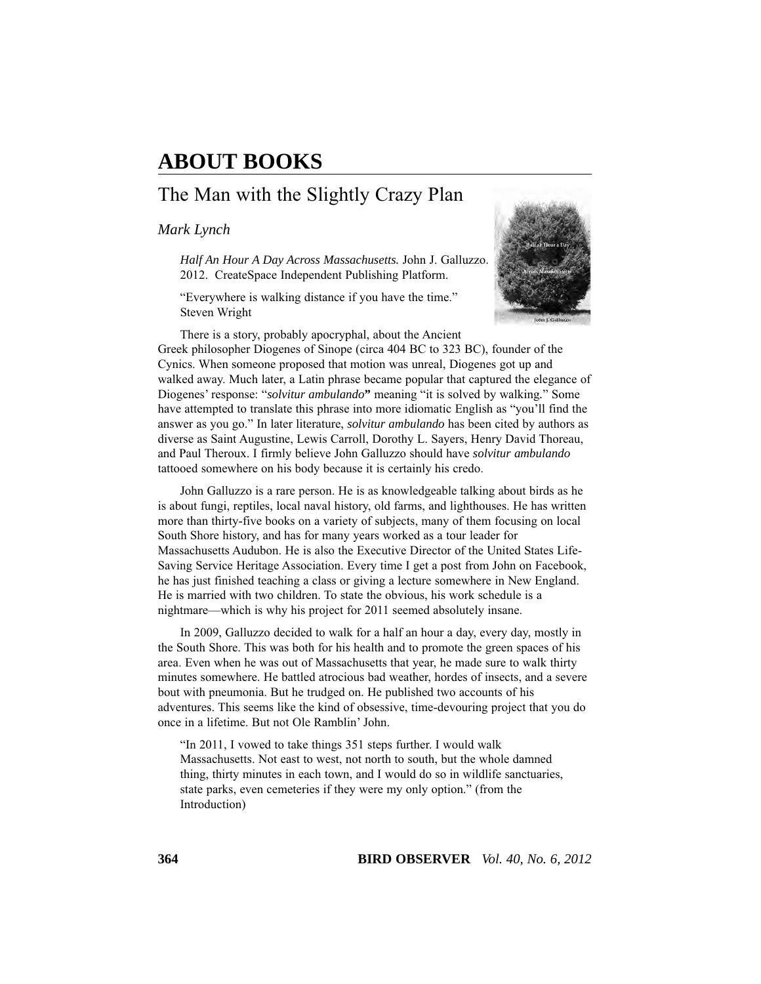### **ABOUT BOOKS**

### The Man with the Slightly Crazy Plan

#### *Mark Lynch*

Half An Hour A Day Across Massachusetts. John J. Galluzzo. 2012. CreateSpace Independent Publishing Platform.

"Everywhere is walking distance if you have the time." Steven Wright



There is a story, probably apocryphal, about the Ancient Greek philosopher Diogenes of Sinope (circa 404 BC to 323 BC), founder of the Cynics. When someone proposed that motion was unreal, Diogenes got up and walked away. Much later, a Latin phrase became popular that captured the elegance of Diogenes' response: "*solvitur ambulando***"** meaning "it is solved by walking*.*" Some have attempted to translate this phrase into more idiomatic English as "you'll find the answer as you go." In later literature, *solvitur ambulando* has been cited by authors as diverse as Saint Augustine, lewis Carroll, Dorothy l. Sayers, Henry David Thoreau, and Paul Theroux. I firmly believe John galluzzo should have *solvitur ambulando* tattooed somewhere on his body because it is certainly his credo.

John Galluzzo is a rare person. He is as knowledgeable talking about birds as he is about fungi, reptiles, local naval history, old farms, and lighthouses. He has written more than thirty-five books on a variety of subjects, many of them focusing on local South Shore history, and has for many years worked as a tour leader for Massachusetts Audubon. He is also the Executive Director of the United States Life-Saving Service Heritage Association. Every time I get a post from John on Facebook, he has just finished teaching a class or giving a lecture somewhere in New England. He is married with two children. To state the obvious, his work schedule is a nightmare—which is why his project for 2011 seemed absolutely insane.

In 2009, galluzzo decided to walk for a half an hour a day, every day, mostly in the South Shore. This was both for his health and to promote the green spaces of his area. Even when he was out of Massachusetts that year, he made sure to walk thirty minutes somewhere. He battled atrocious bad weather, hordes of insects, and a severe bout with pneumonia. But he trudged on. He published two accounts of his adventures. This seems like the kind of obsessive, time-devouring project that you do once in a lifetime. But not Ole Ramblin' John.

"In 2011, I vowed to take things 351 steps further. I would walk Massachusetts. Not east to west, not north to south, but the whole damned thing, thirty minutes in each town, and I would do so in wildlife sanctuaries, state parks, even cemeteries if they were my only option." (from the Introduction)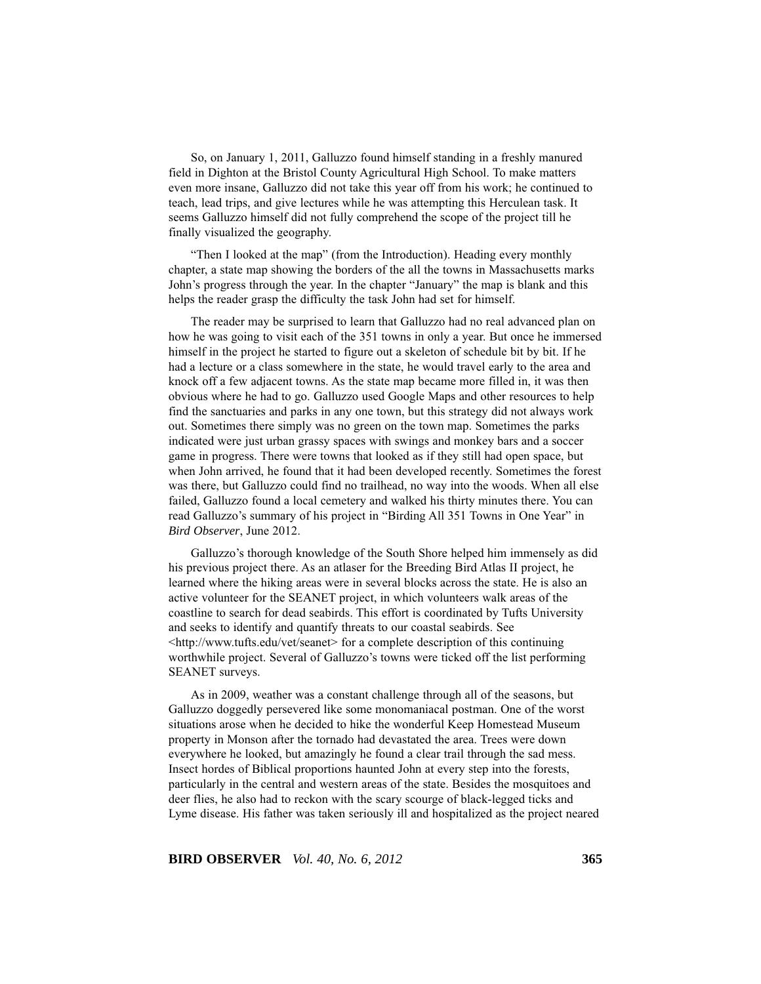So, on January 1, 2011, Galluzzo found himself standing in a freshly manured field in Dighton at the Bristol County Agricultural High School. To make matters even more insane, galluzzo did not take this year off from his work; he continued to teach, lead trips, and give lectures while he was attempting this Herculean task. It seems Galluzzo himself did not fully comprehend the scope of the project till he finally visualized the geography.

"Then I looked at the map" (from the Introduction). Heading every monthly chapter, a state map showing the borders of the all the towns in Massachusetts marks John's progress through the year. In the chapter "January" the map is blank and this helps the reader grasp the difficulty the task John had set for himself.

The reader may be surprised to learn that Galluzzo had no real advanced plan on how he was going to visit each of the 351 towns in only a year. But once he immersed himself in the project he started to figure out a skeleton of schedule bit by bit. If he had a lecture or a class somewhere in the state, he would travel early to the area and knock off a few adjacent towns. As the state map became more filled in, it was then obvious where he had to go. galluzzo used google Maps and other resources to help find the sanctuaries and parks in any one town, but this strategy did not always work out. Sometimes there simply was no green on the town map. Sometimes the parks indicated were just urban grassy spaces with swings and monkey bars and a soccer game in progress. There were towns that looked as if they still had open space, but when John arrived, he found that it had been developed recently. Sometimes the forest was there, but galluzzo could find no trailhead, no way into the woods. When all else failed, Galluzzo found a local cemetery and walked his thirty minutes there. You can read galluzzo's summary of his project in "Birding All 351 Towns in One year" in *Bird Observer*, June 2012.

Galluzzo's thorough knowledge of the South Shore helped him immensely as did his previous project there. As an atlaser for the Breeding Bird Atlas II project, he learned where the hiking areas were in several blocks across the state. He is also an active volunteer for the SeANeT project, in which volunteers walk areas of the coastline to search for dead seabirds. This effort is coordinated by Tufts University and seeks to identify and quantify threats to our coastal seabirds. See <http://www.tufts.edu/vet/seanet> for a complete description of this continuing worthwhile project. Several of galluzzo's towns were ticked off the list performing SEANET surveys.

As in 2009, weather was a constant challenge through all of the seasons, but Galluzzo doggedly persevered like some monomaniacal postman. One of the worst situations arose when he decided to hike the wonderful keep Homestead Museum property in Monson after the tornado had devastated the area. Trees were down everywhere he looked, but amazingly he found a clear trail through the sad mess. Insect hordes of Biblical proportions haunted John at every step into the forests, particularly in the central and western areas of the state. Besides the mosquitoes and deer flies, he also had to reckon with the scary scourge of black-legged ticks and lyme disease. His father was taken seriously ill and hospitalized as the project neared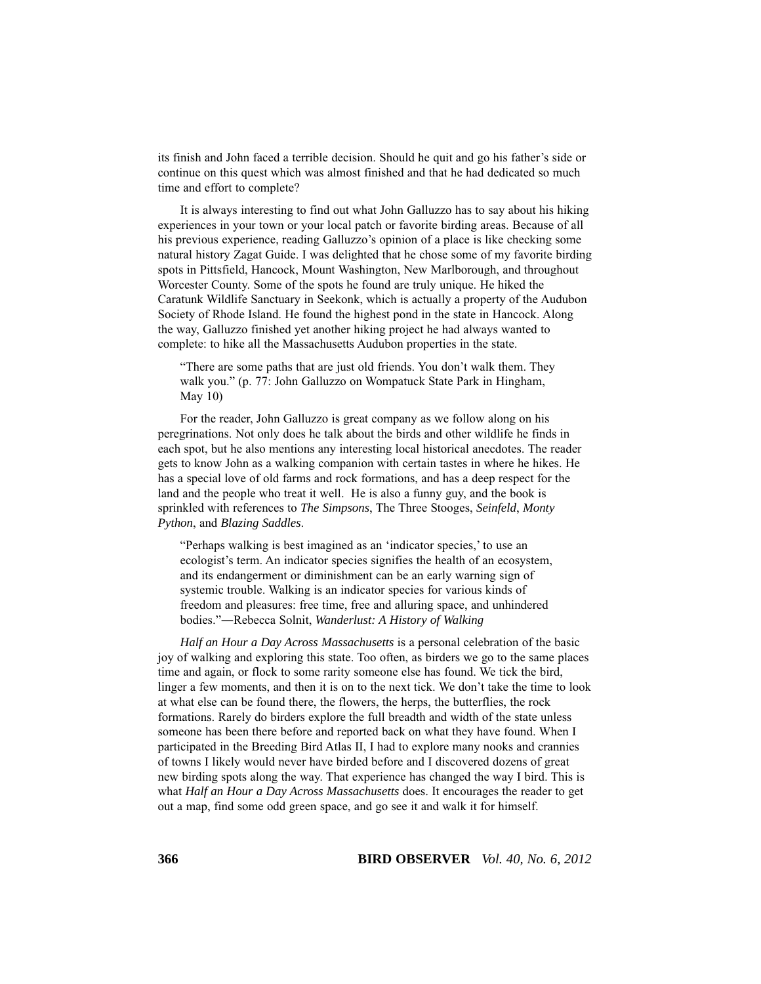its finish and John faced a terrible decision. Should he quit and go his father's side or continue on this quest which was almost finished and that he had dedicated so much time and effort to complete?

It is always interesting to find out what John galluzzo has to say about his hiking experiences in your town or your local patch or favorite birding areas. Because of all his previous experience, reading Galluzzo's opinion of a place is like checking some natural history Zagat Guide. I was delighted that he chose some of my favorite birding spots in Pittsfield, Hancock, Mount Washington, New Marlborough, and throughout Worcester County. Some of the spots he found are truly unique. He hiked the Caratunk Wildlife Sanctuary in Seekonk, which is actually a property of the Audubon Society of Rhode Island. He found the highest pond in the state in Hancock. Along the way, galluzzo finished yet another hiking project he had always wanted to complete: to hike all the Massachusetts Audubon properties in the state.

"There are some paths that are just old friends. you don't walk them. They walk you." (p. 77: John Galluzzo on Wompatuck State Park in Hingham, May 10)

For the reader, John Galluzzo is great company as we follow along on his peregrinations. Not only does he talk about the birds and other wildlife he finds in each spot, but he also mentions any interesting local historical anecdotes. The reader gets to know John as a walking companion with certain tastes in where he hikes. He has a special love of old farms and rock formations, and has a deep respect for the land and the people who treat it well. He is also a funny guy, and the book is sprinkled with references to *The Simpsons*, The Three Stooges, *Seinfeld*, *Monty Python*, and *Blazing Saddles*.

"Perhaps walking is best imagined as an 'indicator species,' to use an ecologist's term. An indicator species signifies the health of an ecosystem, and its endangerment or diminishment can be an early warning sign of systemic trouble. Walking is an indicator species for various kinds of freedom and pleasures: free time, free and alluring space, and unhindered bodies."―Rebecca Solnit, *Wanderlust: A History of Walking*

*Half an Hour a Day Across Massachusetts* is a personal celebration of the basic joy of walking and exploring this state. Too often, as birders we go to the same places time and again, or flock to some rarity someone else has found. We tick the bird, linger a few moments, and then it is on to the next tick. We don't take the time to look at what else can be found there, the flowers, the herps, the butterflies, the rock formations. Rarely do birders explore the full breadth and width of the state unless someone has been there before and reported back on what they have found. When I participated in the Breeding Bird Atlas II, I had to explore many nooks and crannies of towns I likely would never have birded before and I discovered dozens of great new birding spots along the way. That experience has changed the way I bird. This is what *Half an Hour a Day Across Massachusetts* does. It encourages the reader to get out a map, find some odd green space, and go see it and walk it for himself.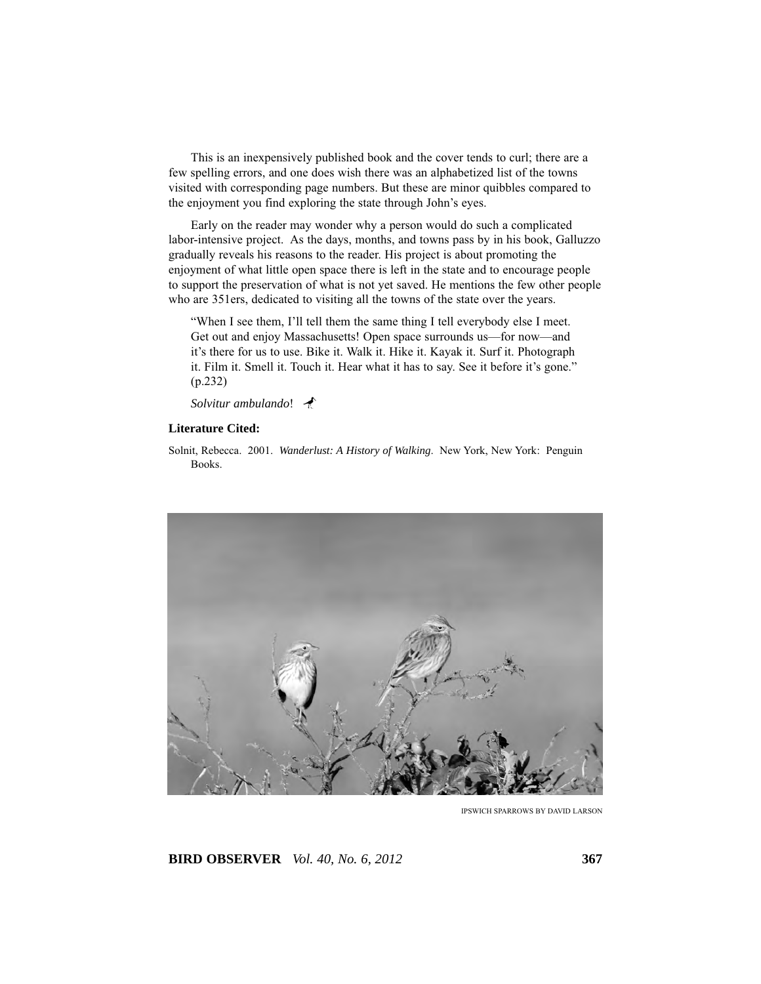This is an inexpensively published book and the cover tends to curl; there are a few spelling errors, and one does wish there was an alphabetized list of the towns visited with corresponding page numbers. But these are minor quibbles compared to the enjoyment you find exploring the state through John's eyes.

Early on the reader may wonder why a person would do such a complicated labor-intensive project. As the days, months, and towns pass by in his book, Galluzzo gradually reveals his reasons to the reader. His project is about promoting the enjoyment of what little open space there is left in the state and to encourage people to support the preservation of what is not yet saved. He mentions the few other people who are 351ers, dedicated to visiting all the towns of the state over the years.

"When I see them, I'll tell them the same thing I tell everybody else I meet. Get out and enjoy Massachusetts! Open space surrounds us—for now—and it's there for us to use. Bike it. Walk it. Hike it. kayak it. Surf it. Photograph it. Film it. Smell it. Touch it. Hear what it has to say. See it before it's gone." (p.232)

*Solvitur ambulando*!

#### **Literature Cited:**

Solnit, Rebecca. 2001. *Wanderlust: A History of Walking*. New York, New York: Penguin Books.



IPSWICH SPARROWS By DAvID lARSON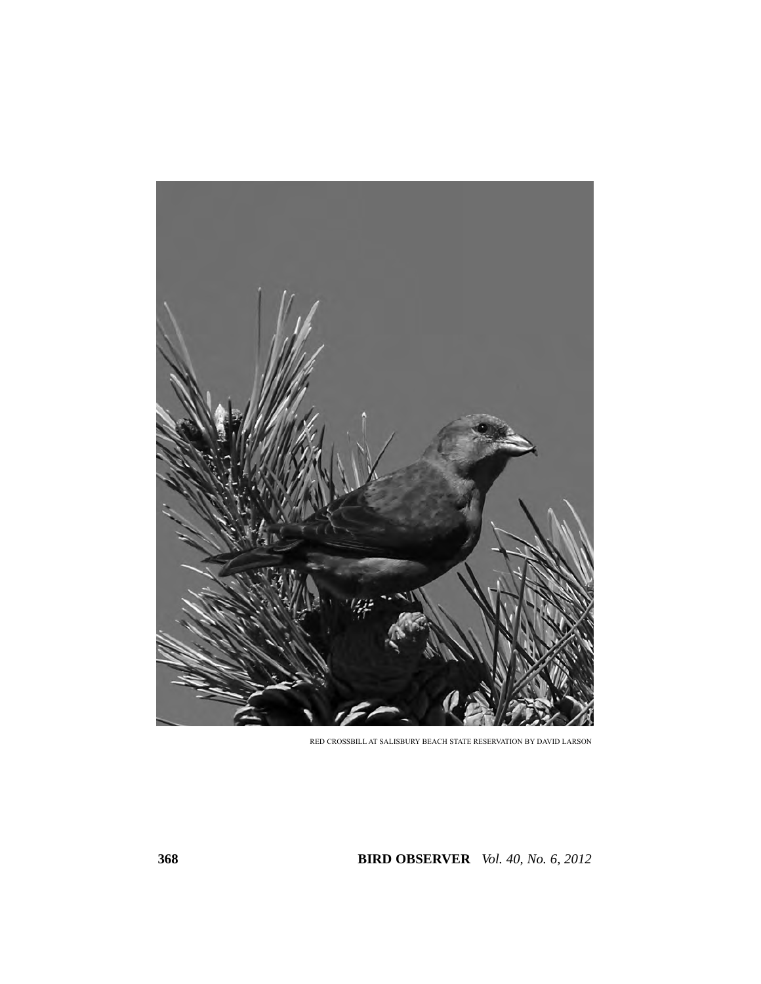

ReD CROSSBIll AT SAlISBURy BeACH STATe ReSeRvATION By DAvID lARSON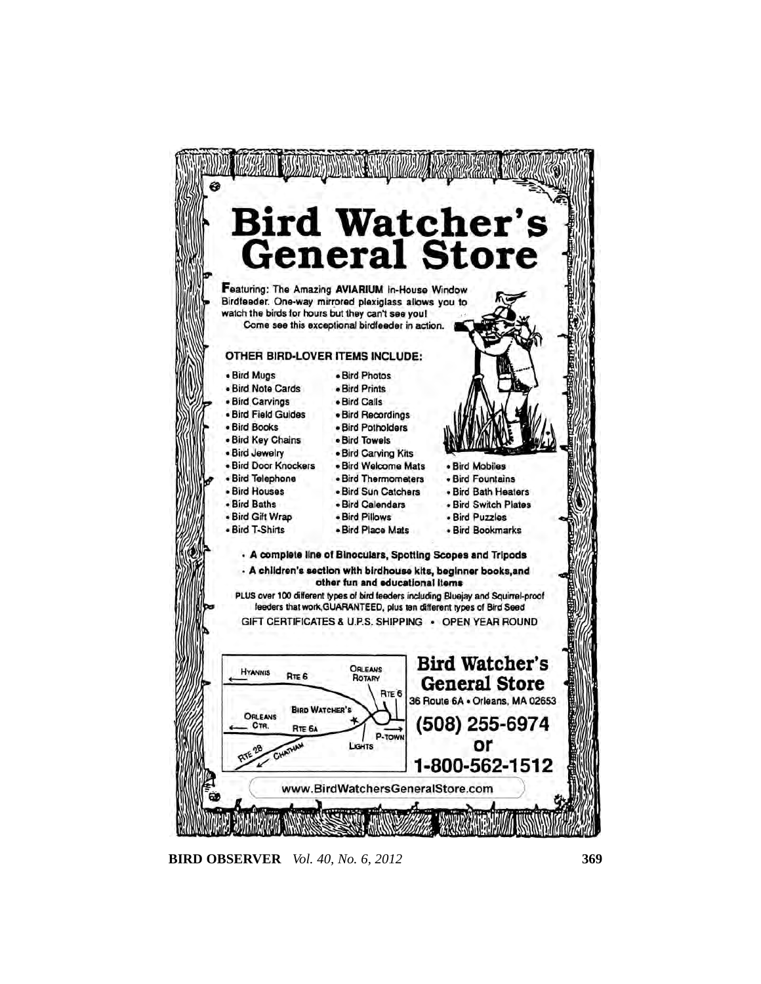

**BIRD OBSERVER** *Vol. 40, No. 6, 2012* **369**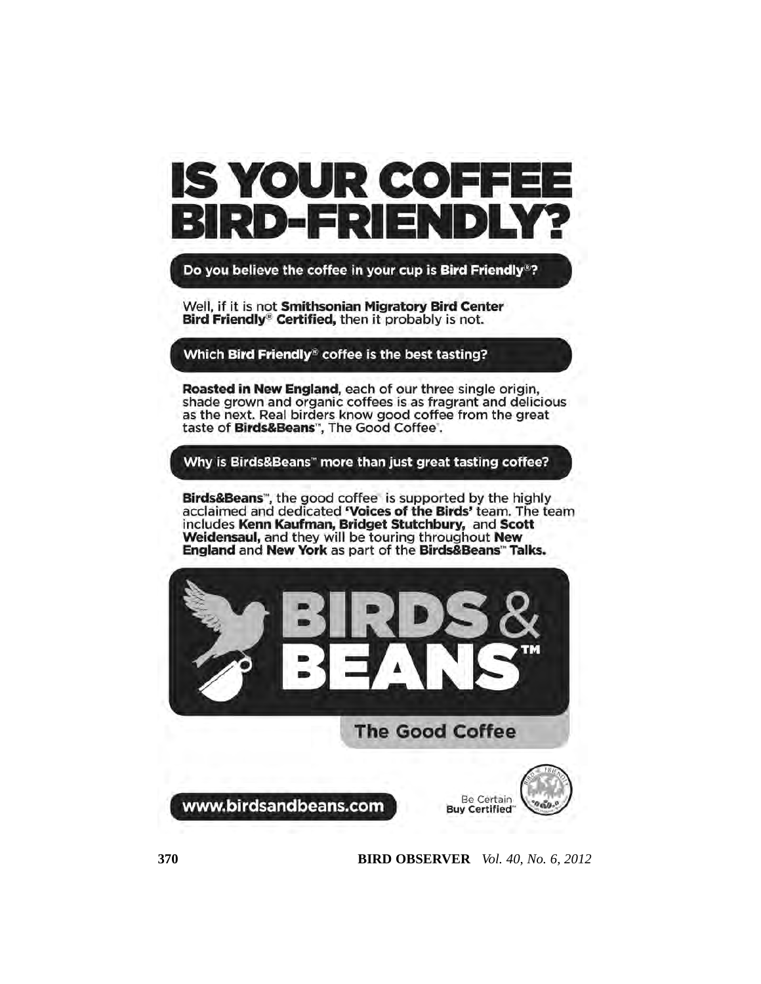

Do you believe the coffee in your cup is Bird Friendly<sup>®</sup>?

Well, if it is not Smithsonian Migratory Bird Center Bird Friendly<sup>®</sup> Certified, then it probably is not.

#### Which Bird Friendly® coffee is the best tasting?

Roasted in New England, each of our three single origin, shade grown and organic coffees is as fragrant and delicious as the next. Real birders know good coffee from the great taste of Birds&Beans", The Good Coffee.

Why is Birds&Beans" more than just great tasting coffee?

Birds&Beans", the good coffee is supported by the highly<br>acclaimed and dedicated 'Voices of the Birds' team. The team<br>includes Kenn Kaufman, Bridget Stutchbury, and Scott<br>Weidensaul, and they will be touring throughout New England and New York as part of the Birds&Beans" Talks.

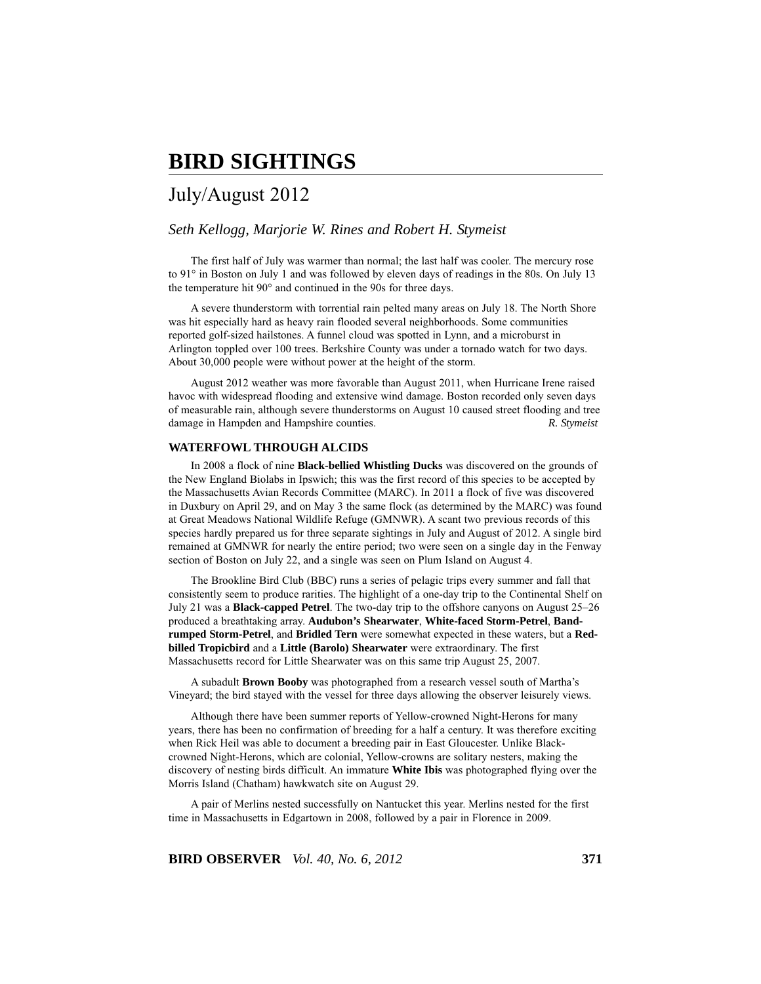### **BIRD SIGHTINGS**

### July/August 2012

#### *Seth Kellogg, Marjorie W. Rines and Robert H. Stymeist*

The first half of July was warmer than normal; the last half was cooler. The mercury rose to 91° in Boston on July 1 and was followed by eleven days of readings in the 80s. On July 13 the temperature hit 90° and continued in the 90s for three days.

A severe thunderstorm with torrential rain pelted many areas on July 18. The North Shore was hit especially hard as heavy rain flooded several neighborhoods. Some communities reported golf-sized hailstones. A funnel cloud was spotted in lynn, and a microburst in Arlington toppled over 100 trees. Berkshire County was under a tornado watch for two days. About 30,000 people were without power at the height of the storm.

August 2012 weather was more favorable than August 2011, when Hurricane Irene raised havoc with widespread flooding and extensive wind damage. Boston recorded only seven days of measurable rain, although severe thunderstorms on August 10 caused street flooding and tree damage in Hampden and Hampshire counties. *R. Stymeist*

#### **WATERFOWL THROUGH ALCIDS**

In 2008 a flock of nine **Black-bellied Whistling Ducks** was discovered on the grounds of the New england Biolabs in Ipswich; this was the first record of this species to be accepted by the Massachusetts Avian Records Committee (MARC). In 2011 a flock of five was discovered in Duxbury on April 29, and on May 3 the same flock (as determined by the MARC) was found at Great Meadows National Wildlife Refuge (GMNWR). A scant two previous records of this species hardly prepared us for three separate sightings in July and August of 2012. A single bird remained at gMNWR for nearly the entire period; two were seen on a single day in the Fenway section of Boston on July 22, and a single was seen on Plum Island on August 4.

The Brookline Bird Club (BBC) runs a series of pelagic trips every summer and fall that consistently seem to produce rarities. The highlight of a one-day trip to the Continental Shelf on July 21 was a **Black-capped Petrel**. The two-day trip to the offshore canyons on August 25–26 produced a breathtaking array. **Audubon's Shearwater**, **White-faced Storm-Petrel**, **Bandrumped Storm-Petrel**, and **Bridled Tern** were somewhat expected in these waters, but a **Redbilled Tropicbird** and a **Little (Barolo) Shearwater** were extraordinary. The first Massachusetts record for little Shearwater was on this same trip August 25, 2007.

A subadult **Brown Booby** was photographed from a research vessel south of Martha's vineyard; the bird stayed with the vessel for three days allowing the observer leisurely views.

Although there have been summer reports of yellow-crowned Night-Herons for many years, there has been no confirmation of breeding for a half a century. It was therefore exciting when Rick Heil was able to document a breeding pair in East Gloucester. Unlike Blackcrowned Night-Herons, which are colonial, yellow-crowns are solitary nesters, making the discovery of nesting birds difficult. An immature **White Ibis** was photographed flying over the Morris Island (Chatham) hawkwatch site on August 29.

A pair of Merlins nested successfully on Nantucket this year. Merlins nested for the first time in Massachusetts in Edgartown in 2008, followed by a pair in Florence in 2009.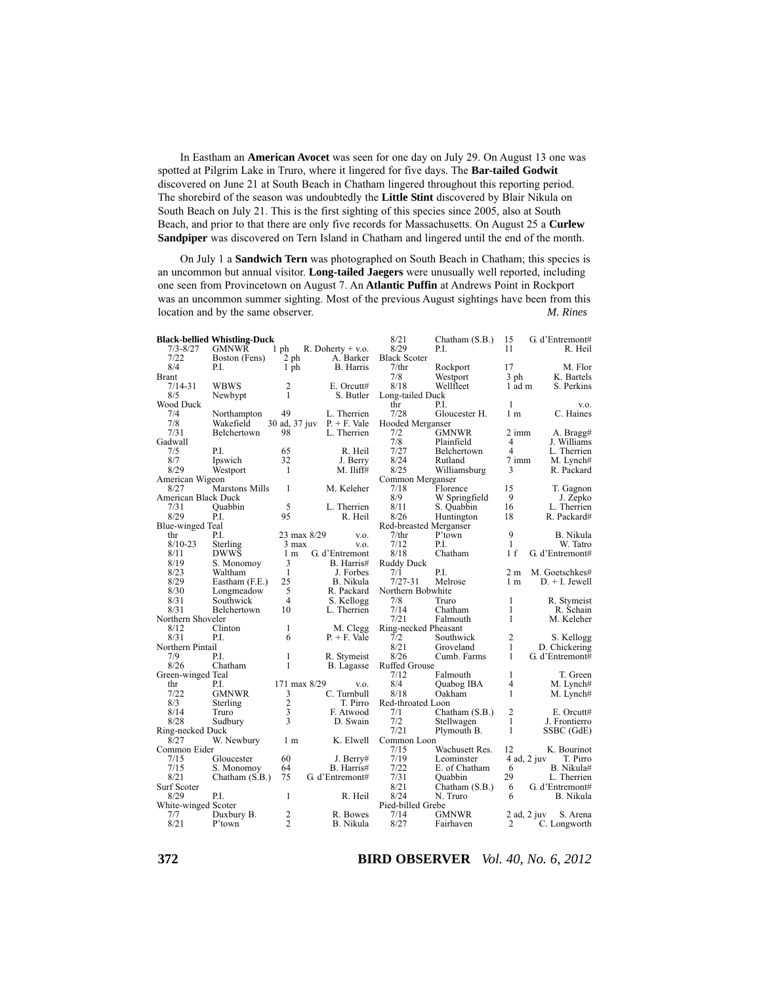In Eastham an **American Avocet** was seen for one day on July 29. On August 13 one was spotted at Pilgrim lake in Truro, where it lingered for five days. The **Bar-tailed Godwit** discovered on June 21 at South Beach in Chatham lingered throughout this reporting period. The shorebird of the season was undoubtedly the **Little Stint** discovered by Blair Nikula on South Beach on July 21. This is the first sighting of this species since 2005, also at South Beach, and prior to that there are only five records for Massachusetts. On August 25 a **Curlew Sandpiper** was discovered on Tern Island in Chatham and lingered until the end of the month.

On July 1 a **Sandwich Tern** was photographed on South Beach in Chatham; this species is an uncommon but annual visitor. **Long-tailed Jaegers** were unusually well reported, including one seen from Provincetown on August 7. An **Atlantic Puffin** at Andrews Point in Rockport was an uncommon summer sighting. Most of the previous August sightings have been from this location and by the same observer. *M. Rines*

|                     | <b>Black-bellied Whistling-Duck</b> |                         |                                  | 8/21                   | Chatham (S.B.) | 15                      | G. d'Entremont#             |
|---------------------|-------------------------------------|-------------------------|----------------------------------|------------------------|----------------|-------------------------|-----------------------------|
| 7/3-8/27            | <b>GMNWR</b>                        | 1ph                     | R. Doherty $+$ v.o.              | 8/29                   | P.I.           | 11                      | R. Heil                     |
| 7/22                | Boston (Fens)                       | 2 ph                    | A. Barker                        | <b>Black Scoter</b>    |                |                         |                             |
| 8/4                 | P.I.                                | 1 ph                    | <b>B.</b> Harris                 | $7$ /thr               | Rockport       | 17                      | M. Flor                     |
| <b>Brant</b>        |                                     |                         |                                  | 7/8                    | Westport       | 3 ph                    | K. Bartels                  |
| $7/14 - 31$         | <b>WBWS</b>                         | 2                       | E. Orcutt#                       | 8/18                   | Wellfleet      | 1 ad m                  | S. Perkins                  |
| 8/5                 | Newbypt                             | 1                       | S. Butler                        | Long-tailed Duck       |                |                         |                             |
| Wood Duck           |                                     |                         |                                  | thr                    | P.I.           | 1                       | v.o.                        |
| 7/4                 | Northampton                         | 49                      | L. Therrien                      | 7/28                   | Gloucester H.  | 1 <sub>m</sub>          | C. Haines                   |
| 7/8                 | Wakefield                           |                         | 30 ad, 37 juv $P_1 + F_2$ . Vale | Hooded Merganser       |                |                         |                             |
| 7/31                | Belchertown                         | 98                      | L. Therrien                      | 7/2                    | <b>GMNWR</b>   | $2 \text{ imm}$         | A. Bragg#                   |
| Gadwall             |                                     |                         |                                  | 7/8                    | Plainfield     | 4                       | J. Williams                 |
| 7/5                 | P.I.                                | 65                      | R. Heil                          | 7/27                   | Belchertown    | $\overline{4}$          | L. Therrien                 |
| 8/7                 | Ipswich                             | 32                      | J. Berry                         | 8/24                   | Rutland        | 7 imm                   | M. Lynch#                   |
| 8/29                | Westport                            | $\mathbf{1}$            | M. Iliff#                        | 8/25                   | Williamsburg   | 3                       | R. Packard                  |
| American Wigeon     |                                     |                         |                                  | Common Merganser       |                |                         |                             |
| 8/27                | <b>Marstons Mills</b>               | 1                       | M. Keleher                       | 7/18                   | Florence       | 15                      | T. Gagnon                   |
| American Black Duck |                                     |                         |                                  | 8/9                    | W Springfield  | 9                       | J. Zepko                    |
| 7/31                | Quabbin                             | 5                       | L. Therrien                      | 8/11                   | S. Quabbin     | 16                      | L. Therrien                 |
| 8/29                | P.I.                                | 95                      | R. Heil                          | 8/26                   | Huntington     | 18                      | R. Packard#                 |
| Blue-winged Teal    |                                     |                         |                                  | Red-breasted Merganser |                |                         |                             |
| thr                 | P.I.                                | 23 max 8/29             | v.o.                             | 7/thr                  | P'town         | 9                       | B. Nikula                   |
| $8/10 - 23$         | Sterling                            | 3 max                   | v.o.                             | 7/12                   | P.I.           | $\mathbf{1}$            | W. Tatro                    |
| 8/11                | <b>DWWS</b>                         | 1 <sub>m</sub>          | G. d'Entremont                   | 8/18                   | Chatham        | 1 f                     | G. d'Entremont#             |
| 8/19                | S. Monomoy                          | 3                       | B. Harris#                       | Ruddy Duck             |                |                         |                             |
| 8/23                | Waltham                             | 1                       | J. Forbes                        | 7/1                    | P.I.           | 2 m                     | M. Goetschkes#              |
| 8/29                | Eastham (F.E.)                      | 25                      | B. Nikula                        | $7/27 - 31$            | Melrose        | 1 m                     | D. + I. Jewell              |
| 8/30                | Longmeadow                          | 5                       | R. Packard                       | Northern Bobwhite      |                |                         |                             |
| 8/31                | Southwick                           | $\overline{4}$          | S. Kellogg                       | 7/8                    | Truro          | 1                       | R. Stymeist                 |
| 8/31                | Belchertown                         | 10                      | L. Therrien                      | 7/14                   | Chatham        | 1                       | R. Schain                   |
| Northern Shoveler   |                                     |                         |                                  | 7/21                   | Falmouth       | $\mathbf{1}$            | M. Keleher                  |
| 8/12                | Clinton                             | 1                       | M. Clegg                         | Ring-necked Pheasant   |                |                         |                             |
| 8/31                | P.I.                                | 6                       | $P + F$ . Vale                   | $\bar{7}/2$            | Southwick      | $\overline{\mathbf{c}}$ | S. Kellogg                  |
| Northern Pintail    |                                     |                         |                                  | 8/21                   | Groveland      | $\mathbf{1}$            | D. Chickering               |
| 7/9                 | P.I.                                | 1                       | R. Stymeist                      | 8/26                   | Cumb. Farms    | $\mathbf{1}$            | G. d'Entremont#             |
| 8/26                | Chatham                             | $\mathbf{1}$            | B. Lagasse                       | Ruffed Grouse          |                |                         |                             |
| Green-winged Teal   |                                     |                         |                                  | 7/12                   | Falmouth       | 1                       | T. Green                    |
| thr                 | P.I.                                | 171 max 8/29            | V.O.                             | 8/4                    | Quabog IBA     | 4                       | M. Lynch#                   |
| 7/22                | <b>GMNWR</b>                        | 3                       | C. Turnbull                      | 8/18                   | Oakham         | 1                       | M. Lynch#                   |
| 8/3                 | Sterling                            | $\overline{2}$          | T. Pirro                         | Red-throated Loon      |                |                         |                             |
| 8/14                | Truro                               | $\overline{\mathbf{3}}$ | F. Atwood                        | 7/1                    | Chatham (S.B.) | $\overline{c}$          | E. Orcutt#                  |
| 8/28                | Sudbury                             | 3                       | D. Swain                         | 7/2                    | Stellwagen     | $\mathbf{1}$            | J. Frontierro               |
| Ring-necked Duck    |                                     |                         |                                  | 7/21                   | Plymouth B.    | $\mathbf{1}$            | SSBC (GdE)                  |
| 8/27                | W. Newbury                          | 1 <sub>m</sub>          | K. Elwell                        | Common Loon            |                |                         |                             |
| Common Eider        |                                     |                         |                                  | 7/15                   | Wachusett Res. | 12                      | K. Bourinot                 |
| 7/15                | Gloucester                          | 60                      | J. Berry#                        | 7/19                   | Leominster     | $4$ ad, $2$ juv         | T. Pirro                    |
| 7/15                | S. Monomoy                          | 64                      | B. Harris#                       | 7/22                   | E. of Chatham  | 6                       | B. Nikula#                  |
| 8/21                | Chatham (S.B.)                      | 75                      | G. d'Entremont#                  | 7/31                   | Quabbin        | 29                      | L. Therrien                 |
| Surf Scoter         |                                     |                         |                                  | 8/21                   | Chatham (S.B.) | 6                       | G. d'Entremont#             |
| 8/29                | P.I.                                | 1                       | R. Heil                          | 8/24                   | N. Truro       | 6                       | B. Nikula                   |
| White-winged Scoter |                                     |                         |                                  | Pied-billed Grebe      |                |                         |                             |
| 7/7                 | Duxbury B.                          | $\overline{c}$          | R. Bowes                         | 7/14                   | <b>GMNWR</b>   |                         | $2$ ad, $2$ juv<br>S. Arena |
| 8/21                | P'town                              | $\overline{2}$          | B. Nikula                        | 8/27                   | Fairhaven      | 2                       | C. Longworth                |
|                     |                                     |                         |                                  |                        |                |                         |                             |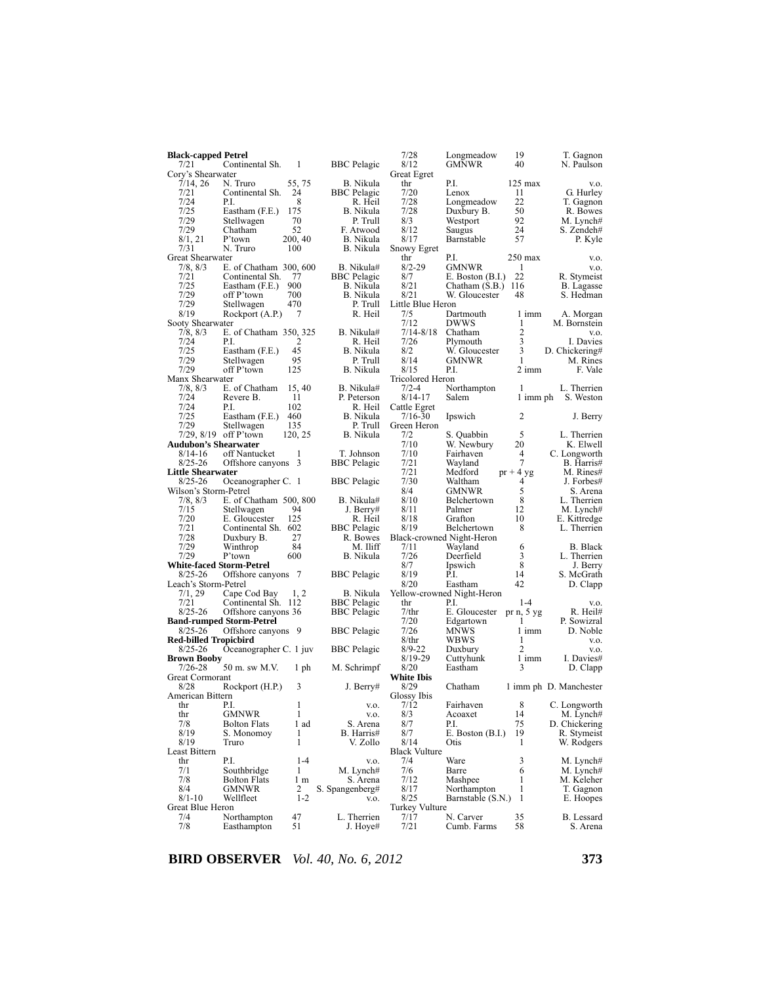| <b>Black-capped Petrel</b><br>7/21   | Continental Sh.                 | 1                | <b>BBC</b> Pelagic     | 7/28<br>8/12         | Longmeadow<br><b>GMNWR</b> | 19<br>40          | T. Gagnon<br>N. Paulson    |
|--------------------------------------|---------------------------------|------------------|------------------------|----------------------|----------------------------|-------------------|----------------------------|
| Cory's Shearwater                    |                                 |                  |                        | Great Egret          |                            |                   |                            |
| 7/14, 26                             | N. Truro                        | 55, 75           | B. Nikula              | thr                  | P.I.                       | $125 \text{ max}$ | V.O.                       |
| 7/21                                 | Continental Sh. 24              |                  | <b>BBC</b> Pelagic     | 7/20                 | Lenox                      | -11               | G. Hurley                  |
| 7/24                                 | P.I.                            | 8                | R. Heil                | 7/28                 | Longmeadow                 | 22                | T. Gagnon                  |
| 7/25                                 | Eastham (F.E.) 175              |                  | B. Nikula              | 7/28                 | Duxbury B.                 | 50                | R. Bowes                   |
| 7/29                                 | Stellwagen                      | 70               | P. Trull               | 8/3                  | Westport                   | 92                | M. Lynch#                  |
| 7/29                                 | Chatham                         | 52               | F. Atwood              | 8/12<br>8/17         | Saugus                     | 24<br>57          | S. Zendeh#                 |
| 8/1, 21<br>7/31                      | P'town<br>N. Truro              | 200, 40<br>- 100 | B. Nikula<br>B. Nikula |                      | Barnstable                 |                   | P. Kyle                    |
| Great Shearwater                     |                                 |                  |                        | Snowy Egret<br>thr   | P.I.                       | $250$ max         | V.O.                       |
| 7/8, 8/3                             | E. of Chatham 300, 600          |                  | B. Nikula#             | $8/2 - 29$           | <b>GMNWR</b>               | -1                | v.o.                       |
| 7/21                                 | Continental Sh. 77              |                  | <b>BBC</b> Pelagic     | 8/7                  | E. Boston (B.I.) 22        |                   | R. Stymeist                |
| 7/25                                 | Eastham (F.E.)                  | 900              | B. Nikula              | 8/21                 | Chatham $(S.B.)$ 116       |                   | B. Lagasse                 |
| 7/29                                 | off P'town                      | 700              | B. Nikula              | 8/21                 | W. Gloucester              | 48                | S. Hedman                  |
| 7/29                                 | Stellwagen                      | 470              | P. Trull               | Little Blue Heron    |                            |                   |                            |
| 8/19                                 | Rockport (A.P.)                 | 7                | R. Heil                | 7/5                  | Dartmouth                  | 1 imm             | A. Morgan                  |
| Sooty Shearwater                     |                                 |                  |                        | 7/12                 | <b>DWWS</b>                | -1                | M. Bornstein               |
| 7/8, 8/3                             | E. of Chatham 350, 325          |                  | B. Nikula#             | $7/14 - 8/18$        | Chatham                    | 2                 | v.o.                       |
| 7/24                                 | P.I.                            | 2                | R. Heil                | 7/26                 | Plymouth                   | 3                 | I. Davies                  |
| 7/25                                 | Eastham (F.E.)                  | 45               | B. Nikula              | 8/2                  | W. Gloucester              | 3                 | D. Chickering#             |
| 7/29                                 | Stellwagen                      | 95               | P. Trull               | 8/14                 | <b>GMNWR</b>               | $\mathbf{1}$      | M. Rines                   |
| 7/29                                 | off P'town                      | 125              | B. Nikula              | 8/15                 | P.I.                       | 2 imm             | F. Vale                    |
| Manx Shearwater                      |                                 |                  |                        | Tricolored Heron     |                            |                   |                            |
| 7/8, 8/3                             | E. of Chatham                   | 15.40            | B. Nikula#             | $7/2 - 4$            | Northampton                | -1                | L. Therrien                |
| 7/24                                 | Revere B.                       | - 11             | P. Peterson            | 8/14-17              | Salem                      |                   | 1 imm ph S. Weston         |
| 7/24                                 | P.I.                            | 102              | R. Heil                | Cattle Egret         |                            |                   |                            |
| 7/25                                 | Eastham $(F.E.)$ 460            |                  | B. Nikula              | $7/16 - 30$          | Ipswich                    | 2                 | J. Berry                   |
| 7/29                                 | Stellwagen                      | 135              | P. Trull               | Green Heron          |                            | 5                 |                            |
| <b>Audubon's Shearwater</b>          | 7/29, 8/19 off P'town           | 120, 25          | B. Nikula              | 7/2<br>7/10          | S. Quabbin<br>W. Newbury   | 20                | L. Therrien                |
| $8/14-16$                            | off Nantucket                   | $\blacksquare$   | T. Johnson             | 7/10                 | Fairhaven                  | 4                 | K. Elwell                  |
| $8/25 - 26$                          | Offshore canyons 3              |                  | <b>BBC</b> Pelagic     | 7/21                 | Wayland                    | 7                 | C. Longworth<br>B. Harris# |
| <b>Little Shearwater</b>             |                                 |                  |                        | 7/21                 | Medford                    | $pr + 4$ yg       | M. Rines#                  |
| $8/25 - 26$                          | Oceanographer C. 1              |                  | <b>BBC</b> Pelagic     | 7/30                 | Waltham                    | 4                 | J. Forbes#                 |
| Wilson's Storm-Petrel                |                                 |                  |                        | 8/4                  | <b>GMNWR</b>               | 5                 | S. Arena                   |
| 7/8, 8/3                             | E. of Chatham 500, 800          |                  | B. Nikula#             | 8/10                 | Belchertown                | 8                 | L. Therrien                |
| 7/15                                 | Stellwagen                      | 94               | J. Berry#              | 8/11                 | Palmer                     | 12                | M. Lynch#                  |
| 7/20                                 | E. Gloucester                   | 125              | R. Heil                | 8/18                 | Grafton                    | 10                | E. Kittredge               |
| 7/21                                 | Continental Sh. 602             |                  | <b>BBC</b> Pelagic     | 8/19                 | Belchertown                | 8                 | L. Therrien                |
| 7/28                                 | Duxbury B.                      | 27               | R. Bowes               |                      | Black-crowned Night-Heron  |                   |                            |
| 7/29                                 | Winthrop                        | 84               | M. Iliff               | 7/11                 | Wayland                    | 6                 | B. Black                   |
| 7/29                                 | P'town                          | 600              | B. Nikula              | 7/26                 | Deerfield                  | 3                 | L. Therrien                |
|                                      | <b>White-faced Storm-Petrel</b> |                  |                        | 8/7                  | Ipswich                    | 8                 | J. Berry                   |
| $8/25 - 26$                          | Offshore canyons 7              |                  | <b>BBC</b> Pelagic     | 8/19                 | P.I.                       | 14                | S. McGrath                 |
| Leach's Storm-Petrel                 |                                 |                  |                        | 8/20                 | Eastham                    | 42                | D. Clapp                   |
| 7/1, 29                              | Cape Cod Bay                    | 1, 2             | B. Nikula              |                      | Yellow-crowned Night-Heron |                   |                            |
| 7/21                                 | Continental Sh. 112             |                  | <b>BBC</b> Pelagic     | thr                  | P.I.                       | $1 - 4$           | V.O.                       |
| 8/25-26                              | Offshore canyons 36             |                  | <b>BBC</b> Pelagic     | $7$ /thr             | E. Gloucester pr n, 5 yg   |                   | R. Heil#                   |
|                                      | <b>Band-rumped Storm-Petrel</b> |                  |                        | 7/20                 | Edgartown<br><b>MNWS</b>   | 1                 | P. Sowizral                |
| $8/25 - 26$                          | Offshore canyons 9              |                  | <b>BBC</b> Pelagic     | 7/26<br>$8$ /thr     | WBWS                       | 1 imm<br>-1       | D. Noble                   |
| Red-billed Tropicbird<br>$8/25 - 26$ | Oceanographer C. 1 juv          |                  | <b>BBC</b> Pelagic     | $8/9 - 22$           | Duxbury                    | 2                 | V.O.<br>v.o.               |
| <b>Brown Booby</b>                   |                                 |                  |                        | $8/19-29$            | Cuttyhunk                  | 1 imm             | I. Davies#                 |
| 7/26-28                              | 50 m. sw M.V.                   | 1 ph             | M. Schrimpf            | 8/20                 | Eastham                    | 3                 | D. Clapp                   |
| Great Cormorant                      |                                 |                  |                        | <b>White Ibis</b>    |                            |                   |                            |
| 8/28                                 | Rockport (H.P.)                 | 3                | J. Berry#              | 8/29                 | Chatham                    |                   | 1 imm ph D. Manchester     |
| American Bittern                     |                                 |                  |                        | Glossy Ibis          |                            |                   |                            |
| thr                                  | P.I.                            | $1\,$            | v.o.                   | 7/12                 | Fairhaven                  | 8                 | C. Longworth               |
| thr                                  | <b>GMNWR</b>                    | $\mathbf{1}$     | V.O.                   | 8/3                  | Acoaxet                    | 14                | M. Lynch#                  |
| 7/8                                  | <b>Bolton Flats</b>             | 1 ad             | S. Arena               | 8/7                  | P.I.                       | 75                | D. Chickering              |
| 8/19                                 | S. Monomoy                      | 1                | B. Harris#             | 8/7                  | E. Boston (B.I.)           | 19                | R. Stymeist                |
| 8/19                                 | Truro                           | 1                | V. Zollo               | 8/14                 | Otis                       | 1                 | W. Rodgers                 |
| Least Bittern                        |                                 |                  |                        | <b>Black Vulture</b> |                            |                   |                            |
| thr                                  | P.I.                            | $1 - 4$          | V.O.                   | 7/4                  | Ware                       | 3                 | M. Lynch#                  |
| 7/1                                  | Southbridge                     | 1                | M. Lynch#              | 7/6                  | Barre                      | 6                 | M. Lynch#                  |
| 7/8                                  | <b>Bolton Flats</b>             | 1 m              | S. Arena               | 7/12                 | Mashpee                    | 1                 | M. Keleher                 |
| 8/4                                  | GMNWR                           | 2                | S. Spangenberg#        | 8/17                 | Northampton                | 1                 | T. Gagnon                  |
| $8/1 - 10$                           | Wellfleet                       | $1 - 2$          | v.o.                   | 8/25                 | Barnstable (S.N.)          | 1                 | E. Hoopes                  |
| Great Blue Heron                     |                                 |                  |                        | Turkey Vulture       |                            |                   |                            |
| 7/4                                  | Northampton                     | 47               | L. Therrien            | 7/17                 | N. Carver                  | 35                | <b>B.</b> Lessard          |
| 7/8                                  | Easthampton                     | 51               | J. Hoye#               | 7/21                 | Cumb. Farms                | 58                | S. Arena                   |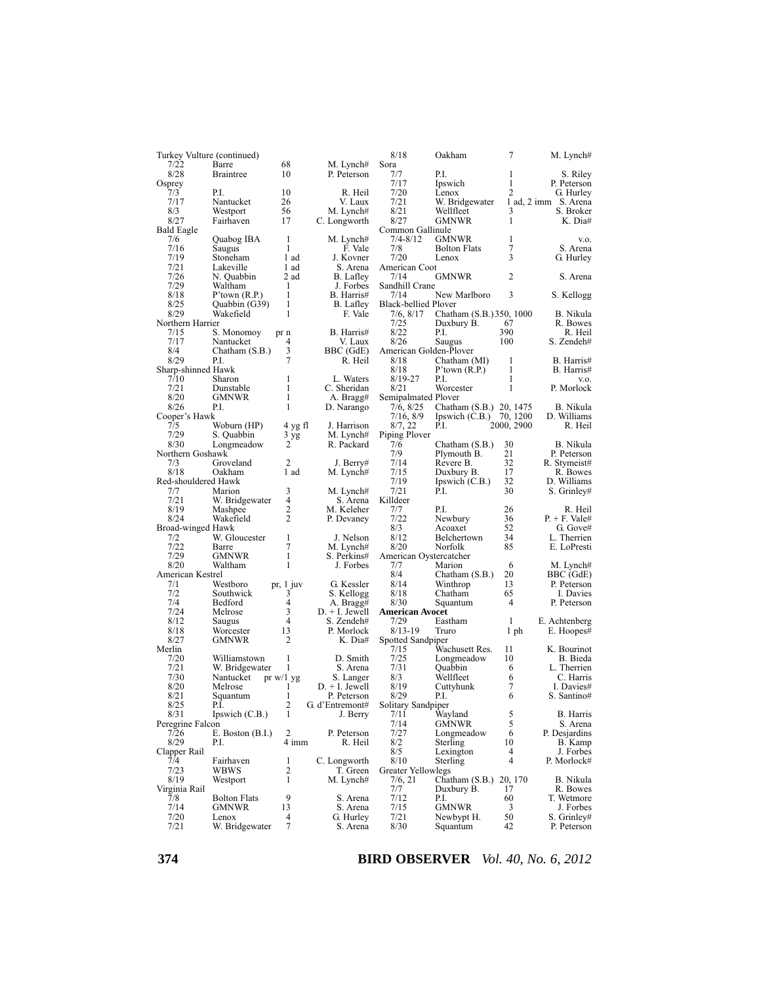| Turkey Vulture (continued) |                             |                                  |                          | 8/18                           | Oakham                       | 7              | M. Lynch#                   |
|----------------------------|-----------------------------|----------------------------------|--------------------------|--------------------------------|------------------------------|----------------|-----------------------------|
| 7/22                       | Barre                       | 68                               | M. Lynch#                | Sora                           |                              |                |                             |
| 8/28<br>Osprey             | <b>Braintree</b>            | 10                               | P. Peterson              | 7/7<br>7/17                    | P.I.<br>Ipswich              | 1<br>1         | S. Riley<br>P. Peterson     |
| 7/3                        | P.I.                        | 10                               | R. Heil                  | 7/20                           | Lenox                        | $\overline{2}$ | G. Hurley                   |
| 7/17                       | Nantucket                   | 26                               | V. Laux                  | 7/21                           | W. Bridgewater               |                | 1 ad, 2 imm S. Arena        |
| 8/3                        | Westport                    | 56                               | M. Lynch#                | 8/21                           | Wellfleet                    | 3              | S. Broker                   |
| 8/27<br><b>Bald Eagle</b>  | Fairhaven                   | 17                               | C. Longworth             | 8/27<br>Common Gallinule       | <b>GMNWR</b>                 | $\mathbf{1}$   | K. Dia#                     |
| 7/6                        | <b>Ouabog IBA</b>           | 1                                | M. Lynch#                | $7/4 - 8/12$                   | <b>GMNWR</b>                 | 1              | V.O.                        |
| 7/16                       | Saugus                      | 1                                | F. Vale                  | 7/8                            | <b>Bolton Flats</b>          | 7              | S. Arena                    |
| 7/19                       | Stoneham                    | 1 ad                             | J. Kovner                | 7/20                           | Lenox                        | 3              | G. Hurley                   |
| 7/21<br>7/26               | Lakeville                   | 1 ad                             | S. Arena                 | American Coot<br>7/14          |                              | $\overline{c}$ |                             |
| 7/29                       | N. Quabbin<br>Waltham       | 2 ad<br>1                        | B. Lafley<br>J. Forbes   | Sandhill Crane                 | <b>GMNWR</b>                 |                | S. Arena                    |
| 8/18                       | $P'$ town $(R.P.)$          | 1                                | B. Harris#               | 7/14                           | New Marlboro                 | 3              | S. Kellogg                  |
| 8/25                       | Quabbin (G39)               | 1                                | B. Lafley                | <b>Black-bellied Plover</b>    |                              |                |                             |
| 8/29                       | Wakefield                   | 1                                | F. Vale                  | 7/6, 8/17                      | Chatham (S.B.) 350, 1000     |                | B. Nikula                   |
| Northern Harrier           |                             |                                  |                          | 7/25                           | Duxbury B.                   | 67             | R. Bowes                    |
| 7/15<br>7/17               | S. Monomoy<br>Nantucket     | pr n<br>4                        | B. Harris#<br>V. Laux    | 8/22<br>8/26                   | P.I.<br>Saugus               | 390<br>100     | R. Heil<br>S. Zendeh#       |
| 8/4                        | Chatham (S.B.)              | 3                                | BBC (GdE)                | American Golden-Plover         |                              |                |                             |
| 8/29                       | P.I.                        | 7                                | R. Heil                  | 8/18                           | Chatham (MI)                 | 1              | B. Harris#                  |
| Sharp-shinned Hawk         |                             |                                  |                          | 8/18                           | P'town $(R.P.)$              | 1              | B. Harris#                  |
| 7/10                       | Sharon                      | 1                                | L. Waters                | $8/19 - 27$                    | P.I.                         | 1              | v.o.                        |
| 7/21<br>8/20               | Dunstable<br><b>GMNWR</b>   | 1<br>1                           | C. Sheridan              | 8/21<br>Semipalmated Plover    | Worcester                    | 1              | P. Morlock                  |
| 8/26                       | P.I.                        | 1                                | A. Bragg#<br>D. Narango  | 7/6, 8/25                      | Chatham (S.B.) 20, 1475      |                | B. Nikula                   |
| Cooper's Hawk              |                             |                                  |                          | 7/16, 8/9                      | Ipswich (C.B.) 70, 1200      |                | D. Williams                 |
| 7/5                        | Woburn (HP)                 | 4 yg fl                          | J. Harrison              | 8/7, 22                        | P.I.                         | 2000, 2900     | R. Heil                     |
| 7/29                       | S. Quabbin                  | 3 yg                             | M. Lynch#                | Piping Plover                  |                              |                |                             |
| 8/30                       | Longmeadow                  | 2                                | R. Packard               | 7/6                            | Chatham (S.B.)               | 30             | B. Nikula                   |
| Northern Goshawk<br>7/3    | Groveland                   | 2                                | J. Berry#                | 7/9<br>7/14                    | Plymouth B.<br>Revere B.     | 21<br>32       | P. Peterson<br>R. Stymeist# |
| 8/18                       | Oakham                      | 1 ad                             | M. Lynch#                | 7/15                           | Duxbury B.                   | 17             | R. Bowes                    |
| Red-shouldered Hawk        |                             |                                  |                          | 7/19                           | Ipswich $(C.B.)$             | 32             | D. Williams                 |
| 7/7                        | Marion                      | 3                                | M. Lynch#                | 7/21                           | P.I.                         | 30             | S. Grinley#                 |
| 7/21                       | W. Bridgewater              | 4                                | S. Arena                 | Killdeer                       |                              |                |                             |
| 8/19<br>8/24               | Mashpee<br>Wakefield        | $\overline{c}$<br>$\overline{c}$ | M. Keleher<br>P. Devaney | 7/7<br>7/22                    | P.I.<br>Newbury              | 26<br>36       | R. Heil<br>$P + F$ . Vale#  |
| Broad-winged Hawk          |                             |                                  |                          | 8/3                            | Acoaxet                      | 52             | G. Gove#                    |
| 7/2                        | W. Gloucester               | 1                                | J. Nelson                | 8/12                           | Belchertown                  | 34             | L. Therrien                 |
| 7/22                       | Barre                       | 7                                | M. Lynch#                | 8/20                           | Norfolk                      | 85             | E. LoPresti                 |
| 7/29                       | <b>GMNWR</b>                | 1                                | S. Perkins#              | American Oystercatcher         |                              |                |                             |
| 8/20<br>American Kestrel   | Waltham                     | 1                                | J. Forbes                | 7/7<br>8/4                     | Marion<br>Chatham (S.B.)     | 6<br>20        | M. Lynch#<br>BBC (GdE)      |
| 7/1                        | Westboro                    | pr, $1$ juv                      | G. Kessler               | 8/14                           | Winthrop                     | 13             | P. Peterson                 |
| 7/2                        | Southwick                   | 3                                | S. Kellogg               | 8/18                           | Chatham                      | 65             | I. Davies                   |
| 7/4                        | Bedford                     | 4                                | A. Bragg#                | 8/30                           | Squantum                     | $\overline{4}$ | P. Peterson                 |
| 7/24<br>8/12               | Melrose                     | 3<br>$\overline{4}$              | $D. + I.$ Jewell         | <b>American Avocet</b><br>7/29 | Eastham                      |                |                             |
| 8/18                       | Saugus<br>Worcester         | 13                               | S. Zendeh#<br>P. Morlock | $8/13 - 19$                    | Truro                        | 1<br>1 ph      | E. Achtenberg<br>E. Hoopes# |
| 8/27                       | <b>GMNWR</b>                | $\overline{c}$                   | K. Dia#                  | Spotted Sandpiper              |                              |                |                             |
| Merlin                     |                             |                                  |                          | 7/15                           | Wachusett Res.               | 11             | K. Bourinot                 |
| 7/20                       | Williamstown                | 1                                | D. Smith                 | 7/25                           | Longmeadow                   | 10             | B. Bieda                    |
| 7/21<br>7/30               | W. Bridgewater<br>Nantucket | 1<br>pr $w/1$ yg                 | S. Arena<br>S. Langer    | 7/31<br>8/3                    | Ouabbin<br>Wellfleet         | 6<br>6         | L. Therrien<br>C. Harris    |
| 8/20                       | Melrose                     | 1                                | $D. + I.$ Jewell         | 8/19                           | Cuttyhunk                    | 7              | I. Davies#                  |
| 8/21                       | Squantum                    | 1                                | P. Peterson              | 8/29                           | P.I.                         | 6              | S. Santino#                 |
| 8/25                       | P.I.                        | 2                                | G. d'Entremont#          | Solitary Sandpiper             |                              |                |                             |
| 8/31                       | Ipswich (C.B.)              | 1                                | J. Berry                 | 7/11                           | Wayland                      | 5              | B. Harris                   |
| Peregrine Falcon<br>7/26   | E. Boston (B.I.)            | 2                                | P. Peterson              | 7/14<br>7/27                   | <b>GMNWR</b><br>Longmeadow   | 5<br>6         | S. Arena<br>P. Desjardins   |
| 8/29                       | P.I.                        | 4 imm                            | R. Heil                  | 8/2                            | Sterling                     | 10             | B. Kamp                     |
| Clapper Rail               |                             |                                  |                          | 8/5                            | Lexington                    | 4              | J. Forbes                   |
| 7/4                        | Fairhaven                   | 1                                | C. Longworth             | 8/10                           | Sterling                     | $\overline{4}$ | P. Morlock#                 |
| 7/23                       | WBWS                        | $\overline{c}$                   | T. Green                 | Greater Yellowlegs             |                              |                |                             |
| 8/19<br>Virginia Rail      | Westport                    | 1                                | M. Lynch#                | 7/6, 21<br>7/7                 | Chatham (S.B.)<br>Duxbury B. | 20, 170<br>17  | B. Nikula<br>R. Bowes       |
| 7/8                        | <b>Bolton Flats</b>         | 9                                | S. Arena                 | 7/12                           | P.I.                         | 60             | T. Wetmore                  |
| 7/14                       | <b>GMNWR</b>                | 13                               | S. Arena                 | 7/15                           | <b>GMNWR</b>                 | 3              | J. Forbes                   |
| 7/20                       | Lenox                       | 4                                | G. Hurley                | 7/21                           | Newbypt H.                   | 50             | S. Grinley#                 |
| 7/21                       | W. Bridgewater              | 7                                | S. Arena                 | 8/30                           | Squantum                     | 42             | P. Peterson                 |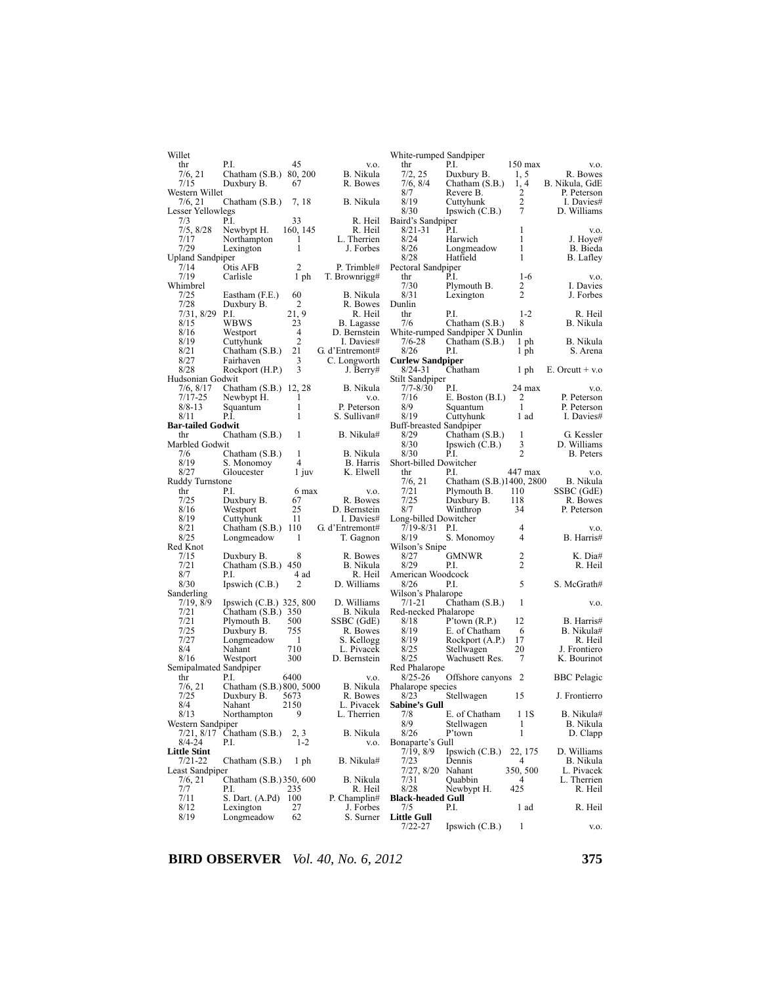| Willet                         |                                        |                                  |                               | White-rumped Sandpiper                 |                                                   |                         |                            |
|--------------------------------|----------------------------------------|----------------------------------|-------------------------------|----------------------------------------|---------------------------------------------------|-------------------------|----------------------------|
| thr                            | P.I.                                   | 45                               | V.O.                          | thr                                    | P.I.                                              | $150 \text{ max}$       | V.O.                       |
| 7/6, 21<br>7/15                | Chatham (S.B.) 80, 200<br>Duxbury B.   | 67                               | B. Nikula<br>R. Bowes         | 7/2, 25<br>7/6, 8/4                    | Duxbury B.<br>Chatham (S.B.)                      | 1, 5<br>1, 4            | R. Bowes<br>B. Nikula, GdE |
| Western Willet                 |                                        |                                  |                               | 8/7                                    | Revere B.                                         | 2                       | P. Peterson                |
| 7/6, 21                        | Chatham (S.B.)                         | 7, 18                            | B. Nikula                     | 8/19                                   | Cuttyhunk                                         | 2                       | I. Davies#                 |
| <b>Lesser Yellowlegs</b>       |                                        |                                  |                               | 8/30                                   | Ipswich $(C.B.)$                                  | 7                       | D. Williams                |
| 7/3                            | P.I.<br>Newbypt H.                     | 33                               | R. Heil<br>R. Heil            | Baird's Sandpiper<br>$8/21 - 31$       | P.I.                                              | 1                       |                            |
| 7/5, 8/28<br>7/17              | Northampton                            | 160, 145<br>1                    | L. Therrien                   | 8/24                                   | Harwich                                           | 1                       | v.o.<br>J. Hoye#           |
| 7/29                           | Lexington                              | 1                                | J. Forbes                     | 8/26                                   | Longmeadow                                        | 1                       | B. Bieda                   |
| <b>Upland Sandpiper</b>        |                                        |                                  |                               | 8/28                                   | Hatfield                                          | 1                       | B. Lafley                  |
| 7/14                           | Otis AFB                               | 2                                | P. Trimble#                   | Pectoral Sandpiper                     |                                                   |                         |                            |
| 7/19<br>Whimbrel               | Carlisle                               | 1 ph                             | T. Brownrigg#                 | thr<br>7/30                            | P.I.<br>Plymouth B.                               | $1-6$<br>$\overline{c}$ | v.o.<br>I. Davies          |
| 7/25                           | Eastham (F.E.)                         | 60                               | B. Nikula                     | 8/31                                   | Lexington                                         | $\overline{c}$          | J. Forbes                  |
| 7/28                           | Duxbury B.                             | 2                                | R. Bowes                      | Dunlin                                 |                                                   |                         |                            |
| 7/31, 8/29                     | P.I.                                   | 21.9                             | R. Heil                       | thr                                    | P.I.                                              | $1-2$                   | R. Heil                    |
| 8/15                           | WBWS                                   | 23                               | B. Lagasse                    | 7/6                                    | Chatham (S.B.)                                    | 8                       | B. Nikula                  |
| 8/16<br>8/19                   | Westport<br>Cuttyhunk                  | $\overline{4}$<br>$\overline{2}$ | D. Bernstein<br>I. Davies#    | $7/6 - 28$                             | White-rumped Sandpiper X Dunlin<br>Chatham (S.B.) | 1 ph                    | B. Nikula                  |
| 8/21                           | Chatham (S.B.)                         | 21                               | G. d'Entremont#               | 8/26                                   | P.I.                                              | 1 ph                    | S. Arena                   |
| 8/27                           | Fairhaven                              | 3                                | C. Longworth                  | <b>Curlew Sandpiper</b>                |                                                   |                         |                            |
| 8/28                           | Rockport (H.P.)                        | 3                                | J. Berry#                     | $8/24 - 31$                            | Chatham                                           | 1 ph                    | $E.$ Orcutt + v.o          |
| Hudsonian Godwit               |                                        |                                  |                               | Stilt Sandpiper                        |                                                   |                         |                            |
| 7/6, 8/17                      | Chatham (S.B.) 12, 28                  |                                  | B. Nikula                     | $7/7 - 8/30$                           | P.I.                                              | 24 max                  | v.o.                       |
| $7/17 - 25$<br>$8/8 - 13$      | Newbypt H.<br>Squantum                 | 1<br>1                           | V.O.<br>P. Peterson           | 7/16<br>8/9                            | E. Boston (B.I.)<br>Squantum                      | 2<br>1                  | P. Peterson<br>P. Peterson |
| 8/11                           | P.I.                                   | 1                                | S. Sullivan#                  | 8/19                                   | Cuttyhunk                                         | 1 ad                    | I. Davies#                 |
| <b>Bar-tailed Godwit</b>       |                                        |                                  |                               | Buff-breasted Sandpiper                |                                                   |                         |                            |
| thr                            | Chatham (S.B.)                         | 1                                | B. Nikula#                    | 8/29                                   | Chatham (S.B.)                                    | 1                       | G. Kessler                 |
| Marbled Godwit                 |                                        |                                  |                               | 8/30                                   | Ipswich $(C.B.)$                                  | 3                       | D. Williams                |
| 7/6<br>8/19                    | Chatham (S.B.)<br>S. Monomov           | 1<br>$\overline{4}$              | B. Nikula<br><b>B.</b> Harris | 8/30<br>Short-billed Dowitcher         | P.I.                                              | $\overline{c}$          | <b>B.</b> Peters           |
| 8/27                           | Gloucester                             | 1 juv                            | K. Elwell                     | thr                                    | P.I.                                              | 447 max                 | V.O.                       |
| Ruddy Turnstone                |                                        |                                  |                               | 7/6, 21                                | Chatham (S.B.)1400, 2800                          |                         | B. Nikula                  |
| thr                            | P.I.                                   | 6 max                            | v.o.                          | 7/21                                   | Plymouth B.                                       | 110                     | SSBC (GdE)                 |
| 7/25                           | Duxbury B.                             | 67                               | R. Bowes                      | 7/25                                   | Duxbury B.                                        | 118                     | R. Bowes                   |
| 8/16                           | Westport                               | 25<br>11                         | D. Bernstein                  | 8/7                                    | Winthrop                                          | 34                      | P. Peterson                |
| 8/19<br>8/21                   | Cuttyhunk<br>Chatham (S.B.) 110        |                                  | I. Davies#<br>G. d'Entremont# | Long-billed Dowitcher<br>$7/19 - 8/31$ | P.I.                                              | 4                       | v.o.                       |
| 8/25                           | Longmeadow                             | 1                                | T. Gagnon                     | 8/19                                   | S. Monomoy                                        | 4                       | B. Harris#                 |
| Red Knot                       |                                        |                                  |                               | Wilson's Snipe                         |                                                   |                         |                            |
| 7/15                           | Duxbury B.                             | 8                                | R. Bowes                      | 8/27                                   | <b>GMNWR</b>                                      | $\overline{2}$          | K. Dia#                    |
| 7/21                           | Chatham $(S.B.)$ 450                   |                                  | B. Nikula                     | 8/29                                   | P.I.                                              | $\overline{c}$          | R. Heil                    |
| 8/7<br>8/30                    | P.I.<br>Ipswich $(C.B.)$               | 4 ad<br>2                        | R. Heil<br>D. Williams        | American Woodcock<br>8/26              | P.I.                                              | 5                       | S. McGrath#                |
| Sanderling                     |                                        |                                  |                               | Wilson's Phalarope                     |                                                   |                         |                            |
| 7/19, 8/9                      | Ipswich (C.B.) 325, 800                |                                  | D. Williams                   | $7/1 - 21$                             | Chatham (S.B.)                                    | 1                       | v.o.                       |
| 7/21                           | Chatham $(S.B.)$ 350                   |                                  | B. Nikula                     | Red-necked Phalarope                   |                                                   |                         |                            |
| 7/21                           | Plymouth B.                            | 500                              | SSBC (GdE)                    | 8/18                                   | $P'$ town $(R.P.)$                                | 12                      | B. Harris#                 |
| 7/25<br>7/27                   | Duxbury B.<br>Longmeadow               | 755<br>$\overline{1}$            | R. Bowes<br>S. Kellogg        | 8/19<br>8/19                           | E. of Chatham<br>Rockport (A.P.)                  | 6<br>17                 | B. Nikula#<br>R. Heil      |
| 8/4                            | Nahant                                 | 710                              | L. Pivacek                    | 8/25                                   | Stellwagen                                        | 20                      | J. Frontiero               |
| 8/16                           | Westport                               | 300                              | D. Bernstein                  | 8/25                                   | Wachusett Res.                                    | 7                       | K. Bourinot                |
| Semipalmated Sandpiper         |                                        |                                  |                               | Red Phalarope                          |                                                   |                         |                            |
| thr                            | P.I.                                   | 6400                             | V.O.                          | $8/25 - 26$                            | Offshore canyons                                  | - 2                     | <b>BBC</b> Pelagic         |
| 7/6, 21<br>7/25                | Chatham (S.B.) 800, 5000<br>Duxbury B. | 5673                             | B. Nikula<br>R. Bowes         | Phalarope species<br>8/23              | Stellwagen                                        | 15                      | J. Frontierro              |
| 8/4                            | Nahant                                 | 2150                             | L. Pivacek                    | Sabine's Gull                          |                                                   |                         |                            |
| 8/13                           | Northampton                            | 9                                | L. Therrien                   | 7/8                                    | E. of Chatham                                     | 1 1 S                   | B. Nikula#                 |
| Western Sandpiper              |                                        |                                  |                               | 8/9                                    | Stellwagen                                        | 1                       | B. Nikula                  |
|                                | $7/21$ , $8/17$ Chatham (S.B.)         | 2, 3                             | B. Nikula                     | 8/26                                   | P'town                                            | 1                       | D. Clapp                   |
| $8/4 - 24$                     | P.I.                                   | $1 - 2$                          | V.O.                          | Bonaparte's Gull                       | Ipswich $(C.B.)$                                  |                         | D. Williams                |
| <b>Little Stint</b><br>7/21-22 | Chatham (S.B.)                         | $1$ ph                           | B. Nikula#                    | 7/19, 8/9<br>7/23                      | Dennis                                            | 22, 175<br>4            | B. Nikula                  |
| Least Sandpiper                |                                        |                                  |                               | 7/27, 8/20 Nahant                      |                                                   | 350, 500                | L. Pivacek                 |
| 7/6, 21                        | Chatham (S.B.) 350, 600                |                                  | B. Nikula                     | 7/31                                   | Quabbin                                           | 4                       | L. Therrien                |
| 7/7                            | P.I.                                   | 235                              | R. Heil                       | 8/28                                   | Newbypt H.                                        | 425                     | R. Heil                    |
| 7/11                           | S. Dart. (A.Pd)                        | 100                              | P. Champlin#<br>J. Forbes     | <b>Black-headed Gull</b>               |                                                   | 1 ad                    |                            |
| 8/12<br>8/19                   | Lexington<br>Longmeadow                | 27<br>62                         | S. Surner                     | 7/5<br><b>Little Gull</b>              | P.I.                                              |                         | R. Heil                    |
|                                |                                        |                                  |                               | 7/22-27                                | Ipswich $(C.B.)$                                  | 1                       | v.o.                       |
|                                |                                        |                                  |                               |                                        |                                                   |                         |                            |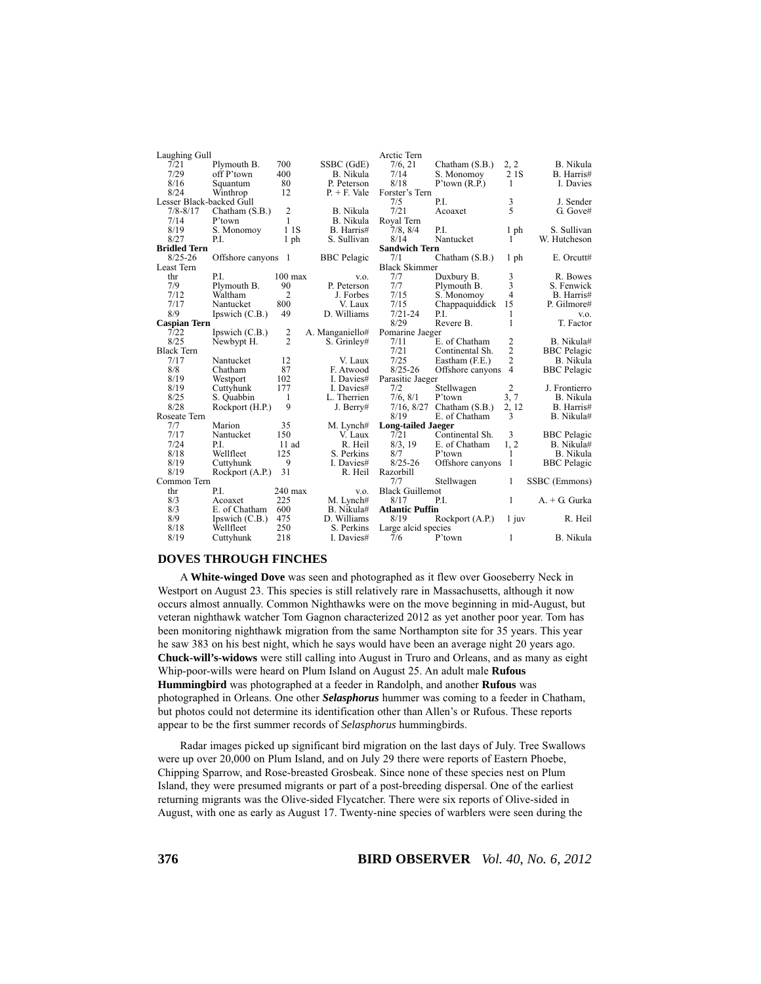| Laughing Gull            |                    |                   |                    | Arctic Tern               |                    |                |                       |
|--------------------------|--------------------|-------------------|--------------------|---------------------------|--------------------|----------------|-----------------------|
| 7/21                     | Plymouth B.        | 700               | SSBC (GdE)         | 7/6, 21                   | Chatham (S.B.)     | 2, 2           | B. Nikula             |
| 7/29                     | off P'town         | 400               | B. Nikula          | 7/14                      | S. Monomoy         | 2 1 S          | B. Harris#            |
| 8/16                     | Squantum           | 80                | P. Peterson        | 8/18                      | $P'$ town $(R.P.)$ | 1              | I. Davies             |
| 8/24                     | Winthrop           | 12                | $P_+ + F_+$ Vale   | Forster's Tern            |                    |                |                       |
| Lesser Black-backed Gull |                    |                   |                    | 7/5                       | P.I.               | 3              | J. Sender             |
| $7/8 - 8/17$             | Chatham (S.B.)     | $\overline{2}$    | B. Nikula          | 7/21                      | Acoaxet            | 5              | G. Gove#              |
| 7/14                     | P'town             | $\mathbf{1}$      | B. Nikula          | Royal Tern                |                    |                |                       |
| 8/19                     | S. Monomoy         | 1 1 S             | B. Harris#         | 7/8, 8/4                  | P.I.               | $1$ ph         | S. Sullivan           |
| 8/27                     | P.I.               | 1 ph              | S. Sullivan        | 8/14                      | Nantucket          | 1              | W. Hutcheson          |
| <b>Bridled Tern</b>      |                    |                   |                    | <b>Sandwich Tern</b>      |                    |                |                       |
| $8/25 - 26$              | Offshore canyons 1 |                   | <b>BBC</b> Pelagic | 7/1                       | Chatham (S.B.)     | 1ph            | E. Orcutt#            |
| Least Tern               |                    |                   |                    | <b>Black Skimmer</b>      |                    |                |                       |
| thr                      | P.I.               | $100 \text{ max}$ | V.O.               | 7/7                       | Duxbury B.         | 3              | R. Bowes              |
| 7/9                      | Plymouth B.        | 90                | P. Peterson        | 7/7                       | Plymouth B.        | 3              | S. Fenwick            |
| 7/12                     | Waltham            | 2                 | J. Forbes          | 7/15                      | S. Monomoy         | $\overline{4}$ | B. Harris#            |
| 7/17                     | Nantucket          | 800               | V. Laux            | 7/15                      | Chappaquiddick     | 15             | P. Gilmore#           |
| 8/9                      | Ipswich $(C.B.)$   | 49                | D. Williams        | $7/21 - 24$               | P.I.               | 1              | V.O.                  |
| <b>Caspian Tern</b>      |                    |                   |                    | 8/29                      | Revere B.          | $\mathbf{1}$   | T. Factor             |
| 7/22                     | Ipswich $(C.B.)$   | $\boldsymbol{2}$  | A. Manganiello#    | Pomarine Jaeger           |                    |                |                       |
| 8/25                     | Newbypt H.         | $\overline{c}$    | S. Grinley#        | 7/11                      | E. of Chatham      | 2              | B. Nikula#            |
| <b>Black Tern</b>        |                    |                   |                    | 7/21                      | Continental Sh.    | 2              | <b>BBC</b> Pelagic    |
| 7/17                     | Nantucket          | 12                | V. Laux            | 7/25                      | Eastham (F.E.)     | $\overline{c}$ | B. Nikula             |
| 8/8                      | Chatham            | 87                | F. Atwood          | $8/25 - 26$               | Offshore canyons   | $\overline{4}$ | <b>BBC</b> Pelagic    |
| 8/19                     | Westport           | 102               | I. Davies#         | Parasitic Jaeger          |                    |                |                       |
| 8/19                     | Cuttyhunk          | 177               | I. Davies#         | 7/2                       | Stellwagen         | 2              | J. Frontierro         |
| 8/25                     | S. Quabbin         | 1                 | L. Therrien        | 7/6, 8/1                  | P'town             | 3, 7           | B. Nikula             |
| 8/28                     | Rockport (H.P.)    | 9                 | J. Berry#          | $7/16$ , $8/27$           | Chatham (S.B.)     | 2, 12          | B. Harris#            |
| Roseate Tern             |                    |                   |                    | 8/19                      | E. of Chatham      | 3              | B. Nikula#            |
| 7/7                      | Marion             | 35                | M. Lynch#          | <b>Long-tailed Jaeger</b> |                    |                |                       |
| 7/17                     | Nantucket          | 150               | V. Laux            | 7/21                      | Continental Sh.    | 3              | <b>BBC</b> Pelagic    |
| 7/24                     | P.I.               | $11$ ad           | R. Heil            | 8/3, 19                   | E. of Chatham      | 1.2            | B. Nikula#            |
| 8/18                     | Wellfleet          | 125               | S. Perkins         | 8/7                       | P'town             | $\mathbf{1}$   | B. Nikula             |
| 8/19                     | Cuttyhunk          | 9                 | I. Davies#         | $8/25 - 26$               | Offshore canyons   | -1             | <b>BBC</b> Pelagic    |
| 8/19                     | Rockport (A.P.) 31 |                   | R. Heil            | Razorbill                 |                    |                |                       |
| Common Tern              |                    |                   |                    | 7/7                       | Stellwagen         | 1              | SSBC (Emmons)         |
| thr                      | P.L.               | 240 max           | V.O.               | <b>Black Guillemot</b>    |                    |                |                       |
| 8/3                      | Acoaxet            | 225               | M. Lynch#          | 8/17                      | P.I.               | $\mathbf{1}$   | $A_{1} + G_{2}$ Gurka |
| 8/3                      | E. of Chatham      | 600               | B. Nikula#         | <b>Atlantic Puffin</b>    |                    |                |                       |
| 8/9                      | Ipswich $(C.B.)$   | 475               | D. Williams        | 8/19                      | Rockport (A.P.)    | $1$ juv        | R. Heil               |
| 8/18                     | Wellfleet          | 250               | S. Perkins         | Large alcid species       |                    |                |                       |
| 8/19                     | Cuttyhunk          | 218               | I. Davies#         | 7/6                       | P'town             | 1              | B. Nikula             |
|                          |                    |                   |                    |                           |                    |                |                       |

#### **DOVES THROUGH FINCHES**

A **White-winged Dove** was seen and photographed as it flew over gooseberry Neck in Westport on August 23. This species is still relatively rare in Massachusetts, although it now occurs almost annually. Common Nighthawks were on the move beginning in mid-August, but veteran nighthawk watcher Tom gagnon characterized 2012 as yet another poor year. Tom has been monitoring nighthawk migration from the same Northampton site for 35 years. This year he saw 383 on his best night, which he says would have been an average night 20 years ago. **Chuck-will's-widows** were still calling into August in Truro and Orleans, and as many as eight Whip-poor-wills were heard on Plum Island on August 25. An adult male **Rufous Hummingbird** was photographed at a feeder in Randolph, and another **Rufous** was photographed in Orleans. One other *Selasphorus* hummer was coming to a feeder in Chatham, but photos could not determine its identification other than Allen's or Rufous. These reports appear to be the first summer records of *Selasphorus* hummingbirds.

Radar images picked up significant bird migration on the last days of July. Tree Swallows were up over 20,000 on Plum Island, and on July 29 there were reports of Eastern Phoebe, Chipping Sparrow, and Rose-breasted grosbeak. Since none of these species nest on Plum Island, they were presumed migrants or part of a post-breeding dispersal. One of the earliest returning migrants was the Olive-sided Flycatcher. There were six reports of Olive-sided in August, with one as early as August 17. Twenty-nine species of warblers were seen during the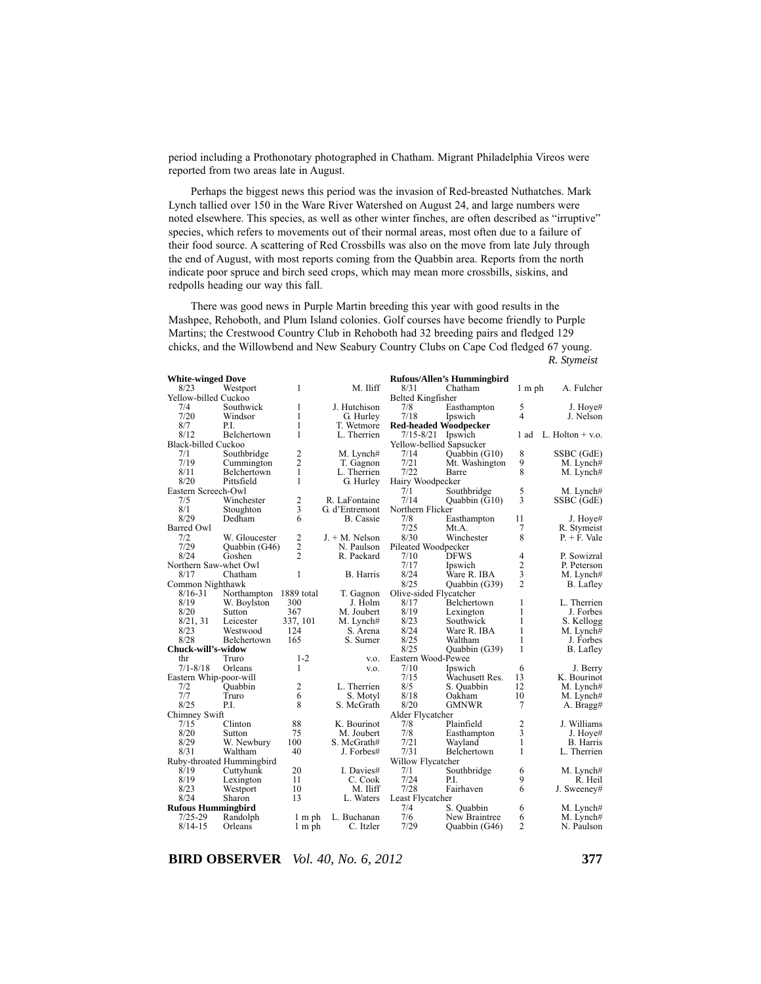period including a Prothonotary photographed in Chatham. Migrant Philadelphia vireos were reported from two areas late in August.

Perhaps the biggest news this period was the invasion of Red-breasted Nuthatches. Mark lynch tallied over 150 in the Ware River Watershed on August 24, and large numbers were noted elsewhere. This species, as well as other winter finches, are often described as "irruptive" species, which refers to movements out of their normal areas, most often due to a failure of their food source. A scattering of Red Crossbills was also on the move from late July through the end of August, with most reports coming from the Quabbin area. Reports from the north indicate poor spruce and birch seed crops, which may mean more crossbills, siskins, and redpolls heading our way this fall.

There was good news in Purple Martin breeding this year with good results in the Mashpee, Rehoboth, and Plum Island colonies. Golf courses have become friendly to Purple Martins; the Crestwood Country Club in Rehoboth had 32 breeding pairs and fledged 129 chicks, and the Willowbend and New Seabury Country Clubs on Cape Cod fledged 67 young.

*R. Stymeist*

| <b>White-winged Dove</b>   |                           |                         |                  |                        | <b>Rufous/Allen's Hummingbird</b> |                         |                    |
|----------------------------|---------------------------|-------------------------|------------------|------------------------|-----------------------------------|-------------------------|--------------------|
| 8/23                       | Westport                  | 1                       | M. Iliff         | 8/31                   | Chatham                           | 1 m ph                  | A. Fulcher         |
| Yellow-billed Cuckoo       |                           |                         |                  | Belted Kingfisher      |                                   |                         |                    |
| 7/4                        | Southwick                 | 1                       | J. Hutchison     | 7/8                    | Easthampton                       | 5                       | J. Hove#           |
| 7/20                       | Windsor                   | 1                       | G. Hurley        | 7/18                   | Ipswich                           | $\overline{4}$          | J. Nelson          |
| 8/7                        | P.L                       | 1                       | T. Wetmore       |                        | <b>Red-headed Woodpecker</b>      |                         |                    |
| 8/12                       | Belchertown               | 1                       | L. Therrien      | $7/15 - 8/21$          | Ipswich                           | 1 ad                    | L. Holton $+$ v.o. |
| <b>Black-billed Cuckoo</b> |                           |                         |                  |                        | Yellow-bellied Sapsucker          |                         |                    |
| 7/1                        | Southbridge               | $\overline{c}$          | M. Lynch#        | 7/14                   | Quabbin (G10)                     | 8                       | SSBC (GdE)         |
| 7/19                       | Cummington                | $\overline{c}$          | T. Gagnon        | 7/21                   | Mt. Washington                    | 9                       | M. Lynch#          |
| 8/11                       | Belchertown               | $\mathbf{1}$            | L. Therrien      | 7/22                   | Barre                             | 8                       | M. Lynch#          |
| 8/20                       | Pittsfield                | 1                       | G. Hurley        | Hairy Woodpecker       |                                   |                         |                    |
| Eastern Screech-Owl        |                           |                         |                  | 7/1                    | Southbridge                       | 5                       | M. Lynch#          |
| 7/5                        | Winchester                | $\overline{c}$          | R. LaFontaine    | 7/14                   | Quabbin (G10)                     | $\overline{3}$          | SSBC (GdE)         |
| 8/1                        | Stoughton                 | 3                       | G. d'Entremont   | Northern Flicker       |                                   |                         |                    |
| 8/29                       | Dedham                    | 6                       | <b>B.</b> Cassie | 7/8                    | Easthampton                       | 11                      | J. Hove#           |
| <b>Barred Owl</b>          |                           |                         |                  | 7/25                   | Mt.A.                             | $\overline{7}$          | R. Stymeist        |
| 7/2                        | W. Gloucester             | 2                       | $J. + M.$ Nelson | 8/30                   | Winchester                        | 8                       | $P + F$ . Vale     |
| 7/29                       | Quabbin (G46)             | $\overline{2}$          | N. Paulson       | Pileated Woodpecker    |                                   |                         |                    |
| 8/24                       | Goshen                    | $\overline{c}$          | R. Packard       | 7/10                   | <b>DFWS</b>                       | $\overline{4}$          | P. Sowizral        |
| Northern Saw-whet Owl      |                           |                         |                  | 7/17                   | Ipswich                           | $\sqrt{2}$              | P. Peterson        |
| 8/17                       | Chatham                   | 1                       | <b>B.</b> Harris | 8/24                   | Ware R. IBA                       | $\overline{\mathbf{3}}$ | M. Lynch#          |
| Common Nighthawk           |                           |                         |                  | 8/25                   | Quabbin (G39)                     | $\overline{2}$          | <b>B.</b> Lafley   |
| $8/16 - 31$                | Northampton               | 1889 total              | T. Gagnon        | Olive-sided Flycatcher |                                   |                         |                    |
| 8/19                       | W. Boylston               | 300                     | J. Holm          | 8/17                   | Belchertown                       | 1                       | L. Therrien        |
| 8/20                       | Sutton                    | 367                     | M. Joubert       | 8/19                   | Lexington                         | 1                       | J. Forbes          |
| 8/21, 31                   | Leicester                 | 337, 101                | M. Lynch#        | 8/23                   | Southwick                         | $\mathbf{1}$            | S. Kellogg         |
| 8/23                       | Westwood                  | 124                     | S. Arena         | 8/24                   | Ware R. IBA                       | $\mathbf{1}$            | M. Lynch#          |
| 8/28                       | Belchertown               | 165                     | S. Surner        | 8/25                   | Waltham                           | $\mathbf{1}$            | J. Forbes          |
| Chuck-will's-widow         |                           |                         |                  | 8/25                   | Quabbin (G39)                     | 1                       | B. Lafley          |
| thr                        | Truro                     | $1 - 2$                 | v.o.             | Eastern Wood-Pewee     |                                   |                         |                    |
| $7/1 - 8/18$               | Orleans                   | 1                       | V.O.             | 7/10                   | Ipswich                           | 6                       | J. Berry           |
| Eastern Whip-poor-will     |                           |                         |                  | 7/15                   | Wachusett Res.                    | 13                      | K. Bourinot        |
| 7/2                        | Ouabbin                   | $\overline{\mathbf{c}}$ | L. Therrien      | 8/5                    | S. Quabbin                        | 12                      | M. Lynch#          |
| 7/7                        | Truro                     | 6                       | S. Motyl         | 8/18                   | Oakham                            | 10                      | M. Lynch#          |
| 8/25                       | P.I.                      | 8                       | S. McGrath       | 8/20                   | <b>GMNWR</b>                      | 7                       | A. Bragg#          |
| Chimney Swift              |                           |                         |                  | Alder Flycatcher       |                                   |                         |                    |
| 7/15                       | Clinton                   | 88                      | K. Bourinot      | 7/8                    | Plainfield                        | $\overline{c}$          | J. Williams        |
| 8/20                       | Sutton                    | 75                      | M. Joubert       | 7/8                    | Easthampton                       | $\overline{\mathbf{3}}$ | J. Hoye#           |
| 8/29                       | W. Newbury                | 100                     | S. McGrath#      | 7/21                   | Wayland                           | $\mathbf{1}$            | <b>B.</b> Harris   |
| 8/31                       | Waltham                   | 40                      | J. Forbes#       | 7/31                   | Belchertown                       | 1                       | L. Therrien        |
|                            | Ruby-throated Hummingbird |                         |                  | Willow Flycatcher      |                                   |                         |                    |
| 8/19                       | Cuttyhunk                 | 20                      | I. Davies#       | 7/1                    | Southbridge                       | 6                       | M. Lynch#          |
| 8/19                       | Lexington                 | 11                      | C. Cook          | 7/24                   | P.I.                              | 9                       | R. Heil            |
| 8/23                       | Westport                  | 10                      | M. Iliff         | 7/28                   | Fairhaven                         | 6                       | J. Sweeney#        |
| 8/24                       | Sharon                    | 13                      | L. Waters        | Least Flycatcher       |                                   |                         |                    |
| <b>Rufous Hummingbird</b>  |                           |                         |                  | 7/4                    | S. Quabbin                        | 6                       | M. Lynch#          |
| $7/25 - 29$                | Randolph                  | 1 m ph                  | L. Buchanan      | 7/6                    | New Braintree                     | 6                       | M. Lynch#          |
| $8/14 - 15$                | Orleans                   | $1 \text{ m}$ ph        | C. Itzler        | 7/29                   | Quabbin (G46)                     | $\overline{2}$          | N. Paulson         |
|                            |                           |                         |                  |                        |                                   |                         |                    |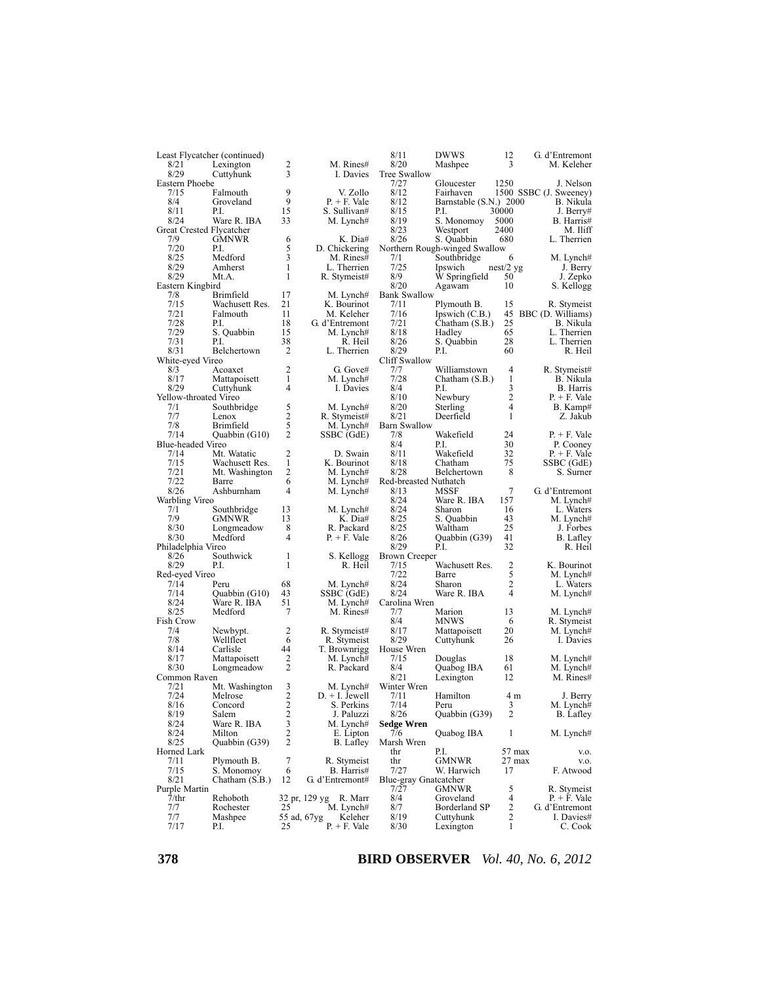|                          | Least Flycatcher (continued) |                     |                                   | 8/11                        | <b>DWWS</b>                    | 12                               | G. d'Entremont                      |
|--------------------------|------------------------------|---------------------|-----------------------------------|-----------------------------|--------------------------------|----------------------------------|-------------------------------------|
| 8/21                     | Lexington                    | 2                   | M. Rines#                         | 8/20                        | Mashpee                        | 3                                | M. Keleher                          |
| 8/29                     | Cuttyhunk                    | 3                   | I. Davies                         | Tree Swallow                |                                |                                  |                                     |
| Eastern Phoebe           |                              |                     |                                   | 7/27                        | Gloucester                     | 1250                             | J. Nelson                           |
| 7/15<br>8/4              | Falmouth                     | 9<br>9              | V. Zollo                          | 8/12                        | Fairhaven                      |                                  | 1500 SSBC (J. Sweeney)              |
| 8/11                     | Groveland<br>P.I.            | 15                  | $P_{t}$ + F. Vale<br>S. Sullivan# | 8/12<br>8/15                | Barnstable (S.N.) 2000<br>P.I. | 30000                            | B. Nikula<br>J. Berry#              |
| 8/24                     | Ware R. IBA                  | 33                  | M. Lynch#                         | 8/19                        | S. Monomoy                     | 5000                             | B. Harris#                          |
| Great Crested Flycatcher |                              |                     |                                   | 8/23                        | Westport                       | 2400                             | M. Iliff                            |
| 7/9                      | GMNWR                        | 6                   | K. Dia#                           | 8/26                        | S. Quabbin                     | 680                              | L. Therrien                         |
| 7/20                     | P.I.                         | 5                   | D. Chickering                     |                             | Northern Rough-winged Swallow  |                                  |                                     |
| 8/25                     | Medford                      | 3                   | M. Rines#                         | 7/1                         | Southbridge                    | 6                                | M. Lynch#                           |
| 8/29                     | Amherst                      | $\mathbf{1}$        | L. Therrien                       | 7/25                        | Ipswich                        | $nest/2$ yg                      | J. Berry                            |
| 8/29                     | Mt.A.                        | $\mathbf{1}$        | R. Stymeist#                      | 8/9                         | W Springfield                  | 50                               | J. Zepko                            |
| Eastern Kingbird         |                              |                     |                                   | 8/20                        | Agawam                         | 10                               | S. Kellogg                          |
| 7/8<br>7/15              | Brimfield<br>Wachusett Res.  | 17<br>21            | M. Lynch#                         | <b>Bank Swallow</b><br>7/11 |                                | 15                               |                                     |
| 7/21                     | Falmouth                     | 11                  | K. Bourinot<br>M. Keleher         | 7/16                        | Plymouth B.<br>Ipswich (C.B.)  |                                  | R. Stymeist<br>45 BBC (D. Williams) |
| 7/28                     | P.I.                         | 18                  | G. d'Entremont                    | 7/21                        | Chatham (S.B.)                 | 25                               | B. Nikula                           |
| 7/29                     | S. Quabbin                   | 15                  | M. Lynch#                         | 8/18                        | Hadley                         | 65                               | L. Therrien                         |
| 7/31                     | P.I.                         | 38                  | R. Heil                           | 8/26                        | S. Quabbin                     | 28                               | L. Therrien                         |
| 8/31                     | Belchertown                  | 2                   | L. Therrien                       | 8/29                        | P.I.                           | 60                               | R. Heil                             |
| White-eyed Vireo         |                              |                     |                                   | Cliff Swallow               |                                |                                  |                                     |
| 8/3                      | Acoaxet                      | $\overline{2}$      | G. Gove#                          | 7/7                         | Williamstown                   | 4                                | R. Stymeist#                        |
| 8/17                     | Mattapoisett                 | 1                   | M. Lynch#                         | 7/28                        | Chatham (S.B.)                 | 1                                | B. Nikula                           |
| 8/29                     | Cuttyhunk                    | 4                   | I. Davies                         | 8/4                         | P.I.                           | 3                                | B. Harris                           |
| Yellow-throated Vireo    |                              |                     |                                   | 8/10                        | Newbury                        | $\overline{c}$<br>$\overline{4}$ | $P_{t}$ + F. Vale                   |
| 7/1<br>7/7               | Southbridge<br>Lenox         | 5<br>$\overline{c}$ | M. Lynch#<br>R. Stymeist#         | 8/20<br>8/21                | Sterling<br>Deerfield          | $\mathbf{1}$                     | B. Kamp#<br>Z. Jakub                |
| 7/8                      | Brimfield                    | 5                   | M. Lynch#                         | <b>Barn Swallow</b>         |                                |                                  |                                     |
| 7/14                     | Quabbin (G10)                | $\overline{c}$      | SSBC (GdE)                        | 7/8                         | Wakefield                      | 24                               | $P. + F.$ Vale                      |
| Blue-headed Vireo        |                              |                     |                                   | 8/4                         | P.I.                           | 30                               | P. Cooney                           |
| 7/14                     | Mt. Watatic                  | $\overline{2}$      | D. Swain                          | 8/11                        | Wakefield                      | 32                               | $P + F$ . Vale                      |
| 7/15                     | Wachusett Res.               | $\mathbf{1}$        | K. Bourinot                       | 8/18                        | Chatham                        | 75                               | SSBC (GdE)                          |
| 7/21                     | Mt. Washington               | $\overline{c}$      | M. Lynch#                         | 8/28                        | Belchertown                    | 8                                | S. Surner                           |
| 7/22                     | Barre                        | 6                   | M. Lynch#                         | Red-breasted Nuthatch       |                                |                                  |                                     |
| 8/26                     | Ashburnham                   | 4                   | M. Lynch#                         | 8/13                        | MSSF                           | 7                                | G. d'Entremont                      |
| Warbling Vireo<br>7/1    | Southbridge                  | 13                  | M. Lynch#                         | 8/24<br>8/24                | Ware R. IBA<br>Sharon          | 157<br>16                        | M. Lynch#<br>L. Waters              |
| 7/9                      | <b>GMNWR</b>                 | 13                  | K. Dia#                           | 8/25                        | S. Quabbin                     | 43                               | M. Lynch#                           |
| 8/30                     | Longmeadow                   | 8                   | R. Packard                        | 8/25                        | Waltham                        | 25                               | J. Forbes                           |
| 8/30                     | Medford                      | 4                   | $P + F$ . Vale                    | 8/26                        | Quabbin (G39)                  | 41                               | B. Lafley                           |
| Philadelphia Vireo       |                              |                     |                                   | 8/29                        | P.I.                           | 32                               | R. Heil                             |
| 8/26                     | Southwick                    | 1                   | S. Kellogg                        | Brown Creeper               |                                |                                  |                                     |
| 8/29                     | P.I.                         | 1                   | R. Heil                           | 7/15                        | Wachusett Res.                 | $\overline{c}$                   | K. Bourinot                         |
| Red-eyed Vireo           |                              |                     |                                   | 7/22                        | Barre                          | 5                                | M. Lynch#                           |
| 7/14                     | Peru                         | 68                  | M. Lynch#                         | 8/24                        | Sharon                         | $\overline{2}$                   | L. Waters                           |
| 7/14<br>8/24             | Quabbin (G10)<br>Ware R. IBA | 43<br>51            | SSBC (GdE)<br>M. Lynch#           | 8/24<br>Carolina Wren       | Ware R. IBA                    | 4                                | M. Lynch#                           |
| 8/25                     | Medford                      | 7                   | M. Rines#                         | 7/7                         | Marion                         | 13                               | M. Lynch#                           |
| Fish Crow                |                              |                     |                                   | 8/4                         | <b>MNWS</b>                    | 6                                | R. Stymeist                         |
| 7/4                      | Newbypt.                     | $\overline{c}$      | R. Stymeist#                      | 8/17                        | Mattapoisett                   | 20                               | M. Lynch#                           |
| 7/8                      | Wellfleet                    | 6                   | R. Stymeist                       | 8/29                        | Cuttyhunk                      | 26                               | I. Davies                           |
| 8/14                     | Carlisle                     | 44                  | T. Brownrigg                      | House Wren                  |                                |                                  |                                     |
| 8/17                     | Mattapoisett                 | $\overline{c}$      | M. Lynch#                         | 7/15                        | Douglas                        | 18                               | M. Lynch#                           |
| 8/30                     | Longmeadow                   | $\overline{c}$      | R. Packard                        | 8/4                         | Quabog IBA                     | 61                               | M. Lynch#                           |
| Common Raven             |                              |                     |                                   | 8/21                        | Lexington                      | 12                               | M. Rines#                           |
| 7/21<br>7/24             | Mt. Washington<br>Melrose    | 3<br>$\overline{c}$ | M. Lynch#<br>$D. + I.$ Jewell     | Winter Wren<br>7/11         | Hamilton                       | 4 m                              | J. Berry                            |
| 8/16                     | Concord                      | $\overline{c}$      | S. Perkins                        | 7/14                        | Peru                           | 3                                | M. Lynch#                           |
| 8/19                     | Salem                        | $\sqrt{2}$          | J. Paluzzi                        | 8/26                        | Quabbin (G39)                  | 2                                | B. Lafley                           |
| 8/24                     | Ware R. IBA                  | 3                   | M. Lynch#                         | <b>Sedge Wren</b>           |                                |                                  |                                     |
| 8/24                     | Milton                       | $\overline{c}$      | E. Lipton                         | 7/6                         | <b>Ouabog IBA</b>              | 1                                | M. Lynch#                           |
| 8/25                     | Quabbin (G39)                | $\overline{c}$      | B. Lafley                         | Marsh Wren                  |                                |                                  |                                     |
| Horned Lark              |                              |                     |                                   | thr                         | P.I.                           | 57 max                           | V.O.                                |
| 7/11                     | Plymouth B.                  | 7                   | R. Stymeist                       | thr                         | <b>GMNWR</b>                   | 27 max                           | V.O.                                |
| 7/15                     | S. Monomoy                   | 6                   | B. Harris#                        | 7/27                        | W. Harwich                     | 17                               | F. Atwood                           |
| 8/21<br>Purple Martin    | Chatham (S.B.)               | 12                  | G. d'Entremont#                   | Blue-gray Gnatcatcher       |                                | 5                                |                                     |
| $7/\text{thr}$           | Rehoboth                     |                     | 32 pr, 129 yg R. Marr             | 7/27<br>8/4                 | GMNWR<br>Groveland             | 4                                | R. Stymeist<br>$P_1 + F_2$ . Vale   |
| 7/7                      | Rochester                    | 25                  | M. Lynch#                         | 8/7                         | Borderland SP                  | $\sqrt{2}$                       | G. d'Entremont                      |
| 7/7                      | Mashpee                      | 55 ad, 67yg         | Keleher                           | 8/19                        | Cuttyhunk                      | $\overline{\mathbf{c}}$          | I. Davies#                          |
| 7/17                     | P.I.                         | 25                  | $P_{t}$ + F. Vale                 | 8/30                        | Lexington                      | 1                                | C. Cook                             |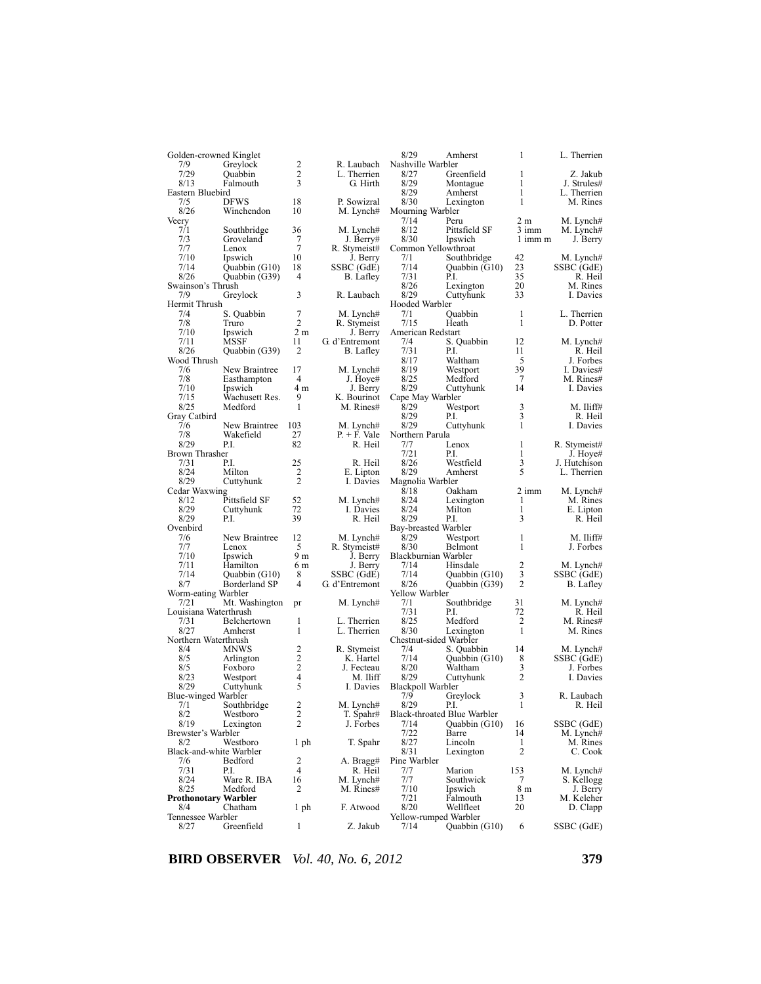| Golden-crowned Kinglet       |                           |                         |                            | 8/29                           | Amherst                                             | 1                   | L. Therrien                |
|------------------------------|---------------------------|-------------------------|----------------------------|--------------------------------|-----------------------------------------------------|---------------------|----------------------------|
| 7/9                          | Greylock                  | 2                       | R. Laubach                 | Nashville Warbler              |                                                     |                     |                            |
| 7/29                         | Quabbin                   | $\overline{c}$          | L. Therrien                | 8/27                           | Greenfield                                          | 1                   | Z. Jakub                   |
| 8/13<br>Eastern Bluebird     | Falmouth                  | 3                       | G. Hirth                   | 8/29<br>8/29                   | Montague<br>Amherst                                 | 1<br>1              | J. Strules#<br>L. Therrien |
| 7/5                          | <b>DFWS</b>               | 18                      | P. Sowizral                | 8/30                           | Lexington                                           | 1                   | M. Rines                   |
| 8/26                         | Winchendon                | 10                      | M. Lynch#                  | Mourning Warbler               |                                                     |                     |                            |
| Veery                        |                           |                         |                            | 7/14                           | Peru                                                | 2 m                 | M. Lynch#                  |
| 7/1                          | Southbridge               | 36                      | M. Lynch#                  | 8/12                           | Pittsfield SF                                       | 3 imm               | M. Lynch#                  |
| 7/3                          | Groveland                 | 7                       | J. Berry#                  | 8/30                           | Ipswich                                             | 1 imm m             | J. Berry                   |
| 7/7                          | Lenox                     | $\overline{7}$<br>10    | R. Stymeist#               | Common Yellowthroat            |                                                     | 42                  |                            |
| 7/10<br>7/14                 | Ipswich<br>Quabbin (G10)  | 18                      | J. Berry<br>SSBC (GdE)     | 7/1<br>7/14                    | Southbridge<br>Quabbin (G10)                        | 23                  | M. Lynch#<br>SSBC (GdE)    |
| 8/26                         | Quabbin (G39)             | 4                       | B. Lafley                  | 7/31                           | P.I.                                                | 35                  | R. Heil                    |
| Swainson's Thrush            |                           |                         |                            | 8/26                           | Lexington                                           | 20                  | M. Rines                   |
| 7/9                          | Greylock                  | 3                       | R. Laubach                 | 8/29                           | Cuttyhunk                                           | 33                  | I. Davies                  |
| Hermit Thrush                |                           |                         |                            | Hooded Warbler                 |                                                     |                     |                            |
| 7/4                          | S. Quabbin                | 7                       | M. Lynch#                  | 7/1                            | Quabbin                                             | 1                   | L. Therrien                |
| 7/8                          | Truro                     | $\overline{c}$          | R. Stymeist                | 7/15                           | Heath                                               | 1                   | D. Potter                  |
| 7/10<br>7/11                 | Ipswich<br>MSSF           | 2 m<br>11               | J. Berry<br>G. d'Entremont | American Redstart<br>7/4       | S. Quabbin                                          | 12                  | M. Lynch#                  |
| 8/26                         | Quabbin (G39)             | 2                       | B. Lafley                  | 7/31                           | P.I.                                                | 11                  | R. Heil                    |
| Wood Thrush                  |                           |                         |                            | 8/17                           | Waltham                                             | 5                   | J. Forbes                  |
| 7/6                          | New Braintree             | 17                      | M. Lynch#                  | 8/19                           | Westport                                            | 39                  | I. Davies#                 |
| 7/8                          | Easthampton               | $\overline{4}$          | J. Hoye#                   | 8/25                           | Medford                                             | 7                   | M. Rines#                  |
| 7/10                         | Ipswich                   | 4 m                     | J. Berry                   | 8/29                           | Cuttyhunk                                           | 14                  | I. Davies                  |
| 7/15                         | Wachusett Res.            | 9                       | K. Bourinot                | Cape May Warbler               |                                                     |                     |                            |
| 8/25                         | Medford                   | $\mathbf{1}$            | M. Rines#                  | 8/29<br>8/29                   | Westport                                            | 3<br>3              | M. Iliff#                  |
| Gray Catbird<br>7/6          | New Braintree             | 103                     | M. Lynch#                  | 8/29                           | P.I.<br>Cuttyhunk                                   | $\mathbf{1}$        | R. Heil<br>I. Davies       |
| 7/8                          | Wakefield                 | 27                      | $P + F$ . Vale             | Northern Parula                |                                                     |                     |                            |
| 8/29                         | P.I.                      | 82                      | R. Heil                    | 7/7                            | Lenox                                               | 1                   | R. Stymeist#               |
| Brown Thrasher               |                           |                         |                            | 7/21                           | P.I.                                                | 1                   | J. Hoye#                   |
| 7/31                         | P.I.                      | 25                      | R. Heil                    | 8/26                           | Westfield                                           | 3                   | J. Hutchison               |
| 8/24                         | Milton                    | $\overline{c}$          | E. Lipton                  | 8/29                           | Amherst                                             | 5                   | L. Therrien                |
| 8/29                         | Cuttyhunk                 | $\overline{c}$          | I. Davies                  | Magnolia Warbler               |                                                     |                     |                            |
| Cedar Waxwing<br>8/12        | Pittsfield SF             | 52                      | M. Lynch#                  | 8/18<br>8/24                   | Oakham<br>Lexington                                 | 2 imm<br>1          | M. Lynch#<br>M. Rines      |
| 8/29                         | Cuttyhunk                 | 72                      | I. Davies                  | 8/24                           | Milton                                              | 1                   | E. Lipton                  |
| 8/29                         | P.I.                      | 39                      | R. Heil                    | 8/29                           | P.I.                                                | 3                   | R. Heil                    |
| Ovenbird                     |                           |                         |                            | Bay-breasted Warbler           |                                                     |                     |                            |
| 7/6                          | New Braintree             | 12                      | M. Lynch#                  | 8/29                           | Westport                                            | 1                   | M. Iliff#                  |
| 7/7                          | Lenox                     | 5                       | R. Stymeist#               | 8/30                           | Belmont                                             | $\mathbf{1}$        | J. Forbes                  |
| 7/10                         | Ipswich                   | 9 m                     | J. Berry                   | Blackburnian Warbler           |                                                     |                     |                            |
| 7/11<br>7/14                 | Hamilton<br>Quabbin (G10) | 6 m<br>8                | J. Berry<br>SSBC (GdE)     | 7/14<br>7/14                   | Hinsdale<br>Quabbin (G10)                           | $\overline{c}$<br>3 | M. Lynch#<br>SSBC (GdE)    |
| 8/7                          | Borderland SP             | 4                       | G. d'Entremont             | 8/26                           | Quabbin (G39)                                       | $\overline{c}$      | B. Lafley                  |
| Worm-eating Warbler          |                           |                         |                            | Yellow Warbler                 |                                                     |                     |                            |
| 7/21                         | Mt. Washington            | pr                      | M. Lynch#                  | 7/1                            | Southbridge                                         | 31                  | M. Lynch#                  |
| Louisiana Waterthrush        |                           |                         |                            | 7/31                           | P.I.                                                | 72                  | R. Heil                    |
| 7/31                         | Belchertown               | 1                       | L. Therrien                | 8/25                           | Medford                                             | $\overline{c}$      | M. Rines#                  |
| 8/27<br>Northern Waterthrush | Amherst                   | 1                       | L. Therrien                | 8/30<br>Chestnut-sided Warbler | Lexington                                           | 1                   | M. Rines                   |
| 8/4                          | <b>MNWS</b>               | 2                       | R. Stymeist                | 7/4                            | S. Quabbin                                          | 14                  | M. Lynch#                  |
| 8/5                          | Arlington                 | $\overline{c}$          | K. Hartel                  | 7/14                           | Quabbin (G10)                                       | 8                   | SSBC (GdE)                 |
| 8/5                          | Foxboro                   | $\overline{c}$          | J. Fecteau                 | 8/20                           | Waltham                                             | 3                   | J. Forbes                  |
| 8/23                         | Westport                  | $\overline{\mathbf{4}}$ | M. Iliff                   | 8/29                           | Cuttyhunk                                           | $\overline{c}$      | I. Davies                  |
| 8/29                         | Cuttyhunk                 | 5                       | I. Davies                  | <b>Blackpoll Warbler</b>       |                                                     |                     |                            |
| Blue-winged Warbler          |                           |                         |                            | 7/9                            | Greylock                                            | 3                   | R. Laubach                 |
| 7/1                          | Southbridge               | $\sqrt{2}$<br>2         | M. Lynch#                  | 8/29                           | - P.I.                                              |                     | R. Heil                    |
| 8/2<br>8/19                  | Westboro<br>Lexington     | 2                       | T. Spahr#<br>J. Forbes     | 7/14                           | <b>Black-throated Blue Warbler</b><br>Quabbin (G10) | 16                  | SSBC (GdE)                 |
| Brewster's Warbler           |                           |                         |                            | 7/22                           | Barre                                               | 14                  | M. Lynch#                  |
| 8/2                          | Westboro                  | 1 ph                    | T. Spahr                   | 8/27                           | Lincoln                                             | 1                   | M. Rines                   |
| Black-and-white Warbler      |                           |                         |                            | 8/31                           | Lexington                                           | $\overline{c}$      | C. Cook                    |
| 7/6                          | Bedford                   | $\overline{c}$          | A. Bragg#                  | Pine Warbler                   |                                                     |                     |                            |
| 7/31                         | P.I.                      | 4                       | R. Heil                    | 7/7                            | Marion                                              | 153                 | M. Lynch#                  |
| 8/24<br>8/25                 | Ware R. IBA<br>Medford    | 16<br>2                 | M. Lynch#<br>M. Rines#     | 7/7<br>7/10                    | Southwick<br>Ipswich                                | 7<br>8 m            | S. Kellogg<br>J. Berry     |
| <b>Prothonotary Warbler</b>  |                           |                         |                            | 7/21                           | Falmouth                                            | 13                  | M. Keleher                 |
| 8/4                          | Chatham                   | 1 ph                    | F. Atwood                  | 8/20                           | Wellfleet                                           | 20                  | D. Clapp                   |
| Tennessee Warbler            |                           |                         |                            | Yellow-rumped Warbler          |                                                     |                     |                            |
| 8/27                         | Greenfield                | 1                       | Z. Jakub                   | 7/14                           | Quabbin (G10)                                       | 6                   | SSBC (GdE)                 |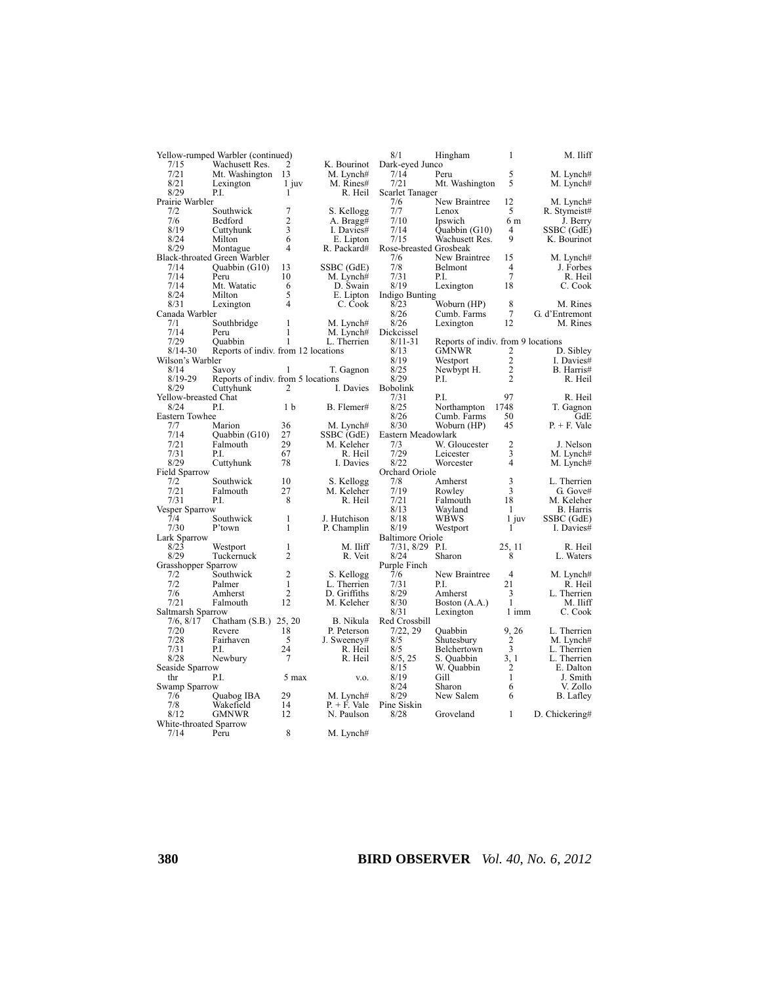|                        | Yellow-rumped Warbler (continued)   |                         |                       | 8/1                     | Hingham                            | 1                   | M. Iliff             |
|------------------------|-------------------------------------|-------------------------|-----------------------|-------------------------|------------------------------------|---------------------|----------------------|
| 7/15                   | Wachusett Res.                      | 2                       | K. Bourinot           | Dark-eyed Junco         |                                    |                     |                      |
| 7/21                   | Mt. Washington                      | 13                      | M. Lynch#             | 7/14                    | Peru                               | 5                   | M. Lynch#            |
| 8/21                   | Lexington                           | $1$ juv                 | M. Rines#             | 7/21                    | Mt. Washington                     | 5                   | M. Lynch#            |
| 8/29                   | P.I.                                | 1                       | R. Heil               | Scarlet Tanager         |                                    |                     |                      |
| Prairie Warbler        |                                     |                         |                       | 7/6                     | New Braintree                      | 12                  | M. Lynch#            |
| 7/2                    | Southwick                           | 7                       | S. Kellogg            | 7/7                     | Lenox                              | 5                   | R. Stymeist#         |
| 7/6                    | Bedford                             | $\overline{c}$<br>3     | A. Bragg#             | 7/10                    | Ipswich                            | 6 m                 | J. Berry             |
| 8/19                   | Cuttyhunk                           | 6                       | I. Davies#            | 7/14                    | Quabbin (G10)                      | $\overline{4}$<br>9 | SSBC (GdE)           |
| 8/24                   | Milton                              | 4                       | E. Lipton             | 7/15                    | Wachusett Res.                     |                     | K. Bourinot          |
| 8/29                   | Montague                            |                         | R. Packard#           | Rose-breasted Grosbeak  |                                    | 15                  |                      |
|                        | Black-throated Green Warbler        |                         |                       | 7/6<br>7/8              | New Braintree                      | $\overline{4}$      | M. Lynch#            |
| 7/14<br>7/14           | Quabbin (G10)<br>Peru               | 13<br>10                | SSBC (GdE)            | 7/31                    | Belmont<br>P.I.                    | 7                   | J. Forbes<br>R. Heil |
| 7/14                   | Mt. Watatic                         | 6                       | M. Lynch#<br>D. Swain | 8/19                    | Lexington                          | 18                  | C. Cook              |
| 8/24                   | Milton                              | 5                       | E. Lipton             | <b>Indigo Bunting</b>   |                                    |                     |                      |
| 8/31                   | Lexington                           | $\overline{4}$          | C. Cook               | 8/23                    | Woburn (HP)                        | 8                   | M. Rines             |
| Canada Warbler         |                                     |                         |                       | 8/26                    | Cumb. Farms                        | 7                   | G. d'Entremont       |
| 7/1                    | Southbridge                         | 1                       | M. Lynch#             | 8/26                    | Lexington                          | 12                  | M. Rines             |
| 7/14                   | Peru                                | 1                       | M. Lynch#             | Dickcissel              |                                    |                     |                      |
| 7/29                   | Ouabbin                             | 1                       | L. Therrien           | $8/11 - 31$             | Reports of indiv. from 9 locations |                     |                      |
| $8/14 - 30$            | Reports of indiv. from 12 locations |                         |                       | 8/13                    | <b>GMNWR</b>                       | 2                   | D. Sibley            |
| Wilson's Warbler       |                                     |                         |                       | 8/19                    | Westport                           |                     | I. Davies#           |
| 8/14                   | Savoy                               | 1                       | T. Gagnon             | 8/25                    | Newbypt H.                         | $\frac{2}{2}$       | B. Harris#           |
| 8/19-29                | Reports of indiv. from 5 locations  |                         |                       | 8/29                    | P.I.                               | $\overline{c}$      | R. Heil              |
| 8/29                   | Cuttyhunk                           | 2                       | I. Davies             | <b>Bobolink</b>         |                                    |                     |                      |
| Yellow-breasted Chat   |                                     |                         |                       | 7/31                    | P.I.                               | 97                  | R. Heil              |
| 8/24                   | P.I.                                | 1 <sub>b</sub>          | B. Flemer#            | 8/25                    | Northampton                        | 1748                | T. Gagnon            |
| Eastern Towhee         |                                     |                         |                       | 8/26                    | Cumb. Farms                        | 50                  | GdE                  |
| 7/7                    | Marion                              | 36                      | M. Lynch#             | 8/30                    | Woburn (HP)                        | 45                  | $P + F$ . Vale       |
| 7/14                   | Quabbin (G10)                       | 27                      | SSBC (GdE)            | Eastern Meadowlark      |                                    |                     |                      |
| 7/21                   | Falmouth                            | 29                      | M. Keleher            | 7/3                     | W. Gloucester                      | $\overline{c}$      | J. Nelson            |
| 7/31                   | P.I.                                | 67                      | R. Heil               | 7/29                    | Leicester                          | 3                   | M. Lynch#            |
| 8/29                   | Cuttyhunk                           | 78                      | I. Davies             | 8/22                    | Worcester                          | $\overline{4}$      | M. Lynch#            |
| Field Sparrow          |                                     |                         |                       | Orchard Oriole          |                                    |                     |                      |
| 7/2                    | Southwick                           | 10                      | S. Kellogg            | 7/8                     | Amherst                            | 3                   | L. Therrien          |
| 7/21                   | Falmouth                            | 27                      | M. Keleher            | 7/19                    | Rowley                             | 3                   | G. Gove#             |
| 7/31                   | P.L                                 | 8                       | R. Heil               | 7/21                    | Falmouth                           | 18                  | M. Keleher           |
| Vesper Sparrow         |                                     |                         |                       | 8/13                    | Wayland                            | 1                   | B. Harris            |
| 7/4                    | Southwick                           | 1                       | J. Hutchison          | 8/18                    | WBWS                               | $1$ juv             | SSBC (GdE)           |
| 7/30                   | P'town                              | $\mathbf{1}$            | P. Champlin           | 8/19                    | Westport                           | 1                   | I. Davies#           |
| Lark Sparrow           |                                     |                         |                       | <b>Baltimore Oriole</b> |                                    |                     |                      |
| 8/23                   | Westport                            | 1                       | M. Iliff              | $7/31, 8/29$ P.I.       |                                    | 25, 11              | R. Heil              |
| 8/29                   | Tuckernuck                          | $\overline{c}$          | R. Veit               | 8/24                    | Sharon                             | 8                   | L. Waters            |
| Grasshopper Sparrow    |                                     |                         |                       | Purple Finch            |                                    |                     |                      |
| 7/2                    | Southwick                           | $\overline{\mathbf{c}}$ | S. Kellogg            | 7/6                     | New Braintree                      | $\overline{4}$      | M. Lynch#            |
| 7/2                    | Palmer                              | $\mathbf{1}$            | L. Therrien           | 7/31                    | P.I.                               | 21                  | R. Heil              |
| 7/6                    | Amherst                             | $\overline{c}$          | D. Griffiths          | 8/29                    | Amherst                            | 3                   | L. Therrien          |
| 7/21                   | Falmouth                            | 12                      | M. Keleher            | 8/30                    | Boston (A.A.)                      | $\mathbf{1}$        | M. Iliff             |
| Saltmarsh Sparrow      |                                     |                         |                       | 8/31                    | Lexington                          | 1 imm               | C. Cook              |
| 7/6, 8/17              | Chatham $(S.B.) 25, 20$             |                         | B. Nikula             | Red Crossbill           |                                    |                     |                      |
| 7/20                   | Revere                              | 18                      | P. Peterson           | 7/22, 29                | Quabbin                            | 9.26                | L. Therrien          |
| 7/28                   | Fairhaven                           | 5                       | J. Sweeney#           | 8/5                     | Shutesbury                         | 2                   | M. Lynch#            |
| 7/31                   | P.I.                                | 24                      | R. Heil               | 8/5                     | Belchertown                        | 3                   | L. Therrien          |
| 8/28                   | Newbury                             | 7                       | R. Heil               | 8/5, 25                 | S. Quabbin                         | 3, 1                | L. Therrien          |
| Seaside Sparrow        |                                     |                         |                       | 8/15                    | W. Quabbin                         | 2                   | E. Dalton            |
| thr                    | P.I.                                | 5 max                   | V.O.                  | 8/19                    | Gill                               | $\mathbf{1}$        | J. Smith             |
| Swamp Sparrow          |                                     |                         |                       | 8/24                    | Sharon                             | 6                   | V. Zollo             |
| 7/6                    | Quabog IBA                          | 29                      | M. Lynch#             | 8/29                    | New Salem                          | 6                   | B. Lafley            |
| 7/8                    | Wakefield                           | 14                      | $P_{t}$ + F. Vale     | Pine Siskin             |                                    |                     |                      |
| 8/12                   | <b>GMNWR</b>                        | 12                      | N. Paulson            | 8/28                    | Groveland                          | 1                   | D. Chickering#       |
| White-throated Sparrow |                                     |                         |                       |                         |                                    |                     |                      |
| 7/14                   | Peru                                | 8                       | M. Lynch#             |                         |                                    |                     |                      |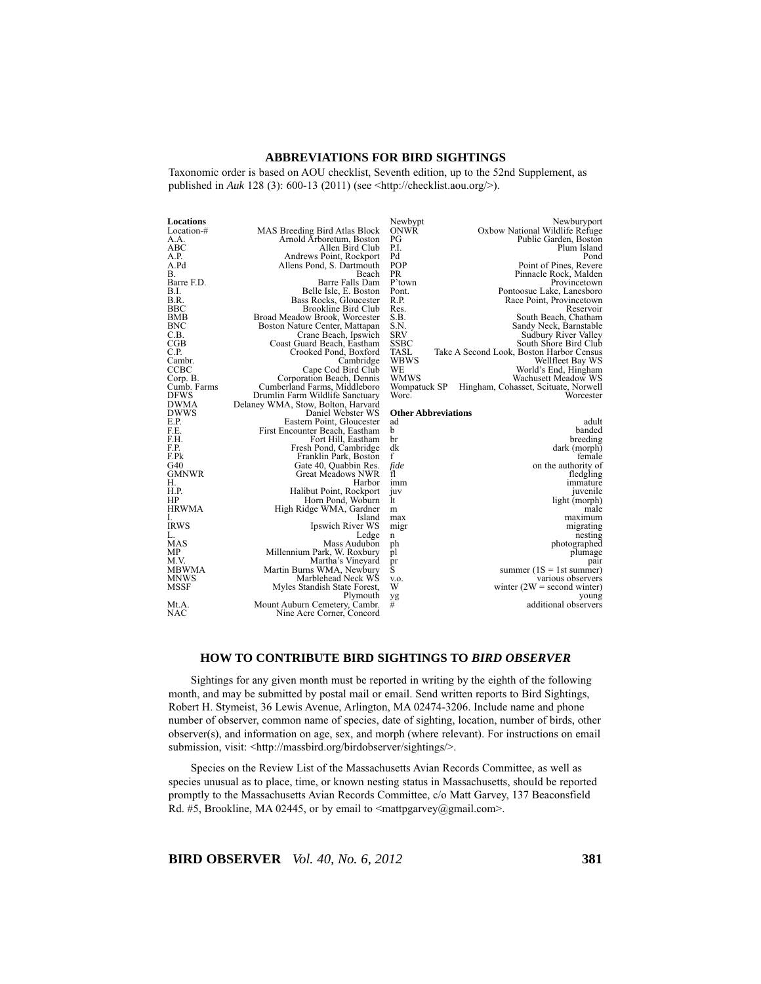#### **ABBREVIATIONS FOR BIRD SIGHTINGS**

Taxonomic order is based on AOU checklist, Seventh edition, up to the 52nd Supplement, as published in *Auk* 128 (3): 600-13 (2011) (see <http://checklist.aou.org/>).

| Locations    |                                    | Newbypt        | Newburyport                                       |
|--------------|------------------------------------|----------------|---------------------------------------------------|
| Location-#   | MAS Breeding Bird Atlas Block      | ONWR           | Oxbow National Wildlife Refuge                    |
| A.A.         | Arnold Arboretum, Boston           | PG             | Public Garden, Boston                             |
| ABC          | Allen Bird Club                    | P.I.           | Plum Island                                       |
| A.P.         | Andrews Point, Rockport            | Pd             | Pond                                              |
| A.Pd         | Allens Pond, S. Dartmouth          | POP            | Point of Pines, Revere                            |
| <b>B.</b>    | Beach                              | <b>PR</b>      | Pinnacle Rock, Malden                             |
| Barre F.D.   | Barre Falls Dam                    | P'town         | Provincetown                                      |
| B.I.         | Belle Isle, E. Boston              | Pont.          | Pontoosuc Lake, Lanesboro                         |
| B.R.         | Bass Rocks, Gloucester             | R.P.           | Race Point, Provincetown                          |
| <b>BBC</b>   | <b>Brookline Bird Club</b>         | Res.           |                                                   |
|              |                                    |                | Reservoir                                         |
| <b>BMB</b>   | Broad Meadow Brook, Worcester      | S.B.           | South Beach, Chatham                              |
| <b>BNC</b>   | Boston Nature Center, Mattapan     | S.N.           | Sandy Neck, Barnstable                            |
| C.B.         | Crane Beach, Ipswich               | <b>SRV</b>     | Sudbury River Valley                              |
| CGB          | Coast Guard Beach, Eastham         | <b>SSBC</b>    | South Shore Bird Club                             |
| C.P.         | Crooked Pond, Boxford              | <b>TASL</b>    | Take A Second Look, Boston Harbor Census          |
| Cambr.       | Cambridge                          | WBWS           | Wellfleet Bay WS                                  |
| <b>CCBC</b>  | Cape Cod Bird Club                 | WE             | World's End, Hingham                              |
| Corp. B.     | Corporation Beach, Dennis          | <b>WMWS</b>    | Wachusett Meadow WS                               |
| Cumb. Farms  | Cumberland Farms, Middleboro       |                | Wompatuck SP Hingham, Cohasset, Scituate, Norwell |
| <b>DFWS</b>  | Drumlin Farm Wildlife Sanctuary    | Worc.          | Worcester                                         |
| <b>DWMA</b>  | Delaney WMA, Stow, Bolton, Harvard |                |                                                   |
| <b>DWWS</b>  | Daniel Webster WS                  |                | <b>Other Abbreviations</b>                        |
| E.P.         | Eastern Point, Gloucester          | ad             | adult                                             |
| F.E.         | First Encounter Beach, Eastham     | b              | banded                                            |
| F.H.         | Fort Hill, Eastham                 | br             | breeding                                          |
| F.P.         | Fresh Pond, Cambridge              | dk             | dark (morph)                                      |
| F.Pk         | Franklin Park, Boston              | f              | female                                            |
| G40          | Gate 40, Quabbin Res.              | fide           | on the authority of                               |
| <b>GMNWR</b> | <b>Great Meadows NWR</b>           | f1             | fledgling                                         |
| Н.           | Harbor                             | ımm            | immature                                          |
| H.P.         | Halibut Point, Rockport            | 1uv            | juvenile                                          |
| HP           | Horn Pond, Woburn                  | <sup>1</sup> t | light (morph)                                     |
| <b>HRWMA</b> | High Ridge WMA, Gardner            | m              | male                                              |
| Ι.           |                                    |                | maximum                                           |
| <b>IRWS</b>  | Island<br>Ipswich River WS         | max            |                                                   |
|              |                                    | migr           | migrating                                         |
| L.           | Ledge                              | n              | nesting                                           |
| <b>MAS</b>   | Mass Audubon                       | ph             | photographed                                      |
| MP           | Millennium Park, W. Roxbury        | pl             | plumage                                           |
| M.V.         | Martha's Vineyard                  | pr<br>S        | pair                                              |
| <b>MBWMA</b> | Martin Burns WMA, Newbury          |                | summer $(1S = 1st$ summer)                        |
| <b>MNWS</b>  | Marblehead Neck WS                 | V.O.           | various observers                                 |
| <b>MSSF</b>  | Myles Standish State Forest,       | W              | winter $(2W = second$ winter)                     |
|              | Plymouth                           | yg             | young                                             |
| Mt.A.        | Mount Auburn Cemetery, Cambr.      | #              | additional observers                              |
| NAC          | Nine Acre Corner, Concord          |                |                                                   |

#### **HOW TO CONTRIBUTE BIRD SIGHTINGS TO** *BIRD OBSERVER*

Sightings for any given month must be reported in writing by the eighth of the following month, and may be submitted by postal mail or email. Send written reports to Bird Sightings, Robert H. Stymeist, 36 lewis Avenue, Arlington, MA 02474-3206. Include name and phone number of observer, common name of species, date of sighting, location, number of birds, other observer(s), and information on age, sex, and morph (where relevant). For instructions on email submission, visit: <http://massbird.org/birdobserver/sightings/>.

Species on the Review list of the Massachusetts Avian Records Committee, as well as species unusual as to place, time, or known nesting status in Massachusetts, should be reported promptly to the Massachusetts Avian Records Committee, c/o Matt Garvey, 137 Beaconsfield Rd. #5, Brookline, MA 02445, or by email to <mattpgarvey@gmail.com>.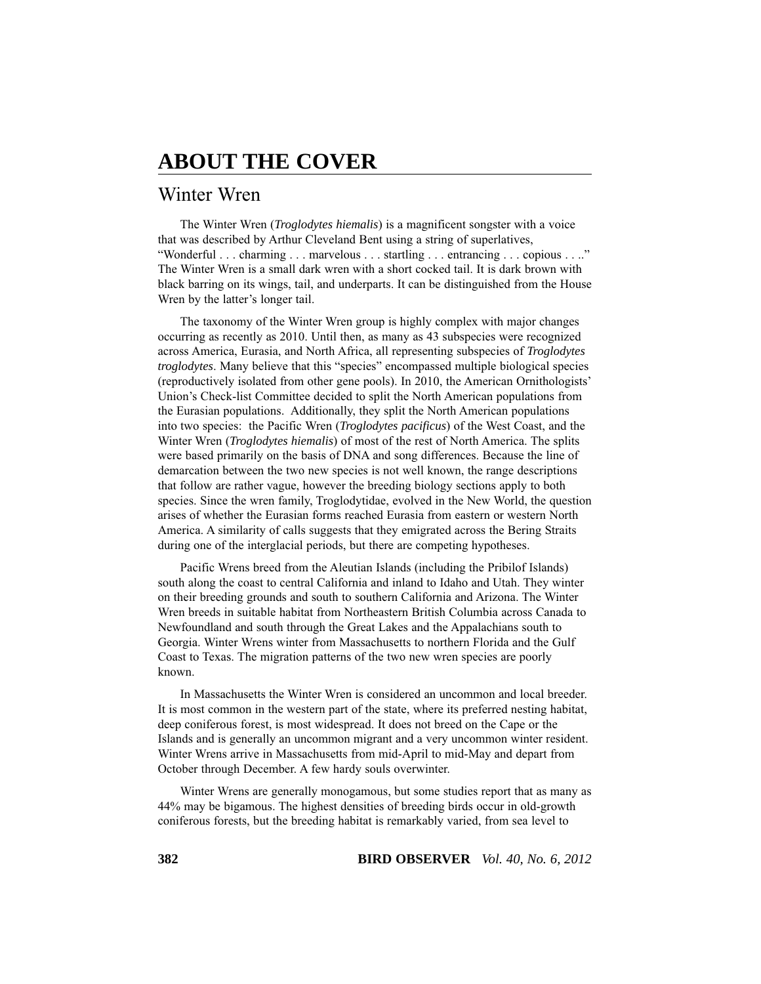### **ABOUT THE COVER**

### Winter Wren

The Winter Wren (*Troglodytes hiemalis*) is a magnificent songster with a voice that was described by Arthur Cleveland Bent using a string of superlatives, "Wonderful . . . charming . . . marvelous . . . startling . . . entrancing . . . copious . . .." The Winter Wren is a small dark wren with a short cocked tail. It is dark brown with black barring on its wings, tail, and underparts. It can be distinguished from the House Wren by the latter's longer tail.

The taxonomy of the Winter Wren group is highly complex with major changes occurring as recently as 2010. Until then, as many as 43 subspecies were recognized across America, eurasia, and North Africa, all representing subspecies of *Troglodytes troglodytes*. Many believe that this "species" encompassed multiple biological species (reproductively isolated from other gene pools). In 2010, the American Ornithologists' Union's Check-list Committee decided to split the North American populations from the Eurasian populations. Additionally, they split the North American populations into two species: the Pacific Wren (*Troglodytes pacificus*) of the West Coast, and the Winter Wren (*Troglodytes hiemalis*) of most of the rest of North America. The splits were based primarily on the basis of DNA and song differences. Because the line of demarcation between the two new species is not well known, the range descriptions that follow are rather vague, however the breeding biology sections apply to both species. Since the wren family, Troglodytidae, evolved in the New World, the question arises of whether the Eurasian forms reached Eurasia from eastern or western North America. A similarity of calls suggests that they emigrated across the Bering Straits during one of the interglacial periods, but there are competing hypotheses.

Pacific Wrens breed from the Aleutian Islands (including the Pribilof Islands) south along the coast to central California and inland to Idaho and Utah. They winter on their breeding grounds and south to southern California and Arizona. The Winter Wren breeds in suitable habitat from Northeastern British Columbia across Canada to Newfoundland and south through the great lakes and the Appalachians south to Georgia. Winter Wrens winter from Massachusetts to northern Florida and the Gulf Coast to Texas. The migration patterns of the two new wren species are poorly known.

In Massachusetts the Winter Wren is considered an uncommon and local breeder. It is most common in the western part of the state, where its preferred nesting habitat, deep coniferous forest, is most widespread. It does not breed on the Cape or the Islands and is generally an uncommon migrant and a very uncommon winter resident. Winter Wrens arrive in Massachusetts from mid-April to mid-May and depart from October through December. A few hardy souls overwinter.

Winter Wrens are generally monogamous, but some studies report that as many as 44% may be bigamous. The highest densities of breeding birds occur in old-growth coniferous forests, but the breeding habitat is remarkably varied, from sea level to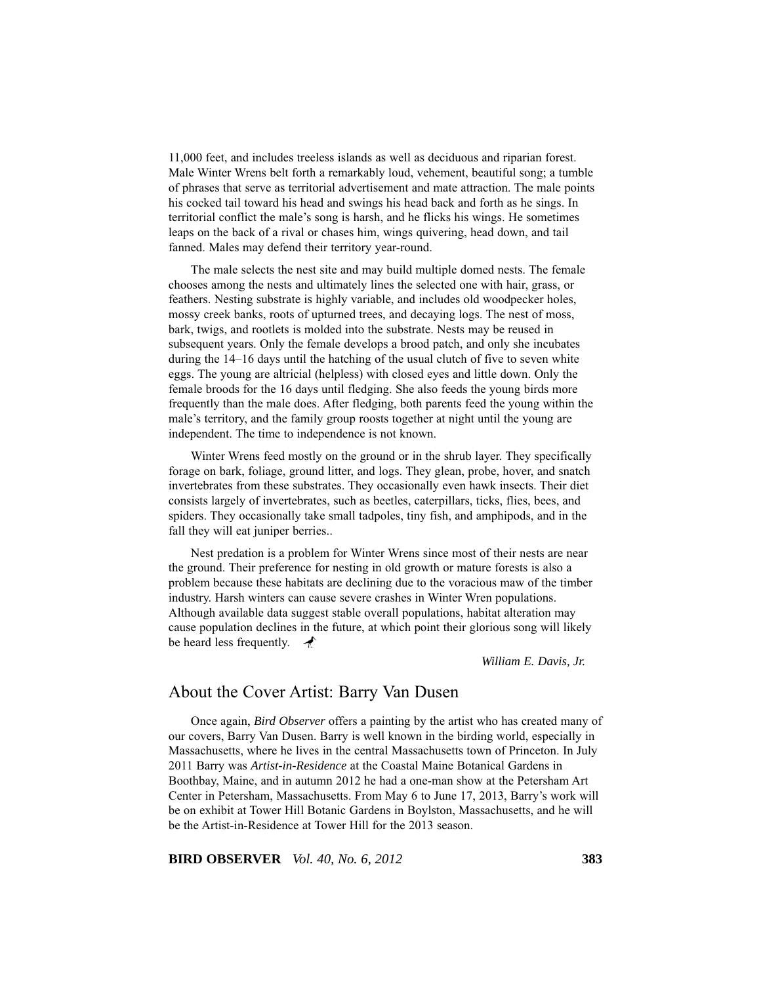11,000 feet, and includes treeless islands as well as deciduous and riparian forest. Male Winter Wrens belt forth a remarkably loud, vehement, beautiful song; a tumble of phrases that serve as territorial advertisement and mate attraction. The male points his cocked tail toward his head and swings his head back and forth as he sings. In territorial conflict the male's song is harsh, and he flicks his wings. He sometimes leaps on the back of a rival or chases him, wings quivering, head down, and tail fanned. Males may defend their territory year-round.

The male selects the nest site and may build multiple domed nests. The female chooses among the nests and ultimately lines the selected one with hair, grass, or feathers. Nesting substrate is highly variable, and includes old woodpecker holes, mossy creek banks, roots of upturned trees, and decaying logs. The nest of moss, bark, twigs, and rootlets is molded into the substrate. Nests may be reused in subsequent years. Only the female develops a brood patch, and only she incubates during the 14–16 days until the hatching of the usual clutch of five to seven white eggs. The young are altricial (helpless) with closed eyes and little down. Only the female broods for the 16 days until fledging. She also feeds the young birds more frequently than the male does. After fledging, both parents feed the young within the male's territory, and the family group roosts together at night until the young are independent. The time to independence is not known.

Winter Wrens feed mostly on the ground or in the shrub layer. They specifically forage on bark, foliage, ground litter, and logs. They glean, probe, hover, and snatch invertebrates from these substrates. They occasionally even hawk insects. Their diet consists largely of invertebrates, such as beetles, caterpillars, ticks, flies, bees, and spiders. They occasionally take small tadpoles, tiny fish, and amphipods, and in the fall they will eat juniper berries..

Nest predation is a problem for Winter Wrens since most of their nests are near the ground. Their preference for nesting in old growth or mature forests is also a problem because these habitats are declining due to the voracious maw of the timber industry. Harsh winters can cause severe crashes in Winter Wren populations. Although available data suggest stable overall populations, habitat alteration may cause population declines in the future, at which point their glorious song will likely be heard less frequently.  $\rightarrow$ 

*William E. Davis, Jr.*

#### About the Cover Artist: Barry van Dusen

Once again, *Bird Observer* offers a painting by the artist who has created many of our covers, Barry van Dusen. Barry is well known in the birding world, especially in Massachusetts, where he lives in the central Massachusetts town of Princeton. In July 2011 Barry was *Artist-in-Residence* at the Coastal Maine Botanical Gardens in Boothbay, Maine, and in autumn 2012 he had a one-man show at the Petersham Art Center in Petersham, Massachusetts. From May 6 to June 17, 2013, Barry's work will be on exhibit at Tower Hill Botanic gardens in Boylston, Massachusetts, and he will be the Artist-in-Residence at Tower Hill for the 2013 season.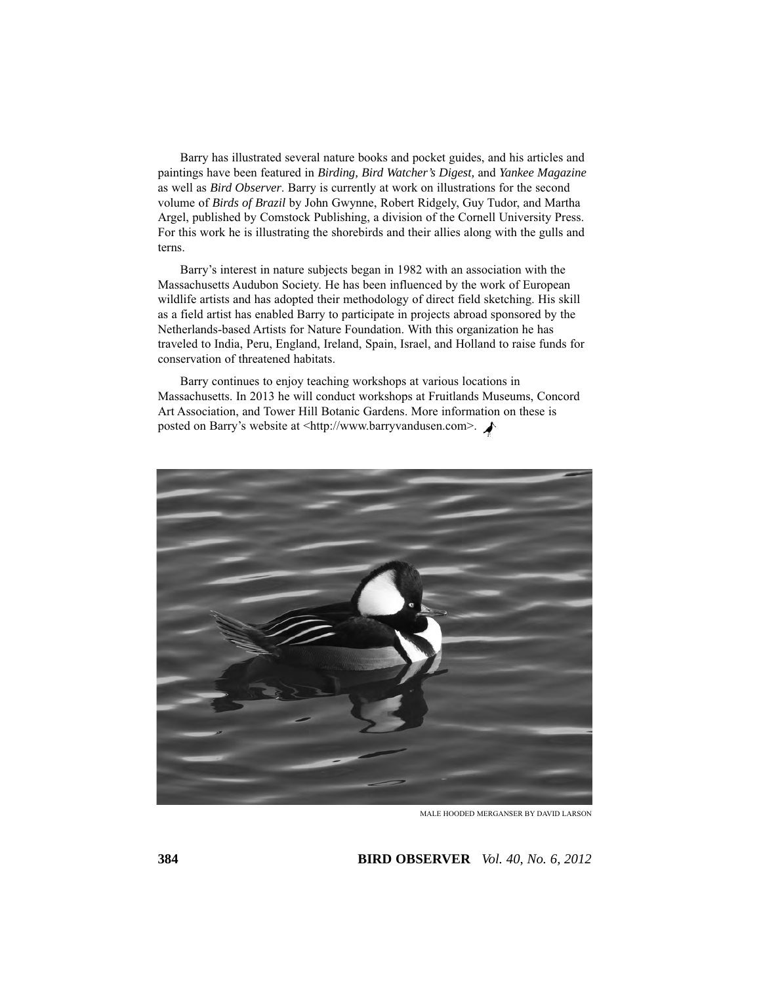Barry has illustrated several nature books and pocket guides, and his articles and paintings have been featured in *Birding, Bird Watcher's Digest,* and *Yankee Magazine* as well as *Bird Observer*. Barry is currently at work on illustrations for the second volume of *Birds of Brazil* by John Gwynne, Robert Ridgely, Guy Tudor, and Martha Argel, published by Comstock Publishing, a division of the Cornell University Press. For this work he is illustrating the shorebirds and their allies along with the gulls and terns.

Barry's interest in nature subjects began in 1982 with an association with the Massachusetts Audubon Society. He has been influenced by the work of European wildlife artists and has adopted their methodology of direct field sketching. His skill as a field artist has enabled Barry to participate in projects abroad sponsored by the Netherlands-based Artists for Nature Foundation. With this organization he has traveled to India, Peru, England, Ireland, Spain, Israel, and Holland to raise funds for conservation of threatened habitats.

Barry continues to enjoy teaching workshops at various locations in Massachusetts. In 2013 he will conduct workshops at Fruitlands Museums, Concord Art Association, and Tower Hill Botanic Gardens. More information on these is posted on Barry's website at <http://www.barryvandusen.com>.



MAle HOODeD MeRgANSeR By DAvID lARSON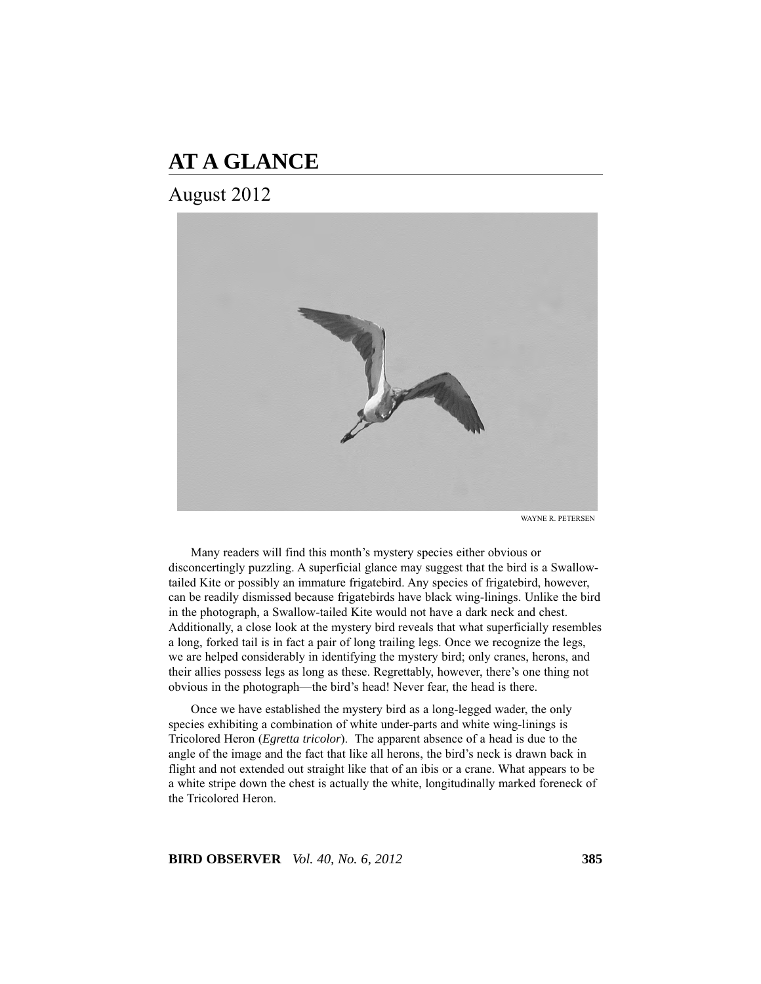### **AT A GLANCE**

### August 2012



Many readers will find this month's mystery species either obvious or disconcertingly puzzling. A superficial glance may suggest that the bird is a Swallowtailed kite or possibly an immature frigatebird. Any species of frigatebird, however, can be readily dismissed because frigatebirds have black wing-linings. Unlike the bird in the photograph, a Swallow-tailed kite would not have a dark neck and chest. Additionally, a close look at the mystery bird reveals that what superficially resembles a long, forked tail is in fact a pair of long trailing legs. Once we recognize the legs, we are helped considerably in identifying the mystery bird; only cranes, herons, and their allies possess legs as long as these. Regrettably, however, there's one thing not obvious in the photograph—the bird's head! Never fear, the head is there.

Once we have established the mystery bird as a long-legged wader, the only species exhibiting a combination of white under-parts and white wing-linings is Tricolored Heron (*Egretta tricolor*). The apparent absence of a head is due to the angle of the image and the fact that like all herons, the bird's neck is drawn back in flight and not extended out straight like that of an ibis or a crane. What appears to be a white stripe down the chest is actually the white, longitudinally marked foreneck of the Tricolored Heron.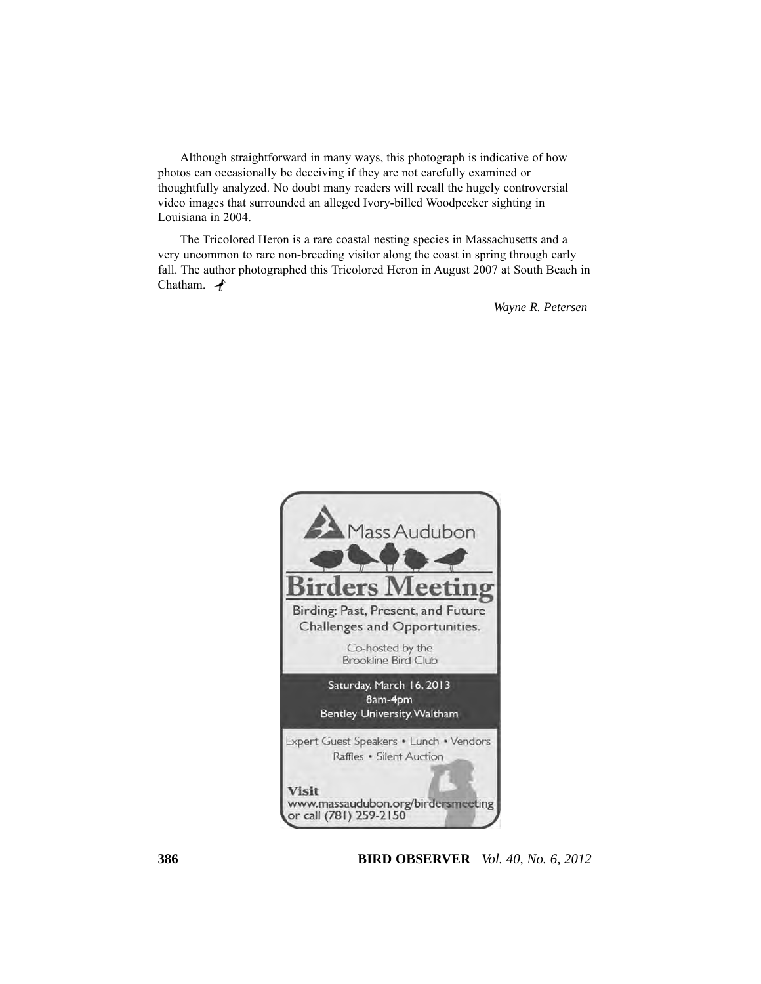Although straightforward in many ways, this photograph is indicative of how photos can occasionally be deceiving if they are not carefully examined or thoughtfully analyzed. No doubt many readers will recall the hugely controversial video images that surrounded an alleged Ivory-billed Woodpecker sighting in Louisiana in 2004.

The Tricolored Heron is a rare coastal nesting species in Massachusetts and a very uncommon to rare non-breeding visitor along the coast in spring through early fall. The author photographed this Tricolored Heron in August 2007 at South Beach in Chatham.  $\uparrow$ 

*Wayne R. Petersen*

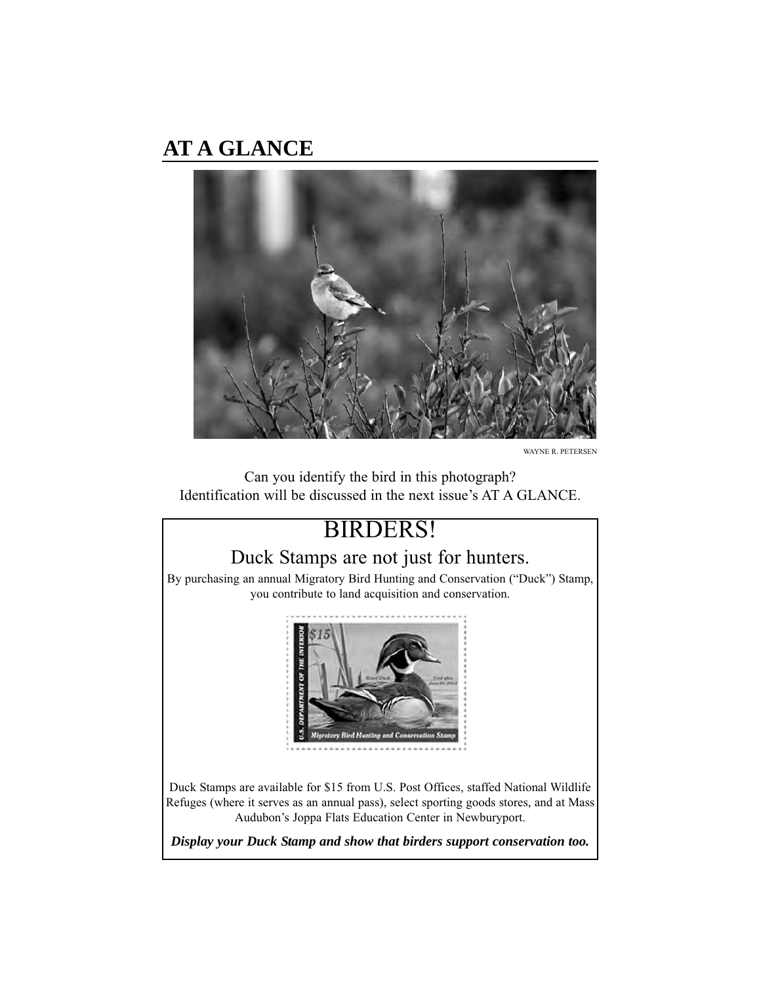### **AT A GLANCE**



WAyNe R. PeTeRSeN

Can you identify the bird in this photograph? Identification will be discussed in the next issue's AT A GLANCE.

## **BIRDERS!** Duck Stamps are not just for hunters. By purchasing an annual Migratory Bird Hunting and Conservation ("Duck") Stamp, you contribute to land acquisition and conservation. Duck Stamps are available for \$15 from U.S. Post Offices, staffed National Wildlife Refuges (where it serves as an annual pass), select sporting goods stores, and at Mass Audubon's Joppa Flats Education Center in Newburyport. *Display your Duck Stamp and show that birders support conservation too.*